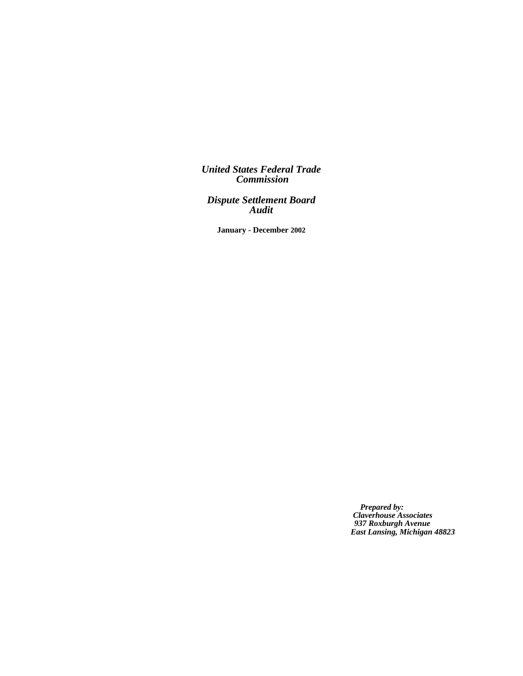*United States Federal Trade Commission*

*Dispute Settlement Board Audit*

**January - December 2002**

*Prepared by: Claverhouse Associates 937 Roxburgh Avenue East Lansing, Michigan 48823*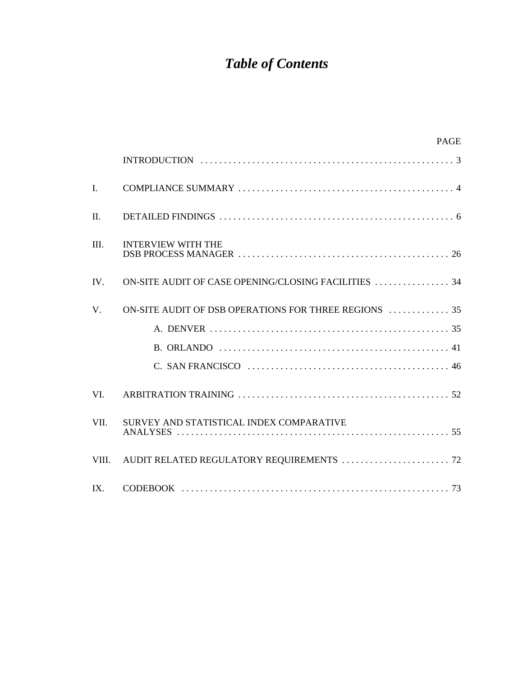# *Table of Contents*

|                | <b>PAGE</b>                                          |
|----------------|------------------------------------------------------|
|                |                                                      |
| $\mathbf{I}$ . |                                                      |
| $\Pi$ .        |                                                      |
| III.           | <b>INTERVIEW WITH THE</b>                            |
| IV.            | ON-SITE AUDIT OF CASE OPENING/CLOSING FACILITIES  34 |
| V.             |                                                      |
|                |                                                      |
|                |                                                      |
|                |                                                      |
| VI.            |                                                      |
| VII.           | SURVEY AND STATISTICAL INDEX COMPARATIVE             |
| VIII.          |                                                      |
| $IX_{i}$       |                                                      |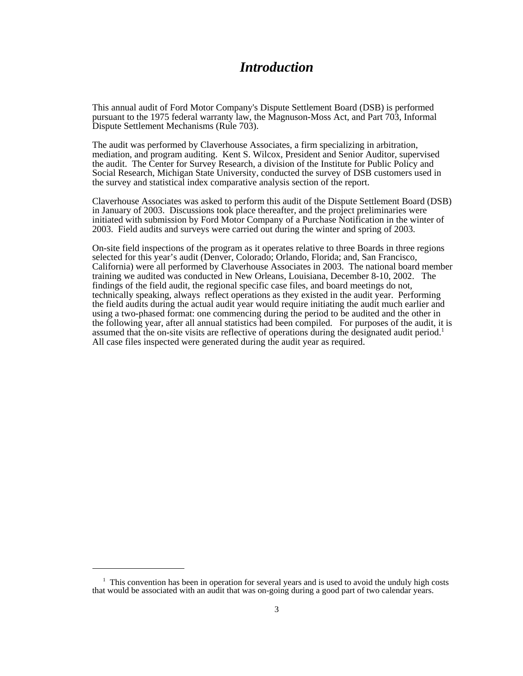# *Introduction*

This annual audit of Ford Motor Company's Dispute Settlement Board (DSB) is performed pursuant to the 1975 federal warranty law, the Magnuson-Moss Act, and Part 703, Informal Dispute Settlement Mechanisms (Rule 703).

The audit was performed by Claverhouse Associates, a firm specializing in arbitration, mediation, and program auditing. Kent S. Wilcox, President and Senior Auditor, supervised the audit. The Center for Survey Research, a division of the Institute for Public Policy and Social Research, Michigan State University, conducted the survey of DSB customers used in the survey and statistical index comparative analysis section of the report.

Claverhouse Associates was asked to perform this audit of the Dispute Settlement Board (DSB) in January of 2003. Discussions took place thereafter, and the project preliminaries were initiated with submission by Ford Motor Company of a Purchase Notification in the winter of 2003. Field audits and surveys were carried out during the winter and spring of 2003.

On-site field inspections of the program as it operates relative to three Boards in three regions selected for this year's audit (Denver, Colorado; Orlando, Florida; and, San Francisco, California) were all performed by Claverhouse Associates in 2003. The national board member training we audited was conducted in New Orleans, Louisiana, December 8-10, 2002. The findings of the field audit, the regional specific case files, and board meetings do not, technically speaking, always reflect operations as they existed in the audit year. Performing the field audits during the actual audit year would require initiating the audit much earlier and using a two-phased format: one commencing during the period to be audited and the other in the following year, after all annual statistics had been compiled. For purposes of the audit, it is assumed that the on-site visits are reflective of operations during the designated audit period.<sup>1</sup> All case files inspected were generated during the audit year as required.

<sup>&</sup>lt;sup>1</sup> This convention has been in operation for several years and is used to avoid the unduly high costs that would be associated with an audit that was on-going during a good part of two calendar years.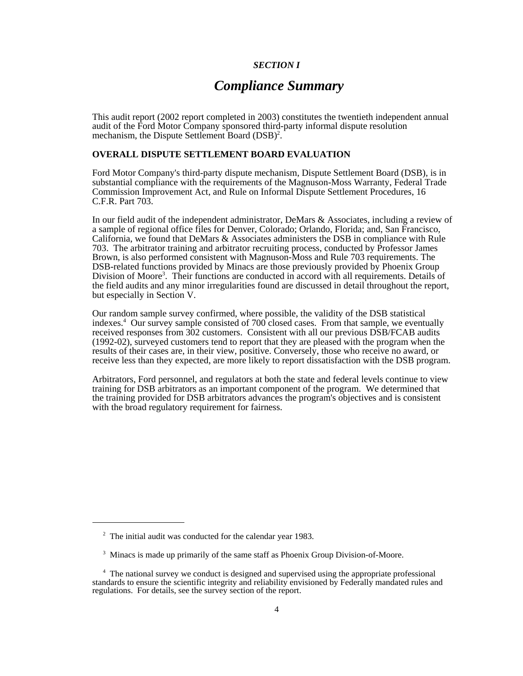# *SECTION I*

# *Compliance Summary*

This audit report (2002 report completed in 2003) constitutes the twentieth independent annual audit of the Ford Motor Company sponsored third-party informal dispute resolution mechanism, the Dispute Settlement Board (DSB)<sup>2</sup>.

# **OVERALL DISPUTE SETTLEMENT BOARD EVALUATION**

Ford Motor Company's third-party dispute mechanism, Dispute Settlement Board (DSB), is in substantial compliance with the requirements of the Magnuson-Moss Warranty, Federal Trade Commission Improvement Act, and Rule on Informal Dispute Settlement Procedures, 16 C.F.R. Part 703.

In our field audit of the independent administrator, DeMars & Associates, including a review of a sample of regional office files for Denver, Colorado; Orlando, Florida; and, San Francisco, California, we found that DeMars & Associates administers the DSB in compliance with Rule 703. The arbitrator training and arbitrator recruiting process, conducted by Professor James Brown, is also performed consistent with Magnuson-Moss and Rule 703 requirements. The DSB-related functions provided by Minacs are those previously provided by Phoenix Group Division of Moore<sup>3</sup>. Their functions are conducted in accord with all requirements. Details of the field audits and any minor irregularities found are discussed in detail throughout the report, but especially in Section V.

Our random sample survey confirmed, where possible, the validity of the DSB statistical indexes.4 Our survey sample consisted of 700 closed cases. From that sample, we eventually received responses from 302 customers. Consistent with all our previous DSB/FCAB audits (1992-02), surveyed customers tend to report that they are pleased with the program when the results of their cases are, in their view, positive. Conversely, those who receive no award, or receive less than they expected, are more likely to report dissatisfaction with the DSB program.

Arbitrators, Ford personnel, and regulators at both the state and federal levels continue to view training for DSB arbitrators as an important component of the program. We determined that the training provided for DSB arbitrators advances the program's objectives and is consistent with the broad regulatory requirement for fairness.

<sup>&</sup>lt;sup>2</sup> The initial audit was conducted for the calendar year 1983.

<sup>&</sup>lt;sup>3</sup> Minacs is made up primarily of the same staff as Phoenix Group Division-of-Moore.

<sup>&</sup>lt;sup>4</sup> The national survey we conduct is designed and supervised using the appropriate professional standards to ensure the scientific integrity and reliability envisioned by Federally mandated rules and regulations. For details, see the survey section of the report.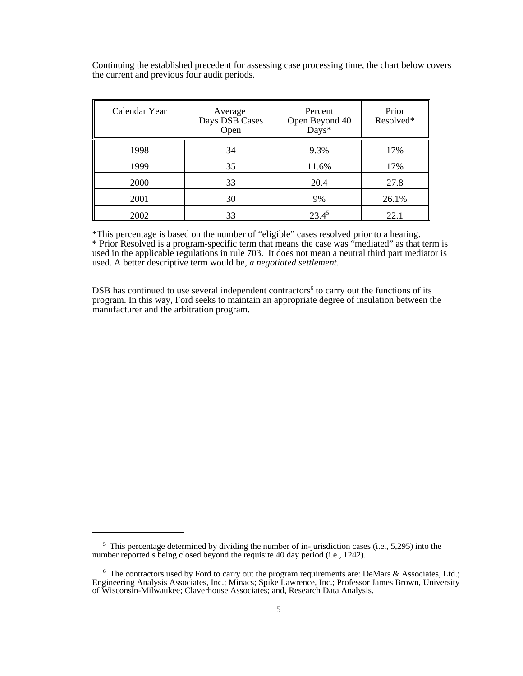Continuing the established precedent for assessing case processing time, the chart below covers the current and previous four audit periods.

| Calendar Year | Average<br>Days DSB Cases<br>Open | Percent<br>Open Beyond 40<br>Days* | Prior<br>Resolved* |
|---------------|-----------------------------------|------------------------------------|--------------------|
| 1998          | 34                                | 9.3%                               | 17%                |
| 1999          | 35                                | 11.6%                              | 17%                |
| 2000          | 33                                | 20.4                               | 27.8               |
| 2001          | 30                                | 9%                                 | 26.1%              |
| 2002          | 33                                | $23.4^5$                           | 22.1               |

\*This percentage is based on the number of "eligible" cases resolved prior to a hearing. \* Prior Resolved is a program-specific term that means the case was "mediated" as that term is used in the applicable regulations in rule 703. It does not mean a neutral third part mediator is used. A better descriptive term would be, *a negotiated settlement*.

DSB has continued to use several independent contractors $6$  to carry out the functions of its program. In this way, Ford seeks to maintain an appropriate degree of insulation between the manufacturer and the arbitration program.

<sup>&</sup>lt;sup>5</sup> This percentage determined by dividing the number of in-jurisdiction cases (i.e., 5,295) into the number reported s being closed beyond the requisite 40 day period (i.e., 1242).

<sup>&</sup>lt;sup>6</sup> The contractors used by Ford to carry out the program requirements are: DeMars & Associates, Ltd.; Engineering Analysis Associates, Inc.; Minacs; Spike Lawrence, Inc.; Professor James Brown, University of Wisconsin-Milwaukee; Claverhouse Associates; and, Research Data Analysis.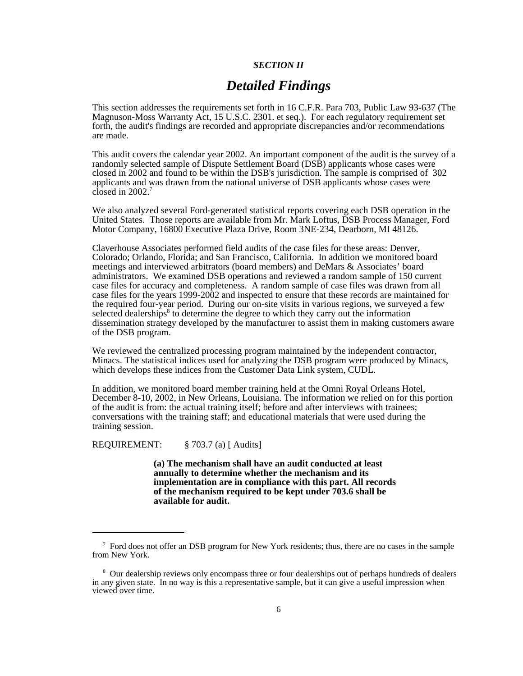# *SECTION II*

# *Detailed Findings*

This section addresses the requirements set forth in 16 C.F.R. Para 703, Public Law 93-637 (The Magnuson-Moss Warranty Act, 15 U.S.C. 2301. et seq.). For each regulatory requirement set forth, the audit's findings are recorded and appropriate discrepancies and/or recommendations are made.

This audit covers the calendar year 2002. An important component of the audit is the survey of a randomly selected sample of Dispute Settlement Board (DSB) applicants whose cases were closed in 2002 and found to be within the DSB's jurisdiction. The sample is comprised of 302 applicants and was drawn from the national universe of DSB applicants whose cases were closed in  $2002$ .<sup>7</sup>

We also analyzed several Ford-generated statistical reports covering each DSB operation in the United States. Those reports are available from Mr. Mark Loftus, DSB Process Manager, Ford Motor Company, 16800 Executive Plaza Drive, Room 3NE-234, Dearborn, MI 48126.

Claverhouse Associates performed field audits of the case files for these areas: Denver, Colorado; Orlando, Florida; and San Francisco, California. In addition we monitored board meetings and interviewed arbitrators (board members) and DeMars & Associates' board administrators. We examined DSB operations and reviewed a random sample of 150 current case files for accuracy and completeness. A random sample of case files was drawn from all case files for the years 1999-2002 and inspected to ensure that these records are maintained for the required four-year period. During our on-site visits in various regions, we surveyed a few selected dealerships<sup>8</sup> to determine the degree to which they carry out the information dissemination strategy developed by the manufacturer to assist them in making customers aware of the DSB program.

We reviewed the centralized processing program maintained by the independent contractor, Minacs. The statistical indices used for analyzing the DSB program were produced by Minacs, which develops these indices from the Customer Data Link system, CUDL.

In addition, we monitored board member training held at the Omni Royal Orleans Hotel, December 8-10, 2002, in New Orleans, Louisiana. The information we relied on for this portion of the audit is from: the actual training itself; before and after interviews with trainees; conversations with the training staff; and educational materials that were used during the training session.

REQUIREMENT: § 703.7 (a) [ Audits]

**(a) The mechanism shall have an audit conducted at least annually to determine whether the mechanism and its implementation are in compliance with this part. All records of the mechanism required to be kept under 703.6 shall be available for audit.**

<sup>&</sup>lt;sup>7</sup> Ford does not offer an DSB program for New York residents; thus, there are no cases in the sample from New York.

<sup>&</sup>lt;sup>8</sup> Our dealership reviews only encompass three or four dealerships out of perhaps hundreds of dealers in any given state. In no way is this a representative sample, but it can give a useful impression when viewed over time.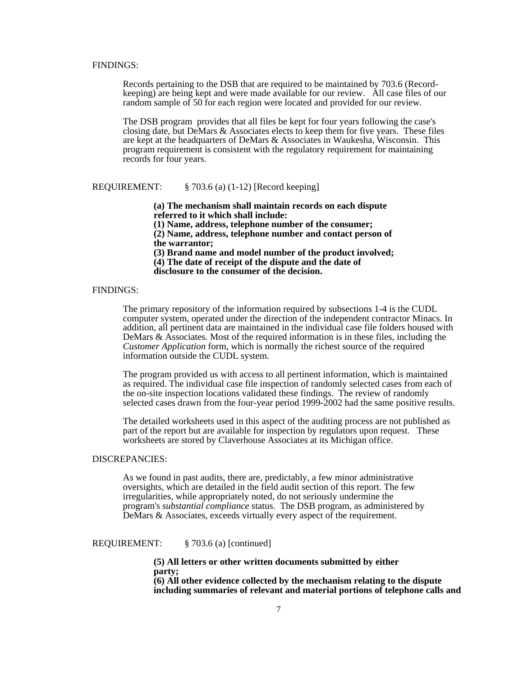#### FINDINGS:

Records pertaining to the DSB that are required to be maintained by 703.6 (Recordkeeping) are being kept and were made available for our review. All case files of our random sample of 50 for each region were located and provided for our review.

The DSB program provides that all files be kept for four years following the case's closing date, but DeMars & Associates elects to keep them for five years. These files are kept at the headquarters of DeMars & Associates in Waukesha, Wisconsin. This program requirement is consistent with the regulatory requirement for maintaining records for four years.

# REQUIREMENT: § 703.6 (a) (1-12) [Record keeping]

**(a) The mechanism shall maintain records on each dispute referred to it which shall include:** 

**(1) Name, address, telephone number of the consumer;** 

**(2) Name, address, telephone number and contact person of the warrantor;**

**(3) Brand name and model number of the product involved;**

**(4) The date of receipt of the dispute and the date of**

**disclosure to the consumer of the decision.**

# FINDINGS:

The primary repository of the information required by subsections 1-4 is the CUDL computer system, operated under the direction of the independent contractor Minacs. In addition, all pertinent data are maintained in the individual case file folders housed with DeMars & Associates. Most of the required information is in these files, including the *Customer Application* form*,* which is normally the richest source of the required information outside the CUDL system.

The program provided us with access to all pertinent information, which is maintained as required. The individual case file inspection of randomly selected cases from each of the on-site inspection locations validated these findings. The review of randomly selected cases drawn from the four-year period 1999-2002 had the same positive results.

The detailed worksheets used in this aspect of the auditing process are not published as part of the report but are available for inspection by regulators upon request. These worksheets are stored by Claverhouse Associates at its Michigan office.

### DISCREPANCIES:

As we found in past audits, there are, predictably, a few minor administrative oversights, which are detailed in the field audit section of this report. The few irregularities, while appropriately noted, do not seriously undermine the program's *substantial compliance* status. The DSB program, as administered by DeMars & Associates, exceeds virtually every aspect of the requirement.

REQUIREMENT: § 703.6 (a) [continued]

**(5) All letters or other written documents submitted by either party; (6) All other evidence collected by the mechanism relating to the dispute including summaries of relevant and material portions of telephone calls and**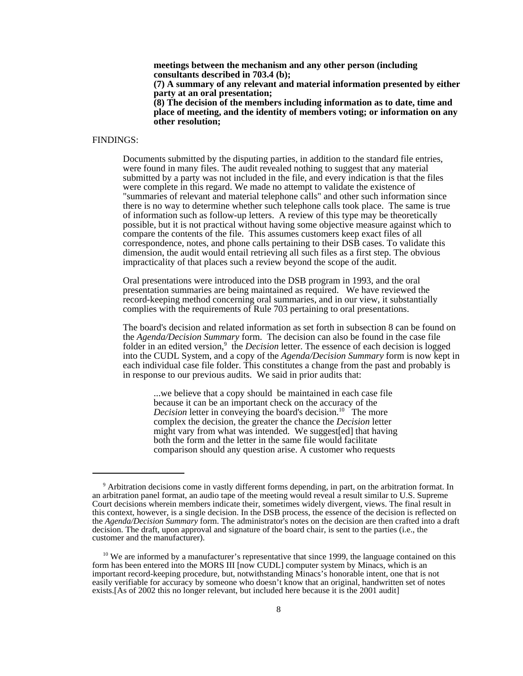**meetings between the mechanism and any other person (including consultants described in 703.4 (b);**

**(7) A summary of any relevant and material information presented by either party at an oral presentation;** 

**(8) The decision of the members including information as to date, time and place of meeting, and the identity of members voting; or information on any other resolution;**

#### FINDINGS:

 Documents submitted by the disputing parties, in addition to the standard file entries, were found in many files. The audit revealed nothing to suggest that any material submitted by a party was not included in the file, and every indication is that the files were complete in this regard. We made no attempt to validate the existence of "summaries of relevant and material telephone calls" and other such information since there is no way to determine whether such telephone calls took place. The same is true of information such as follow-up letters. A review of this type may be theoretically possible, but it is not practical without having some objective measure against which to compare the contents of the file. This assumes customers keep exact files of all correspondence, notes, and phone calls pertaining to their DSB cases. To validate this dimension, the audit would entail retrieving all such files as a first step. The obvious impracticality of that places such a review beyond the scope of the audit.

Oral presentations were introduced into the DSB program in 1993, and the oral presentation summaries are being maintained as required. We have reviewed the record-keeping method concerning oral summaries, and in our view, it substantially complies with the requirements of Rule 703 pertaining to oral presentations.

The board's decision and related information as set forth in subsection 8 can be found on the *Agenda/Decision Summary* form. The decision can also be found in the case file folder in an edited version,<sup>9</sup> the *Decision* letter. The essence of each decision is logged into the CUDL System, and a copy of the *Agenda/Decision Summary* form is now kept in each individual case file folder. This constitutes a change from the past and probably is in response to our previous audits. We said in prior audits that:

...we believe that a copy should be maintained in each case file because it can be an important check on the accuracy of the *Decision* letter in conveying the board's decision.<sup>10</sup> The more complex the decision, the greater the chance the *Decision* letter might vary from what was intended. We suggest[ed] that having both the form and the letter in the same file would facilitate comparison should any question arise. A customer who requests

<sup>&</sup>lt;sup>9</sup> Arbitration decisions come in vastly different forms depending, in part, on the arbitration format. In an arbitration panel format, an audio tape of the meeting would reveal a result similar to U.S. Supreme Court decisions wherein members indicate their, sometimes widely divergent, views. The final result in this context, however, is a single decision. In the DSB process, the essence of the decision is reflected on the *Agenda/Decision Summary* form. The administrator's notes on the decision are then crafted into a draft decision. The draft, upon approval and signature of the board chair, is sent to the parties (i.e., the customer and the manufacturer).

 $10$  We are informed by a manufacturer's representative that since 1999, the language contained on this form has been entered into the MORS III [now CUDL] computer system by Minacs, which is an important record-keeping procedure, but, notwithstanding Minacs's honorable intent, one that is not easily verifiable for accuracy by someone who doesn't know that an original, handwritten set of notes exists.[As of 2002 this no longer relevant, but included here because it is the 2001 audit]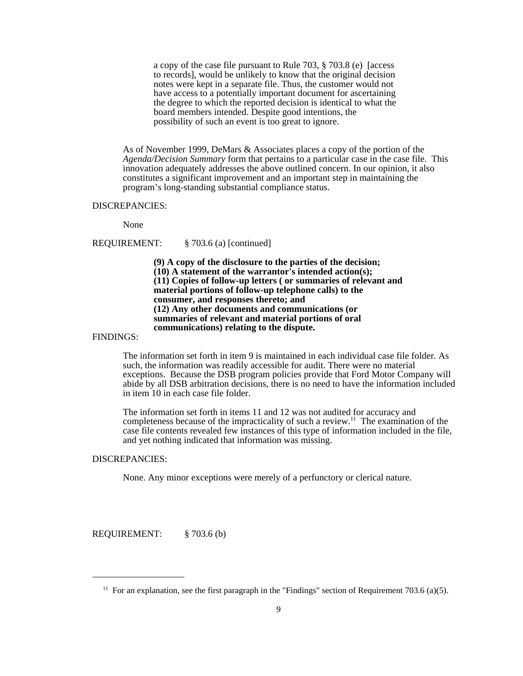a copy of the case file pursuant to Rule 703, § 703.8 (e) [access to records], would be unlikely to know that the original decision notes were kept in a separate file. Thus, the customer would not have access to a potentially important document for ascertaining the degree to which the reported decision is identical to what the board members intended. Despite good intentions, the possibility of such an event is too great to ignore.

As of November 1999, DeMars & Associates places a copy of the portion of the *Agenda/Decision Summary* form that pertains to a particular case in the case file. This innovation adequately addresses the above outlined concern. In our opinion, it also constitutes a significant improvement and an important step in maintaining the program's long-standing substantial compliance status.

#### DISCREPANCIES:

None

# REQUIREMENT: § 703.6 (a) [continued]

**(9) A copy of the disclosure to the parties of the decision; (10) A statement of the warrantor's intended action(s); (11) Copies of follow-up letters ( or summaries of relevant and material portions of follow-up telephone calls) to the consumer, and responses thereto; and (12) Any other documents and communications (or summaries of relevant and material portions of oral communications) relating to the dispute.**

#### FINDINGS:

The information set forth in item 9 is maintained in each individual case file folder. As such, the information was readily accessible for audit. There were no material exceptions. Because the DSB program policies provide that Ford Motor Company will abide by all DSB arbitration decisions, there is no need to have the information included in item 10 in each case file folder.

The information set forth in items 11 and 12 was not audited for accuracy and completeness because of the impracticality of such a review.<sup>11</sup> The examination of the case file contents revealed few instances of this type of information included in the file, and yet nothing indicated that information was missing.

#### DISCREPANCIES:

None. Any minor exceptions were merely of a perfunctory or clerical nature.

REQUIREMENT: § 703.6 (b)

<sup>&</sup>lt;sup>11</sup> For an explanation, see the first paragraph in the "Findings" section of Requirement 703.6 (a)(5).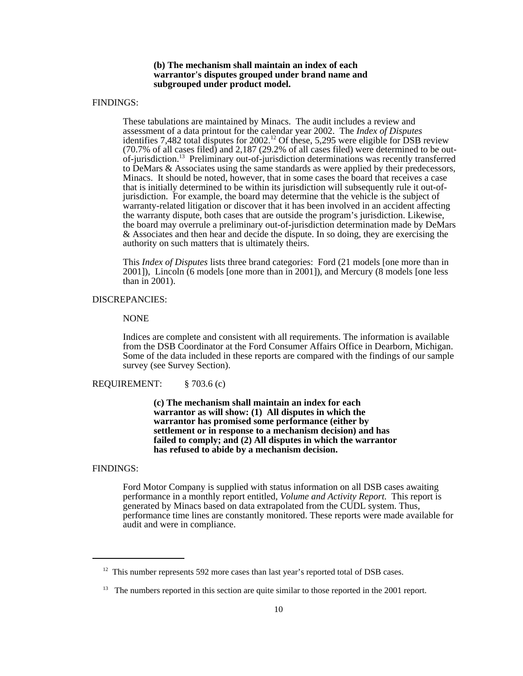# **(b) The mechanism shall maintain an index of each warrantor's disputes grouped under brand name and subgrouped under product model.**

# FINDINGS:

These tabulations are maintained by Minacs. The audit includes a review and assessment of a data printout for the calendar year 2002. The *Index of Disputes* identifies 7,482 total disputes for  $2002$ .<sup>12</sup> Of these, 5,295 were eligible for DSB review (70.7% of all cases filed) and 2,187 (29.2% of all cases filed) were determined to be outof-jurisdiction.13 Preliminary out-of-jurisdiction determinations was recently transferred to DeMars & Associates using the same standards as were applied by their predecessors, Minacs. It should be noted, however, that in some cases the board that receives a case that is initially determined to be within its jurisdiction will subsequently rule it out-ofjurisdiction. For example, the board may determine that the vehicle is the subject of warranty-related litigation or discover that it has been involved in an accident affecting the warranty dispute, both cases that are outside the program's jurisdiction. Likewise, the board may overrule a preliminary out-of-jurisdiction determination made by DeMars & Associates and then hear and decide the dispute. In so doing, they are exercising the authority on such matters that is ultimately theirs.

This *Index of Disputes* lists three brand categories: Ford (21 models [one more than in 2001]), Lincoln (6 models [one more than in 2001]), and Mercury (8 models [one less than in 2001).

# DISCREPANCIES:

NONE

Indices are complete and consistent with all requirements. The information is available from the DSB Coordinator at the Ford Consumer Affairs Office in Dearborn, Michigan. Some of the data included in these reports are compared with the findings of our sample survey (see Survey Section).

REQUIREMENT: § 703.6 (c)

**(c) The mechanism shall maintain an index for each warrantor as will show: (1) All disputes in which the warrantor has promised some performance (either by settlement or in response to a mechanism decision) and has failed to comply; and (2) All disputes in which the warrantor has refused to abide by a mechanism decision.**

### FINDINGS:

Ford Motor Company is supplied with status information on all DSB cases awaiting performance in a monthly report entitled, *Volume and Activity Report*. This report is generated by Minacs based on data extrapolated from the CUDL system. Thus, performance time lines are constantly monitored. These reports were made available for audit and were in compliance.

 $12$  This number represents 592 more cases than last year's reported total of DSB cases.

<sup>&</sup>lt;sup>13</sup> The numbers reported in this section are quite similar to those reported in the 2001 report.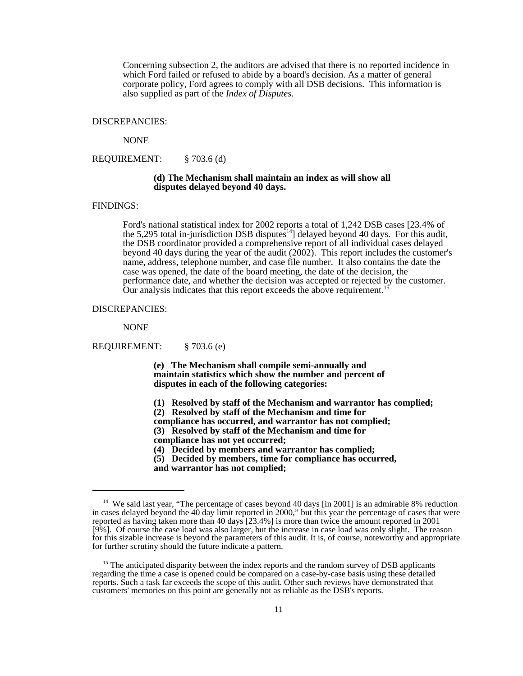Concerning subsection 2, the auditors are advised that there is no reported incidence in which Ford failed or refused to abide by a board's decision. As a matter of general corporate policy, Ford agrees to comply with all DSB decisions. This information is also supplied as part of the *Index of Disputes*.

#### DISCREPANCIES:

NONE

REQUIREMENT: § 703.6 (d)

# **(d) The Mechanism shall maintain an index as will show all disputes delayed beyond 40 days.**

### FINDINGS:

Ford's national statistical index for 2002 reports a total of 1,242 DSB cases [23.4% of the 5,295 total in-jurisdiction DSB disputes<sup>14</sup>] delayed beyond 40 days. For this audit, the DSB coordinator provided a comprehensive report of all individual cases delayed beyond 40 days during the year of the audit (2002). This report includes the customer's name, address, telephone number, and case file number. It also contains the date the case was opened, the date of the board meeting, the date of the decision, the performance date, and whether the decision was accepted or rejected by the customer. Our analysis indicates that this report exceeds the above requirement.<sup>1</sup>

#### DISCREPANCIES:

NONE

REQUIREMENT: § 703.6 (e)

**(e) The Mechanism shall compile semi-annually and maintain statistics which show the number and percent of disputes in each of the following categories:** 

- **(1) Resolved by staff of the Mechanism and warrantor has complied;**
- **(2) Resolved by staff of the Mechanism and time for**
- **compliance has occurred, and warrantor has not complied;**
- **(3) Resolved by staff of the Mechanism and time for**
- **compliance has not yet occurred;**
- **(4) Decided by members and warrantor has complied;**
- **(5) Decided by members, time for compliance has occurred, and warrantor has not complied;**

<sup>&</sup>lt;sup>14</sup> We said last year, "The percentage of cases beyond 40 days [in 2001] is an admirable 8% reduction in cases delayed beyond the 40 day limit reported in 2000," but this year the percentage of cases that were reported as having taken more than 40 days [23.4%] is more than twice the amount reported in 2001 [9%]. Of course the case load was also larger, but the increase in case load was only slight. The reason for this sizable increase is beyond the parameters of this audit. It is, of course, noteworthy and appropriate for further scrutiny should the future indicate a pattern.

<sup>&</sup>lt;sup>15</sup> The anticipated disparity between the index reports and the random survey of DSB applicants regarding the time a case is opened could be compared on a case-by-case basis using these detailed reports. Such a task far exceeds the scope of this audit. Other such reviews have demonstrated that customers' memories on this point are generally not as reliable as the DSB's reports.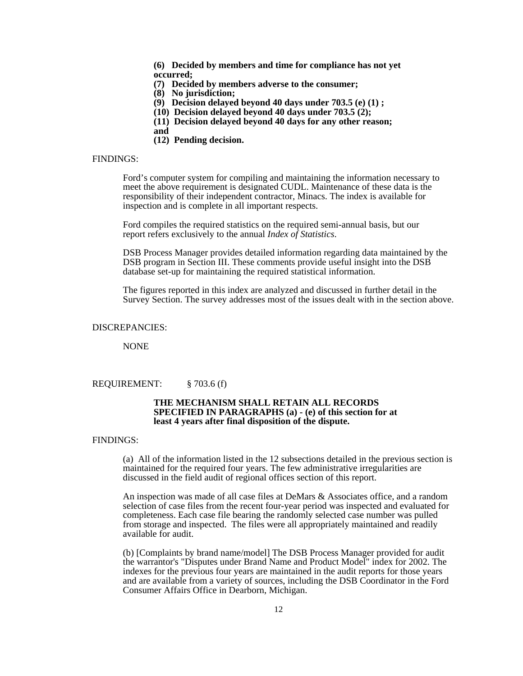**(6) Decided by members and time for compliance has not yet occurred;**

**(7) Decided by members adverse to the consumer;**

**(8) No jurisdiction;**

**(9) Decision delayed beyond 40 days under 703.5 (e) (1) ;**

**(10) Decision delayed beyond 40 days under 703.5 (2);**

**(11) Decision delayed beyond 40 days for any other reason;**

**and** 

**(12) Pending decision.**

# FINDINGS:

 Ford's computer system for compiling and maintaining the information necessary to meet the above requirement is designated CUDL. Maintenance of these data is the responsibility of their independent contractor, Minacs. The index is available for inspection and is complete in all important respects.

Ford compiles the required statistics on the required semi-annual basis, but our report refers exclusively to the annual *Index of Statistics*.

DSB Process Manager provides detailed information regarding data maintained by the DSB program in Section III. These comments provide useful insight into the DSB database set-up for maintaining the required statistical information.

The figures reported in this index are analyzed and discussed in further detail in the Survey Section. The survey addresses most of the issues dealt with in the section above.

DISCREPANCIES:

NONE

REQUIREMENT: § 703.6 (f)

# **THE MECHANISM SHALL RETAIN ALL RECORDS SPECIFIED IN PARAGRAPHS (a) - (e) of this section for at least 4 years after final disposition of the dispute.**

#### FINDINGS:

(a) All of the information listed in the 12 subsections detailed in the previous section is maintained for the required four years. The few administrative irregularities are discussed in the field audit of regional offices section of this report.

An inspection was made of all case files at DeMars & Associates office, and a random selection of case files from the recent four-year period was inspected and evaluated for completeness. Each case file bearing the randomly selected case number was pulled from storage and inspected. The files were all appropriately maintained and readily available for audit.

(b) [Complaints by brand name/model] The DSB Process Manager provided for audit the warrantor's "Disputes under Brand Name and Product Model" index for 2002. The indexes for the previous four years are maintained in the audit reports for those years and are available from a variety of sources, including the DSB Coordinator in the Ford Consumer Affairs Office in Dearborn, Michigan.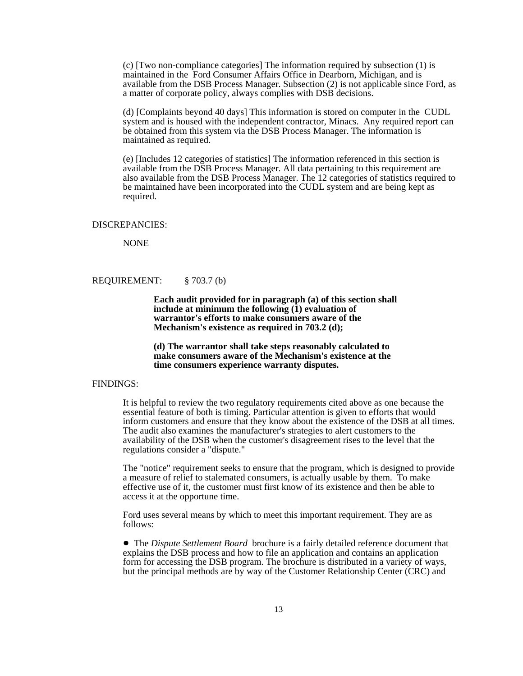(c) [Two non-compliance categories] The information required by subsection (1) is maintained in the Ford Consumer Affairs Office in Dearborn, Michigan, and is available from the DSB Process Manager. Subsection (2) is not applicable since Ford, as a matter of corporate policy, always complies with DSB decisions.

(d) [Complaints beyond 40 days] This information is stored on computer in the CUDL system and is housed with the independent contractor, Minacs. Any required report can be obtained from this system via the DSB Process Manager. The information is maintained as required.

(e) [Includes 12 categories of statistics] The information referenced in this section is available from the DSB Process Manager. All data pertaining to this requirement are also available from the DSB Process Manager. The 12 categories of statistics required to be maintained have been incorporated into the CUDL system and are being kept as required.

#### DISCREPANCIES:

NONE

REQUIREMENT: § 703.7 (b)

**Each audit provided for in paragraph (a) of this section shall include at minimum the following (1) evaluation of warrantor's efforts to make consumers aware of the Mechanism's existence as required in 703.2 (d);**

**(d) The warrantor shall take steps reasonably calculated to make consumers aware of the Mechanism's existence at the time consumers experience warranty disputes.**

# FINDINGS:

It is helpful to review the two regulatory requirements cited above as one because the essential feature of both is timing. Particular attention is given to efforts that would inform customers and ensure that they know about the existence of the DSB at all times. The audit also examines the manufacturer's strategies to alert customers to the availability of the DSB when the customer's disagreement rises to the level that the regulations consider a "dispute."

The "notice" requirement seeks to ensure that the program, which is designed to provide a measure of relief to stalemated consumers, is actually usable by them. To make effective use of it, the customer must first know of its existence and then be able to access it at the opportune time.

Ford uses several means by which to meet this important requirement. They are as follows:

! The *Dispute Settlement Board* brochure is a fairly detailed reference document that explains the DSB process and how to file an application and contains an application form for accessing the DSB program. The brochure is distributed in a variety of ways, but the principal methods are by way of the Customer Relationship Center (CRC) and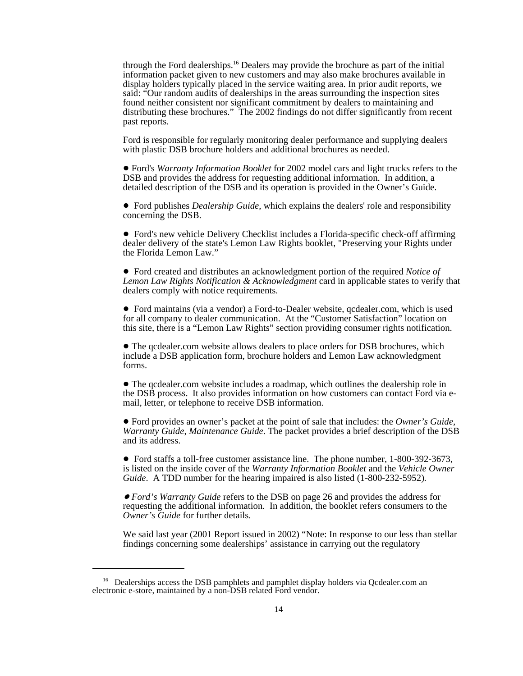through the Ford dealerships.16 Dealers may provide the brochure as part of the initial information packet given to new customers and may also make brochures available in display holders typically placed in the service waiting area. In prior audit reports, we said: "Our random audits of dealerships in the areas surrounding the inspection sites found neither consistent nor significant commitment by dealers to maintaining and distributing these brochures." The 2002 findings do not differ significantly from recent past reports.

Ford is responsible for regularly monitoring dealer performance and supplying dealers with plastic DSB brochure holders and additional brochures as needed.

 ! Ford's *Warranty Information Booklet* for 2002 model cars and light trucks refers to the DSB and provides the address for requesting additional information. In addition, a detailed description of the DSB and its operation is provided in the Owner's Guide.

! Ford publishes *Dealership Guide*, which explains the dealers' role and responsibility concerning the DSB.

! Ford's new vehicle Delivery Checklist includes a Florida-specific check-off affirming dealer delivery of the state's Lemon Law Rights booklet, "Preserving your Rights under the Florida Lemon Law."

! Ford created and distributes an acknowledgment portion of the required *Notice of Lemon Law Rights Notification & Acknowledgment* card in applicable states to verify that dealers comply with notice requirements.

! Ford maintains (via a vendor) a Ford-to-Dealer website, qcdealer.com, which is used for all company to dealer communication. At the "Customer Satisfaction" location on this site, there is a "Lemon Law Rights" section providing consumer rights notification.

! The qcdealer.com website allows dealers to place orders for DSB brochures, which include a DSB application form, brochure holders and Lemon Law acknowledgment forms.

! The qcdealer.com website includes a roadmap, which outlines the dealership role in the DSB process. It also provides information on how customers can contact Ford via email, letter, or telephone to receive DSB information.

! Ford provides an owner's packet at the point of sale that includes: the *Owner's Guide*, *Warranty Guide*, *Maintenance Guide*. The packet provides a brief description of the DSB and its address.

• Ford staffs a toll-free customer assistance line. The phone number, 1-800-392-3673, is listed on the inside cover of the *Warranty Information Booklet* and the *Vehicle Owner Guide*. A TDD number for the hearing impaired is also listed (1-800-232-5952)*.*

! *Ford's Warranty Guide* refers to the DSB on page 26 and provides the address for requesting the additional information. In addition, the booklet refers consumers to the *Owner's Guide* for further details.

We said last year (2001 Report issued in 2002) "Note: In response to our less than stellar findings concerning some dealerships' assistance in carrying out the regulatory

<sup>&</sup>lt;sup>16</sup> Dealerships access the DSB pamphlets and pamphlet display holders via Qcdealer.com an electronic e-store, maintained by a non-DSB related Ford vendor.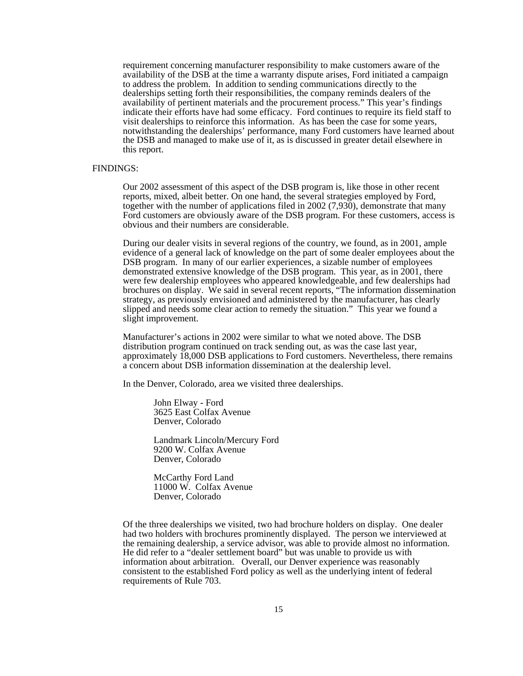requirement concerning manufacturer responsibility to make customers aware of the availability of the DSB at the time a warranty dispute arises, Ford initiated a campaign to address the problem. In addition to sending communications directly to the dealerships setting forth their responsibilities, the company reminds dealers of the availability of pertinent materials and the procurement process." This year's findings indicate their efforts have had some efficacy. Ford continues to require its field staff to visit dealerships to reinforce this information. As has been the case for some years, notwithstanding the dealerships' performance, many Ford customers have learned about the DSB and managed to make use of it, as is discussed in greater detail elsewhere in this report.

# FINDINGS:

Our 2002 assessment of this aspect of the DSB program is, like those in other recent reports, mixed, albeit better. On one hand, the several strategies employed by Ford, together with the number of applications filed in 2002 (7,930), demonstrate that many Ford customers are obviously aware of the DSB program. For these customers, access is obvious and their numbers are considerable.

During our dealer visits in several regions of the country, we found, as in 2001, ample evidence of a general lack of knowledge on the part of some dealer employees about the DSB program. In many of our earlier experiences, a sizable number of employees demonstrated extensive knowledge of the DSB program. This year, as in 2001, there were few dealership employees who appeared knowledgeable, and few dealerships had brochures on display. We said in several recent reports, "The information dissemination strategy, as previously envisioned and administered by the manufacturer, has clearly slipped and needs some clear action to remedy the situation." This year we found a slight improvement.

Manufacturer's actions in 2002 were similar to what we noted above. The DSB distribution program continued on track sending out, as was the case last year, approximately 18,000 DSB applications to Ford customers. Nevertheless, there remains a concern about DSB information dissemination at the dealership level.

In the Denver, Colorado, area we visited three dealerships.

John Elway - Ford 3625 East Colfax Avenue Denver, Colorado

Landmark Lincoln/Mercury Ford 9200 W. Colfax Avenue Denver, Colorado

McCarthy Ford Land 11000 W. Colfax Avenue Denver, Colorado

Of the three dealerships we visited, two had brochure holders on display. One dealer had two holders with brochures prominently displayed. The person we interviewed at the remaining dealership, a service advisor, was able to provide almost no information. He did refer to a "dealer settlement board" but was unable to provide us with information about arbitration. Overall, our Denver experience was reasonably consistent to the established Ford policy as well as the underlying intent of federal requirements of Rule 703.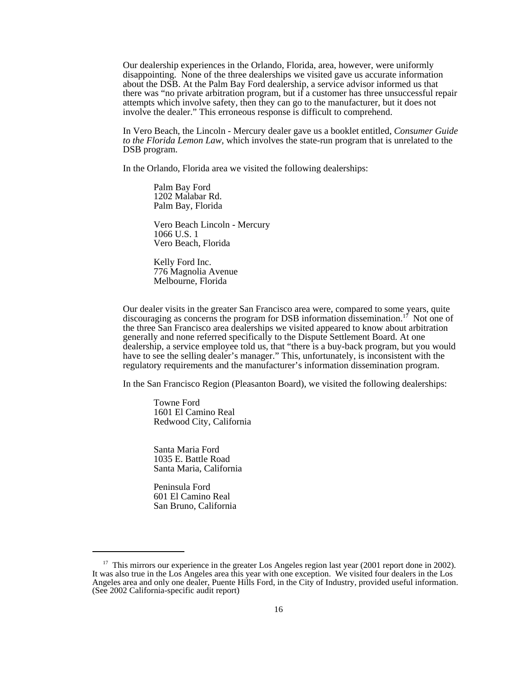Our dealership experiences in the Orlando, Florida, area, however, were uniformly disappointing. None of the three dealerships we visited gave us accurate information about the DSB. At the Palm Bay Ford dealership, a service advisor informed us that there was "no private arbitration program, but if a customer has three unsuccessful repair attempts which involve safety, then they can go to the manufacturer, but it does not involve the dealer." This erroneous response is difficult to comprehend.

In Vero Beach, the Lincoln - Mercury dealer gave us a booklet entitled, *Consumer Guide to the Florida Lemon Law,* which involves the state-run program that is unrelated to the DSB program.

In the Orlando, Florida area we visited the following dealerships:

Palm Bay Ford 1202 Malabar Rd. Palm Bay, Florida

Vero Beach Lincoln - Mercury 1066 U.S. 1 Vero Beach, Florida

Kelly Ford Inc. 776 Magnolia Avenue Melbourne, Florida

Our dealer visits in the greater San Francisco area were, compared to some years, quite discouraging as concerns the program for DSB information dissemination.17 Not one of the three San Francisco area dealerships we visited appeared to know about arbitration generally and none referred specifically to the Dispute Settlement Board. At one dealership, a service employee told us, that "there is a buy-back program, but you would have to see the selling dealer's manager." This, unfortunately, is inconsistent with the regulatory requirements and the manufacturer's information dissemination program.

In the San Francisco Region (Pleasanton Board), we visited the following dealerships:

Towne Ford 1601 El Camino Real Redwood City, California

Santa Maria Ford 1035 E. Battle Road Santa Maria, California

Peninsula Ford 601 El Camino Real San Bruno, California

<sup>&</sup>lt;sup>17</sup> This mirrors our experience in the greater Los Angeles region last year (2001 report done in 2002). It was also true in the Los Angeles area this year with one exception. We visited four dealers in the Los Angeles area and only one dealer, Puente Hills Ford, in the City of Industry, provided useful information. (See 2002 California-specific audit report)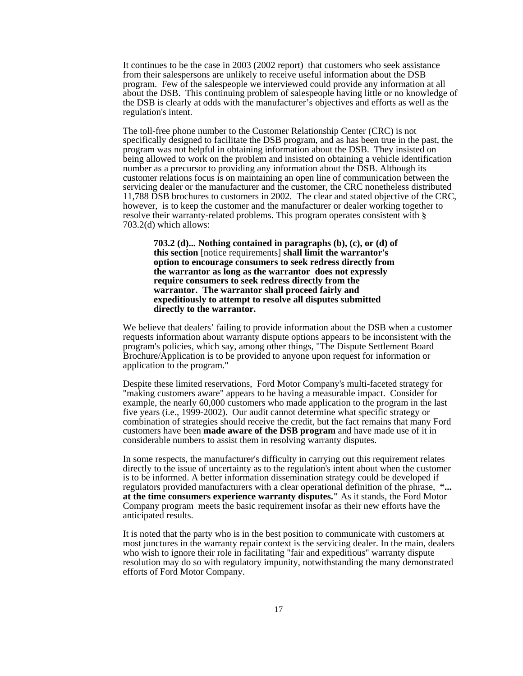It continues to be the case in 2003 (2002 report) that customers who seek assistance from their salespersons are unlikely to receive useful information about the DSB program. Few of the salespeople we interviewed could provide any information at all about the DSB. This continuing problem of salespeople having little or no knowledge of the DSB is clearly at odds with the manufacturer's objectives and efforts as well as the regulation's intent.

 The toll-free phone number to the Customer Relationship Center (CRC) is not specifically designed to facilitate the DSB program, and as has been true in the past, the program was not helpful in obtaining information about the DSB. They insisted on being allowed to work on the problem and insisted on obtaining a vehicle identification number as a precursor to providing any information about the DSB. Although its customer relations focus is on maintaining an open line of communication between the servicing dealer or the manufacturer and the customer, the CRC nonetheless distributed 11,788 DSB brochures to customers in 2002. The clear and stated objective of the CRC, however, is to keep the customer and the manufacturer or dealer working together to resolve their warranty-related problems. This program operates consistent with § 703.2(d) which allows:

**703.2 (d)... Nothing contained in paragraphs (b), (c), or (d) of this section** [notice requirements] **shall limit the warrantor's option to encourage consumers to seek redress directly from the warrantor as long as the warrantor does not expressly require consumers to seek redress directly from the warrantor. The warrantor shall proceed fairly and expeditiously to attempt to resolve all disputes submitted directly to the warrantor.**

We believe that dealers' failing to provide information about the DSB when a customer requests information about warranty dispute options appears to be inconsistent with the program's policies*,* which say, among other things, "The Dispute Settlement Board Brochure/Application is to be provided to anyone upon request for information or application to the program."

Despite these limited reservations, Ford Motor Company's multi-faceted strategy for "making customers aware" appears to be having a measurable impact. Consider for example, the nearly 60,000 customers who made application to the program in the last five years (i.e., 1999-2002). Our audit cannot determine what specific strategy or combination of strategies should receive the credit, but the fact remains that many Ford customers have been **made aware of the DSB program** and have made use of it in considerable numbers to assist them in resolving warranty disputes.

 In some respects, the manufacturer's difficulty in carrying out this requirement relates directly to the issue of uncertainty as to the regulation's intent about when the customer is to be informed. A better information dissemination strategy could be developed if regulators provided manufacturers with a clear operational definition of the phrase, **"... at the time consumers experience warranty disputes."** As it stands, the Ford Motor Company program meets the basic requirement insofar as their new efforts have the anticipated results.

It is noted that the party who is in the best position to communicate with customers at most junctures in the warranty repair context is the servicing dealer. In the main, dealers who wish to ignore their role in facilitating "fair and expeditious" warranty dispute resolution may do so with regulatory impunity, notwithstanding the many demonstrated efforts of Ford Motor Company.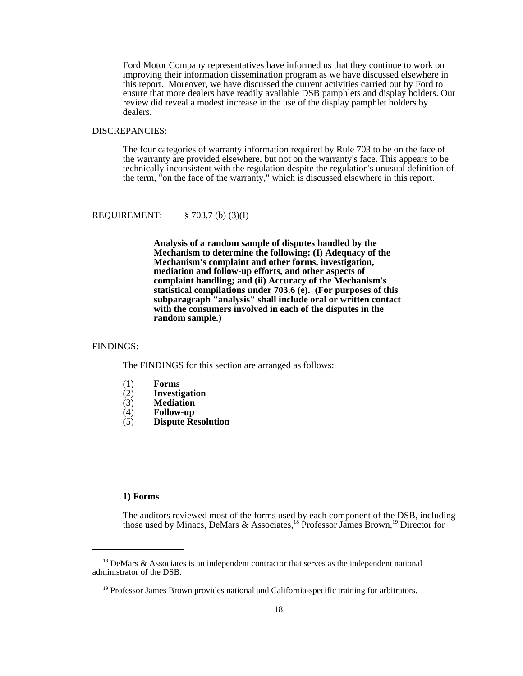Ford Motor Company representatives have informed us that they continue to work on improving their information dissemination program as we have discussed elsewhere in this report. Moreover, we have discussed the current activities carried out by Ford to ensure that more dealers have readily available DSB pamphlets and display holders. Our review did reveal a modest increase in the use of the display pamphlet holders by dealers.

#### DISCREPANCIES:

The four categories of warranty information required by Rule 703 to be on the face of the warranty are provided elsewhere, but not on the warranty's face. This appears to be technically inconsistent with the regulation despite the regulation's unusual definition of the term, "on the face of the warranty," which is discussed elsewhere in this report.

REQUIREMENT: § 703.7 (b) (3)(I)

**Analysis of a random sample of disputes handled by the Mechanism to determine the following: (I) Adequacy of the Mechanism's complaint and other forms, investigation, mediation and follow-up efforts, and other aspects of complaint handling; and (ii) Accuracy of the Mechanism's statistical compilations under 703.6 (e). (For purposes of this subparagraph "analysis" shall include oral or written contact with the consumers involved in each of the disputes in the random sample.)**

#### FINDINGS:

The FINDINGS for this section are arranged as follows:

- (1) **Forms**
- (2) **Investigation**
- (3) **Mediation**
- (4) **Follow-up**
- (5) **Dispute Resolution**

# **1) Forms**

The auditors reviewed most of the forms used by each component of the DSB, including those used by Minacs, DeMars & Associates,<sup>18</sup> Professor James Brown,<sup>19</sup> Director for

 $18$  DeMars & Associates is an independent contractor that serves as the independent national administrator of the DSB.

<sup>&</sup>lt;sup>19</sup> Professor James Brown provides national and California-specific training for arbitrators.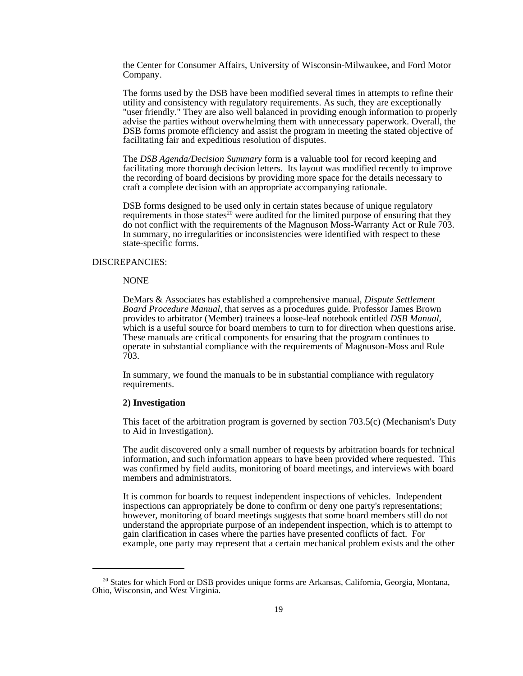the Center for Consumer Affairs, University of Wisconsin-Milwaukee, and Ford Motor Company.

 The forms used by the DSB have been modified several times in attempts to refine their utility and consistency with regulatory requirements. As such, they are exceptionally "user friendly." They are also well balanced in providing enough information to properly advise the parties without overwhelming them with unnecessary paperwork. Overall, the DSB forms promote efficiency and assist the program in meeting the stated objective of facilitating fair and expeditious resolution of disputes.

The *DSB Agenda/Decision Summary* form is a valuable tool for record keeping and facilitating more thorough decision letters. Its layout was modified recently to improve the recording of board decisions by providing more space for the details necessary to craft a complete decision with an appropriate accompanying rationale.

DSB forms designed to be used only in certain states because of unique regulatory requirements in those states<sup>20</sup> were audited for the limited purpose of ensuring that they do not conflict with the requirements of the Magnuson Moss-Warranty Act or Rule 703. In summary, no irregularities or inconsistencies were identified with respect to these state-specific forms.

#### DISCREPANCIES:

#### NONE

 DeMars & Associates has established a comprehensive manual, *Dispute Settlement Board Procedure Manual,* that serves as a procedures guide. Professor James Brown provides to arbitrator (Member) trainees a loose-leaf notebook entitled *DSB Manual,* which is a useful source for board members to turn to for direction when questions arise. These manuals are critical components for ensuring that the program continues to operate in substantial compliance with the requirements of Magnuson-Moss and Rule 703.

In summary, we found the manuals to be in substantial compliance with regulatory requirements.

# **2) Investigation**

This facet of the arbitration program is governed by section 703.5(c) (Mechanism's Duty to Aid in Investigation).

The audit discovered only a small number of requests by arbitration boards for technical information, and such information appears to have been provided where requested. This was confirmed by field audits, monitoring of board meetings, and interviews with board members and administrators.

It is common for boards to request independent inspections of vehicles. Independent inspections can appropriately be done to confirm or deny one party's representations; however, monitoring of board meetings suggests that some board members still do not understand the appropriate purpose of an independent inspection, which is to attempt to gain clarification in cases where the parties have presented conflicts of fact. For example, one party may represent that a certain mechanical problem exists and the other

 $20$  States for which Ford or DSB provides unique forms are Arkansas, California, Georgia, Montana, Ohio, Wisconsin, and West Virginia.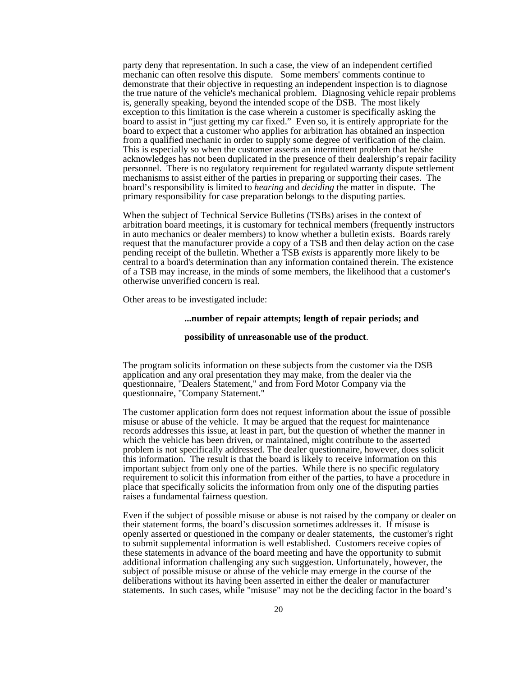party deny that representation. In such a case, the view of an independent certified mechanic can often resolve this dispute. Some members' comments continue to demonstrate that their objective in requesting an independent inspection is to diagnose the true nature of the vehicle's mechanical problem. Diagnosing vehicle repair problems is, generally speaking, beyond the intended scope of the DSB. The most likely exception to this limitation is the case wherein a customer is specifically asking the board to assist in "just getting my car fixed." Even so, it is entirely appropriate for the board to expect that a customer who applies for arbitration has obtained an inspection from a qualified mechanic in order to supply some degree of verification of the claim. This is especially so when the customer asserts an intermittent problem that he/she acknowledges has not been duplicated in the presence of their dealership's repair facility personnel. There is no regulatory requirement for regulated warranty dispute settlement mechanisms to assist either of the parties in preparing or supporting their cases. The board's responsibility is limited to *hearing* and *deciding* the matter in dispute. The primary responsibility for case preparation belongs to the disputing parties.

When the subject of Technical Service Bulletins (TSBs) arises in the context of arbitration board meetings, it is customary for technical members (frequently instructors in auto mechanics or dealer members) to know whether a bulletin exists. Boards rarely request that the manufacturer provide a copy of a TSB and then delay action on the case pending receipt of the bulletin. Whether a TSB *exists* is apparently more likely to be central to a board's determination than any information contained therein. The existence of a TSB may increase, in the minds of some members, the likelihood that a customer's otherwise unverified concern is real.

Other areas to be investigated include:

#### **...number of repair attempts; length of repair periods; and**

#### **possibility of unreasonable use of the product**.

The program solicits information on these subjects from the customer via the DSB application and any oral presentation they may make, from the dealer via the questionnaire, "Dealers Statement," and from Ford Motor Company via the questionnaire, "Company Statement."

The customer application form does not request information about the issue of possible misuse or abuse of the vehicle. It may be argued that the request for maintenance records addresses this issue, at least in part, but the question of whether the manner in which the vehicle has been driven, or maintained, might contribute to the asserted problem is not specifically addressed. The dealer questionnaire, however, does solicit this information. The result is that the board is likely to receive information on this important subject from only one of the parties. While there is no specific regulatory requirement to solicit this information from either of the parties, to have a procedure in place that specifically solicits the information from only one of the disputing parties raises a fundamental fairness question.

Even if the subject of possible misuse or abuse is not raised by the company or dealer on their statement forms, the board's discussion sometimes addresses it. If misuse is openly asserted or questioned in the company or dealer statements, the customer's right to submit supplemental information is well established. Customers receive copies of these statements in advance of the board meeting and have the opportunity to submit additional information challenging any such suggestion. Unfortunately, however, the subject of possible misuse or abuse of the vehicle may emerge in the course of the deliberations without its having been asserted in either the dealer or manufacturer statements. In such cases, while "misuse" may not be the deciding factor in the board's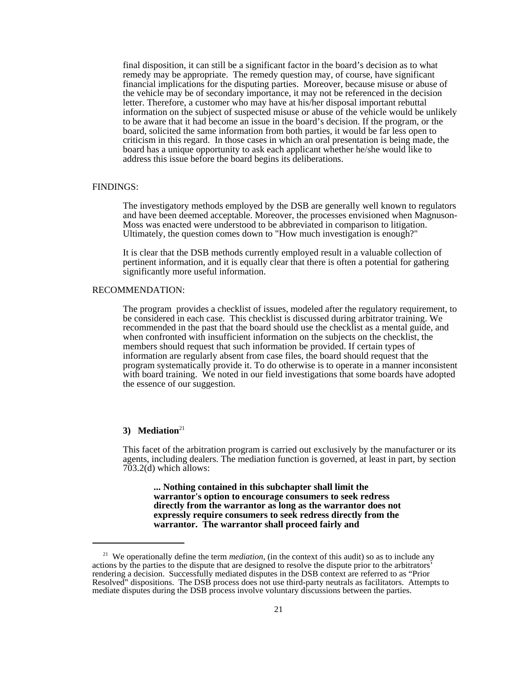final disposition, it can still be a significant factor in the board's decision as to what remedy may be appropriate. The remedy question may, of course, have significant financial implications for the disputing parties. Moreover, because misuse or abuse of the vehicle may be of secondary importance, it may not be referenced in the decision letter. Therefore, a customer who may have at his/her disposal important rebuttal information on the subject of suspected misuse or abuse of the vehicle would be unlikely to be aware that it had become an issue in the board's decision. If the program, or the board, solicited the same information from both parties, it would be far less open to criticism in this regard. In those cases in which an oral presentation is being made, the board has a unique opportunity to ask each applicant whether he/she would like to address this issue before the board begins its deliberations.

#### FINDINGS:

The investigatory methods employed by the DSB are generally well known to regulators and have been deemed acceptable. Moreover, the processes envisioned when Magnuson-Moss was enacted were understood to be abbreviated in comparison to litigation. Ultimately, the question comes down to "How much investigation is enough?"

It is clear that the DSB methods currently employed result in a valuable collection of pertinent information, and it is equally clear that there is often a potential for gathering significantly more useful information.

#### RECOMMENDATION:

The program provides a checklist of issues, modeled after the regulatory requirement, to be considered in each case. This checklist is discussed during arbitrator training. We recommended in the past that the board should use the checklist as a mental guide, and when confronted with insufficient information on the subjects on the checklist, the members should request that such information be provided. If certain types of information are regularly absent from case files, the board should request that the program systematically provide it. To do otherwise is to operate in a manner inconsistent with board training. We noted in our field investigations that some boards have adopted the essence of our suggestion.

# 3) Mediation<sup>21</sup>

This facet of the arbitration program is carried out exclusively by the manufacturer or its agents, including dealers. The mediation function is governed, at least in part, by section 703.2(d) which allows:

**... Nothing contained in this subchapter shall limit the warrantor's option to encourage consumers to seek redress directly from the warrantor as long as the warrantor does not expressly require consumers to seek redress directly from the warrantor. The warrantor shall proceed fairly and**

<sup>&</sup>lt;sup>21</sup> We operationally define the term *mediation*, (in the context of this audit) so as to include any actions by the parties to the dispute that are designed to resolve the dispute prior to the arbitrators' rendering a decision. Successfully mediated disputes in the DSB context are referred to as "Prior Resolved" dispositions. The DSB process does not use third-party neutrals as facilitators. Attempts to mediate disputes during the DSB process involve voluntary discussions between the parties.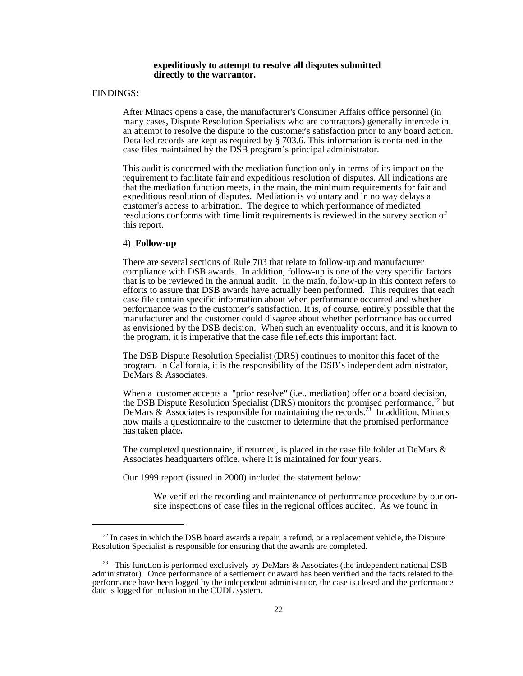#### **expeditiously to attempt to resolve all disputes submitted directly to the warrantor.**

# FINDINGS**:**

After Minacs opens a case, the manufacturer's Consumer Affairs office personnel (in many cases, Dispute Resolution Specialists who are contractors) generally intercede in an attempt to resolve the dispute to the customer's satisfaction prior to any board action. Detailed records are kept as required by § 703.6. This information is contained in the case files maintained by the DSB program's principal administrator.

This audit is concerned with the mediation function only in terms of its impact on the requirement to facilitate fair and expeditious resolution of disputes. All indications are that the mediation function meets, in the main, the minimum requirements for fair and expeditious resolution of disputes. Mediation is voluntary and in no way delays a customer's access to arbitration. The degree to which performance of mediated resolutions conforms with time limit requirements is reviewed in the survey section of this report.

## 4) **Follow-up**

There are several sections of Rule 703 that relate to follow-up and manufacturer compliance with DSB awards. In addition, follow-up is one of the very specific factors that is to be reviewed in the annual audit. In the main, follow-up in this context refers to efforts to assure that DSB awards have actually been performed. This requires that each case file contain specific information about when performance occurred and whether performance was to the customer's satisfaction. It is, of course, entirely possible that the manufacturer and the customer could disagree about whether performance has occurred as envisioned by the DSB decision. When such an eventuality occurs, and it is known to the program, it is imperative that the case file reflects this important fact.

The DSB Dispute Resolution Specialist (DRS) continues to monitor this facet of the program. In California, it is the responsibility of the DSB's independent administrator, DeMars & Associates.

When a customer accepts a "prior resolve" (i.e., mediation) offer or a board decision, the DSB Dispute Resolution Specialist (DRS) monitors the promised performance,<sup>22</sup> but DeMars & Associates is responsible for maintaining the records.<sup>23</sup> In addition, Minacs now mails a questionnaire to the customer to determine that the promised performance has taken place**.**

The completed questionnaire, if returned, is placed in the case file folder at DeMars & Associates headquarters office, where it is maintained for four years.

Our 1999 report (issued in 2000) included the statement below:

We verified the recording and maintenance of performance procedure by our onsite inspections of case files in the regional offices audited. As we found in

 $22$  In cases in which the DSB board awards a repair, a refund, or a replacement vehicle, the Dispute Resolution Specialist is responsible for ensuring that the awards are completed.

<sup>&</sup>lt;sup>23</sup> This function is performed exclusively by DeMars & Associates (the independent national DSB administrator). Once performance of a settlement or award has been verified and the facts related to the performance have been logged by the independent administrator, the case is closed and the performance date is logged for inclusion in the CUDL system.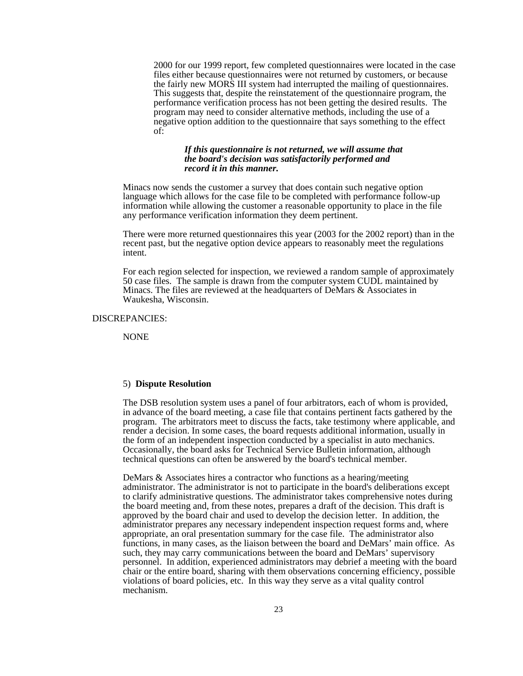2000 for our 1999 report, few completed questionnaires were located in the case files either because questionnaires were not returned by customers, or because the fairly new MORS III system had interrupted the mailing of questionnaires. This suggests that, despite the reinstatement of the questionnaire program, the performance verification process has not been getting the desired results. The program may need to consider alternative methods, including the use of a negative option addition to the questionnaire that says something to the effect of:

# *If this questionnaire is not returned, we will assume that the board's decision was satisfactorily performed and record it in this manner.*

Minacs now sends the customer a survey that does contain such negative option language which allows for the case file to be completed with performance follow-up information while allowing the customer a reasonable opportunity to place in the file any performance verification information they deem pertinent.

There were more returned questionnaires this year (2003 for the 2002 report) than in the recent past, but the negative option device appears to reasonably meet the regulations intent.

For each region selected for inspection, we reviewed a random sample of approximately 50 case files. The sample is drawn from the computer system CUDL maintained by Minacs. The files are reviewed at the headquarters of DeMars & Associates in Waukesha, Wisconsin.

# DISCREPANCIES:

NONE

# 5) **Dispute Resolution**

The DSB resolution system uses a panel of four arbitrators, each of whom is provided, in advance of the board meeting, a case file that contains pertinent facts gathered by the program. The arbitrators meet to discuss the facts, take testimony where applicable, and render a decision. In some cases, the board requests additional information, usually in the form of an independent inspection conducted by a specialist in auto mechanics. Occasionally, the board asks for Technical Service Bulletin information, although technical questions can often be answered by the board's technical member.

DeMars & Associates hires a contractor who functions as a hearing/meeting administrator. The administrator is not to participate in the board's deliberations except to clarify administrative questions. The administrator takes comprehensive notes during the board meeting and, from these notes, prepares a draft of the decision. This draft is approved by the board chair and used to develop the decision letter. In addition, the administrator prepares any necessary independent inspection request forms and, where appropriate, an oral presentation summary for the case file. The administrator also functions, in many cases, as the liaison between the board and DeMars' main office. As such, they may carry communications between the board and DeMars' supervisory personnel. In addition, experienced administrators may debrief a meeting with the board chair or the entire board, sharing with them observations concerning efficiency, possible violations of board policies, etc. In this way they serve as a vital quality control mechanism.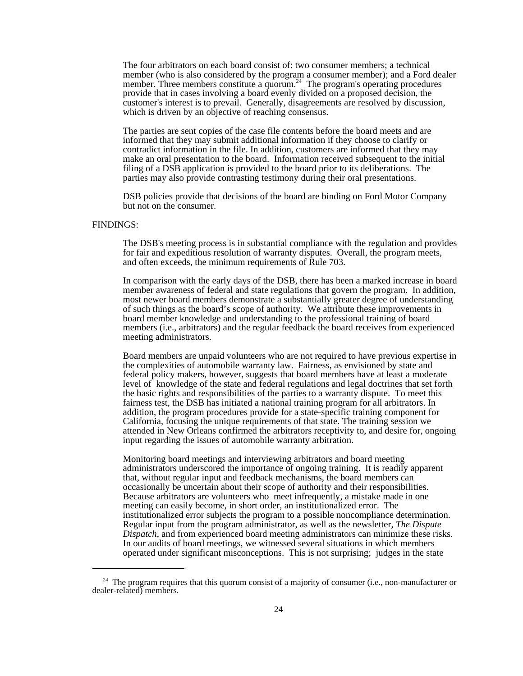The four arbitrators on each board consist of: two consumer members; a technical member (who is also considered by the program a consumer member); and a Ford dealer member. Three members constitute a quorum.<sup>24</sup> The program's operating procedures provide that in cases involving a board evenly divided on a proposed decision, the customer's interest is to prevail. Generally, disagreements are resolved by discussion, which is driven by an objective of reaching consensus.

The parties are sent copies of the case file contents before the board meets and are informed that they may submit additional information if they choose to clarify or contradict information in the file. In addition, customers are informed that they may make an oral presentation to the board. Information received subsequent to the initial filing of a DSB application is provided to the board prior to its deliberations. The parties may also provide contrasting testimony during their oral presentations.

DSB policies provide that decisions of the board are binding on Ford Motor Company but not on the consumer.

# FINDINGS:

The DSB's meeting process is in substantial compliance with the regulation and provides for fair and expeditious resolution of warranty disputes. Overall, the program meets, and often exceeds, the minimum requirements of Rule 703.

In comparison with the early days of the DSB, there has been a marked increase in board member awareness of federal and state regulations that govern the program. In addition, most newer board members demonstrate a substantially greater degree of understanding of such things as the board's scope of authority. We attribute these improvements in board member knowledge and understanding to the professional training of board members (i.e., arbitrators) and the regular feedback the board receives from experienced meeting administrators.

Board members are unpaid volunteers who are not required to have previous expertise in the complexities of automobile warranty law. Fairness, as envisioned by state and federal policy makers, however, suggests that board members have at least a moderate level of knowledge of the state and federal regulations and legal doctrines that set forth the basic rights and responsibilities of the parties to a warranty dispute. To meet this fairness test, the DSB has initiated a national training program for all arbitrators. In addition, the program procedures provide for a state-specific training component for California, focusing the unique requirements of that state. The training session we attended in New Orleans confirmed the arbitrators receptivity to, and desire for, ongoing input regarding the issues of automobile warranty arbitration.

Monitoring board meetings and interviewing arbitrators and board meeting administrators underscored the importance of ongoing training. It is readily apparent that, without regular input and feedback mechanisms, the board members can occasionally be uncertain about their scope of authority and their responsibilities. Because arbitrators are volunteers who meet infrequently, a mistake made in one meeting can easily become, in short order, an institutionalized error. The institutionalized error subjects the program to a possible noncompliance determination. Regular input from the program administrator, as well as the newsletter*, The Dispute Dispatch*, and from experienced board meeting administrators can minimize these risks. In our audits of board meetings, we witnessed several situations in which members operated under significant misconceptions. This is not surprising; judges in the state

 $24$  The program requires that this quorum consist of a majority of consumer (i.e., non-manufacturer or dealer-related) members.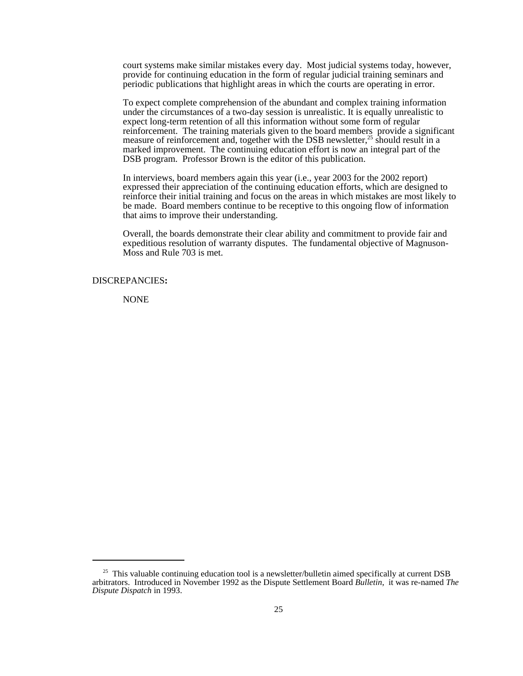court systems make similar mistakes every day. Most judicial systems today, however, provide for continuing education in the form of regular judicial training seminars and periodic publications that highlight areas in which the courts are operating in error.

To expect complete comprehension of the abundant and complex training information under the circumstances of a two-day session is unrealistic. It is equally unrealistic to expect long-term retention of all this information without some form of regular reinforcement. The training materials given to the board members provide a significant measure of reinforcement and, together with the DSB newsletter,<sup>25</sup> should result in a marked improvement. The continuing education effort is now an integral part of the DSB program. Professor Brown is the editor of this publication.

In interviews, board members again this year (i.e., year 2003 for the 2002 report) expressed their appreciation of the continuing education efforts, which are designed to reinforce their initial training and focus on the areas in which mistakes are most likely to be made. Board members continue to be receptive to this ongoing flow of information that aims to improve their understanding.

 Overall, the boards demonstrate their clear ability and commitment to provide fair and expeditious resolution of warranty disputes. The fundamental objective of Magnuson-Moss and Rule 703 is met.

#### DISCREPANCIES**:**

NONE

<sup>&</sup>lt;sup>25</sup> This valuable continuing education tool is a newsletter/bulletin aimed specifically at current DSB arbitrators. Introduced in November 1992 as the Dispute Settlement Board *Bulletin*, it was re-named *The Dispute Dispatch* in 1993.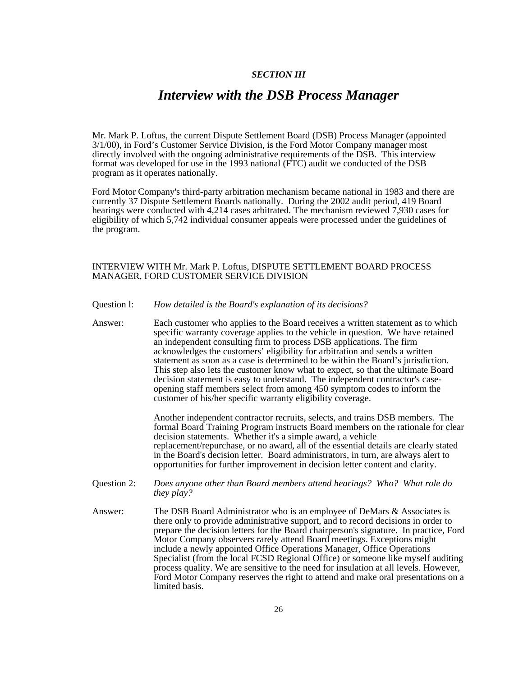# *SECTION III*

# *Interview with the DSB Process Manager*

Mr. Mark P. Loftus, the current Dispute Settlement Board (DSB) Process Manager (appointed 3/1/00), in Ford's Customer Service Division, is the Ford Motor Company manager most directly involved with the ongoing administrative requirements of the DSB. This interview format was developed for use in the 1993 national (FTC) audit we conducted of the DSB program as it operates nationally.

Ford Motor Company's third-party arbitration mechanism became national in 1983 and there are currently 37 Dispute Settlement Boards nationally. During the 2002 audit period, 419 Board hearings were conducted with 4,214 cases arbitrated. The mechanism reviewed 7,930 cases for eligibility of which 5,742 individual consumer appeals were processed under the guidelines of the program.

# INTERVIEW WITH Mr. Mark P. Loftus, DISPUTE SETTLEMENT BOARD PROCESS MANAGER, FORD CUSTOMER SERVICE DIVISION

### Question l: *How detailed is the Board's explanation of its decisions?*

Answer: Each customer who applies to the Board receives a written statement as to which specific warranty coverage applies to the vehicle in question. We have retained an independent consulting firm to process DSB applications. The firm acknowledges the customers' eligibility for arbitration and sends a written statement as soon as a case is determined to be within the Board's jurisdiction. This step also lets the customer know what to expect, so that the ultimate Board decision statement is easy to understand. The independent contractor's caseopening staff members select from among 450 symptom codes to inform the customer of his/her specific warranty eligibility coverage.

> Another independent contractor recruits, selects, and trains DSB members. The formal Board Training Program instructs Board members on the rationale for clear decision statements. Whether it's a simple award, a vehicle replacement/repurchase, or no award, all of the essential details are clearly stated in the Board's decision letter. Board administrators, in turn, are always alert to opportunities for further improvement in decision letter content and clarity.

- Question 2: *Does anyone other than Board members attend hearings? Who? What role do they play?*
- Answer: The DSB Board Administrator who is an employee of DeMars & Associates is there only to provide administrative support, and to record decisions in order to prepare the decision letters for the Board chairperson's signature. In practice, Ford Motor Company observers rarely attend Board meetings. Exceptions might include a newly appointed Office Operations Manager, Office Operations Specialist (from the local FCSD Regional Office) or someone like myself auditing process quality. We are sensitive to the need for insulation at all levels. However, Ford Motor Company reserves the right to attend and make oral presentations on a limited basis.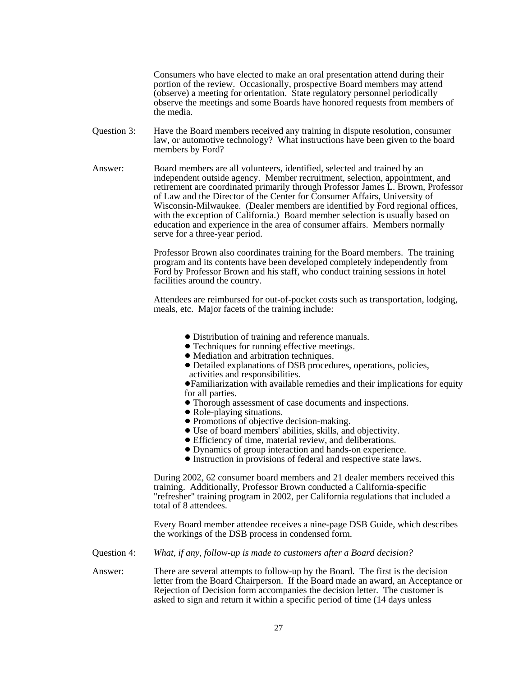Consumers who have elected to make an oral presentation attend during their portion of the review. Occasionally, prospective Board members may attend (observe) a meeting for orientation. State regulatory personnel periodically observe the meetings and some Boards have honored requests from members of the media.

- Question 3: Have the Board members received any training in dispute resolution, consumer law, or automotive technology? What instructions have been given to the board members by Ford?
- Answer: Board members are all volunteers, identified, selected and trained by an independent outside agency. Member recruitment, selection, appointment, and retirement are coordinated primarily through Professor James L. Brown, Professor of Law and the Director of the Center for Consumer Affairs, University of Wisconsin-Milwaukee. (Dealer members are identified by Ford regional offices, with the exception of California.) Board member selection is usually based on education and experience in the area of consumer affairs. Members normally serve for a three-year period.

Professor Brown also coordinates training for the Board members. The training program and its contents have been developed completely independently from Ford by Professor Brown and his staff, who conduct training sessions in hotel facilities around the country.

Attendees are reimbursed for out-of-pocket costs such as transportation, lodging, meals, etc. Major facets of the training include:

- ! Distribution of training and reference manuals.
- Techniques for running effective meetings.
- Mediation and arbitration techniques.
- ! Detailed explanations of DSB procedures, operations, policies, activities and responsibilities.

!Familiarization with available remedies and their implications for equity for all parties.

- ! Thorough assessment of case documents and inspections.
- Role-playing situations.
- Promotions of objective decision-making.
- ! Use of board members' abilities, skills, and objectivity.
- ! Efficiency of time, material review, and deliberations.
- ! Dynamics of group interaction and hands-on experience.
- ! Instruction in provisions of federal and respective state laws.

During 2002, 62 consumer board members and 21 dealer members received this training. Additionally, Professor Brown conducted a California-specific "refresher" training program in 2002, per California regulations that included a total of 8 attendees.

Every Board member attendee receives a nine-page DSB Guide, which describes the workings of the DSB process in condensed form.

Question 4: *What, if any, follow-up is made to customers after a Board decision?*

Answer: There are several attempts to follow-up by the Board. The first is the decision letter from the Board Chairperson. If the Board made an award, an Acceptance or Rejection of Decision form accompanies the decision letter. The customer is asked to sign and return it within a specific period of time (14 days unless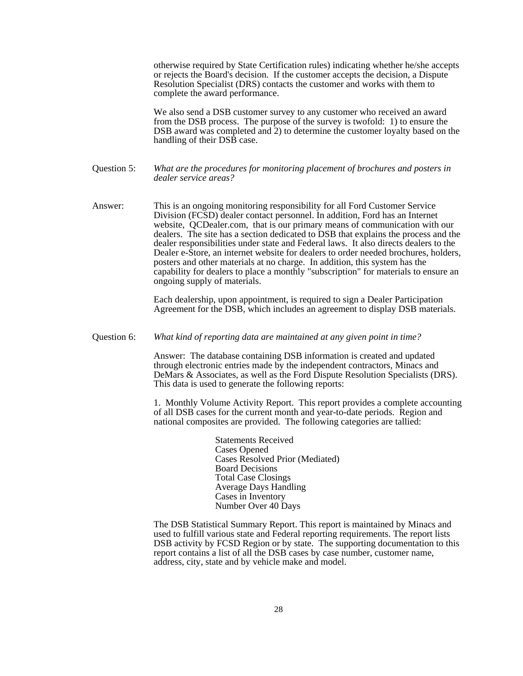otherwise required by State Certification rules) indicating whether he/she accepts or rejects the Board's decision. If the customer accepts the decision, a Dispute Resolution Specialist (DRS) contacts the customer and works with them to complete the award performance.

We also send a DSB customer survey to any customer who received an award from the DSB process. The purpose of the survey is twofold: 1) to ensure the DSB award was completed and 2) to determine the customer loyalty based on the handling of their DSB case.

# Question 5: *What are the procedures for monitoring placement of brochures and posters in dealer service areas?*

Answer: This is an ongoing monitoring responsibility for all Ford Customer Service Division (FCSD) dealer contact personnel. In addition, Ford has an Internet website, QCDealer.com, that is our primary means of communication with our dealers. The site has a section dedicated to DSB that explains the process and the dealer responsibilities under state and Federal laws. It also directs dealers to the Dealer e-Store, an internet website for dealers to order needed brochures, holders, posters and other materials at no charge. In addition, this system has the capability for dealers to place a monthly "subscription" for materials to ensure an ongoing supply of materials.

> Each dealership, upon appointment, is required to sign a Dealer Participation Agreement for the DSB, which includes an agreement to display DSB materials.

Question 6: *What kind of reporting data are maintained at any given point in time?*

Answer: The database containing DSB information is created and updated through electronic entries made by the independent contractors, Minacs and DeMars & Associates, as well as the Ford Dispute Resolution Specialists (DRS). This data is used to generate the following reports:

1. Monthly Volume Activity Report. This report provides a complete accounting of all DSB cases for the current month and year-to-date periods. Region and national composites are provided. The following categories are tallied:

> Statements Received Cases Opened Cases Resolved Prior (Mediated) Board Decisions Total Case Closings Average Days Handling Cases in Inventory Number Over 40 Days

The DSB Statistical Summary Report. This report is maintained by Minacs and used to fulfill various state and Federal reporting requirements. The report lists DSB activity by FCSD Region or by state. The supporting documentation to this report contains a list of all the DSB cases by case number, customer name, address, city, state and by vehicle make and model.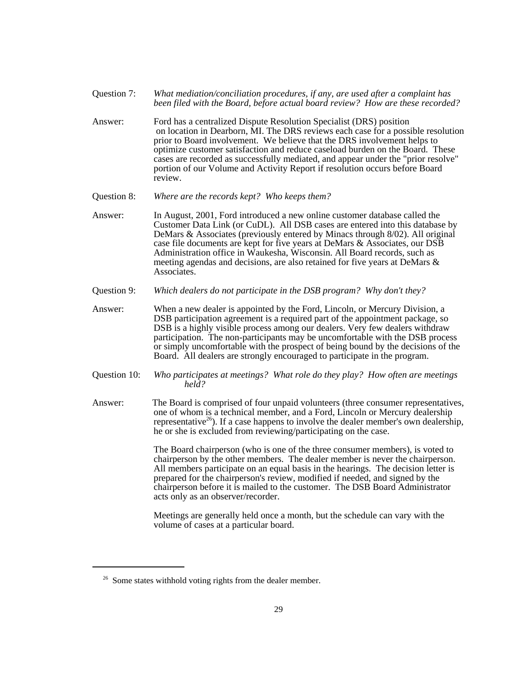- Question 7: *What mediation/conciliation procedures, if any, are used after a complaint has been filed with the Board, before actual board review? How are these recorded?*
- Answer: Ford has a centralized Dispute Resolution Specialist (DRS) position on location in Dearborn, MI. The DRS reviews each case for a possible resolution prior to Board involvement. We believe that the DRS involvement helps to optimize customer satisfaction and reduce caseload burden on the Board. These cases are recorded as successfully mediated, and appear under the "prior resolve" portion of our Volume and Activity Report if resolution occurs before Board review.
- Question 8: *Where are the records kept? Who keeps them?*
- Answer: In August, 2001, Ford introduced a new online customer database called the Customer Data Link (or CuDL). All DSB cases are entered into this database by DeMars & Associates (previously entered by Minacs through 8/02). All original case file documents are kept for five years at DeMars & Associates, our DSB Administration office in Waukesha, Wisconsin. All Board records, such as meeting agendas and decisions, are also retained for five years at DeMars & Associates.
- Question 9: *Which dealers do not participate in the DSB program? Why don't they?*
- Answer: When a new dealer is appointed by the Ford, Lincoln, or Mercury Division, a DSB participation agreement is a required part of the appointment package, so DSB is a highly visible process among our dealers. Very few dealers withdraw participation. The non-participants may be uncomfortable with the DSB process or simply uncomfortable with the prospect of being bound by the decisions of the Board. All dealers are strongly encouraged to participate in the program.
- Question 10: *Who participates at meetings? What role do they play? How often are meetings held?*
- Answer: The Board is comprised of four unpaid volunteers (three consumer representatives, one of whom is a technical member, and a Ford, Lincoln or Mercury dealership representative<sup>26</sup>). If a case happens to involve the dealer member's own dealership, he or she is excluded from reviewing/participating on the case.

The Board chairperson (who is one of the three consumer members), is voted to chairperson by the other members. The dealer member is never the chairperson. All members participate on an equal basis in the hearings. The decision letter is prepared for the chairperson's review, modified if needed, and signed by the chairperson before it is mailed to the customer. The DSB Board Administrator acts only as an observer/recorder.

Meetings are generally held once a month, but the schedule can vary with the volume of cases at a particular board.

<sup>&</sup>lt;sup>26</sup> Some states withhold voting rights from the dealer member.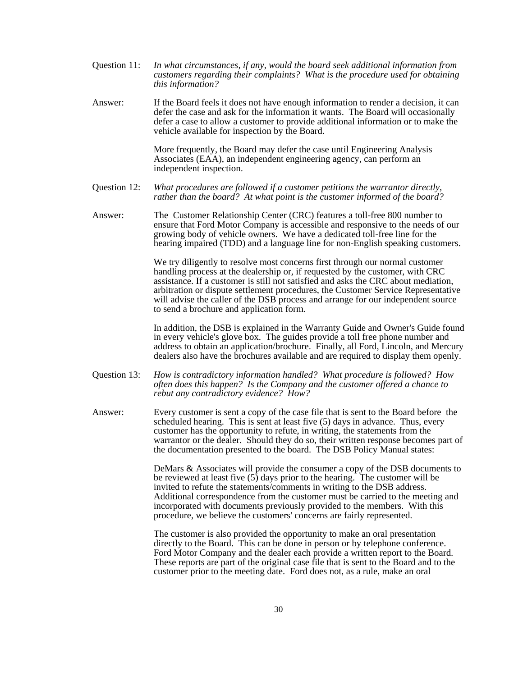- Question 11: *In what circumstances, if any, would the board seek additional information from customers regarding their complaints? What is the procedure used for obtaining this information?*
- Answer: If the Board feels it does not have enough information to render a decision, it can defer the case and ask for the information it wants. The Board will occasionally defer a case to allow a customer to provide additional information or to make the vehicle available for inspection by the Board.

More frequently, the Board may defer the case until Engineering Analysis Associates (EAA), an independent engineering agency, can perform an independent inspection.

- Question 12: *What procedures are followed if a customer petitions the warrantor directly, rather than the board? At what point is the customer informed of the board?*
- Answer: The Customer Relationship Center (CRC) features a toll-free 800 number to ensure that Ford Motor Company is accessible and responsive to the needs of our growing body of vehicle owners. We have a dedicated toll-free line for the hearing impaired (TDD) and a language line for non-English speaking customers.

We try diligently to resolve most concerns first through our normal customer handling process at the dealership or, if requested by the customer, with CRC assistance. If a customer is still not satisfied and asks the CRC about mediation, arbitration or dispute settlement procedures, the Customer Service Representative will advise the caller of the DSB process and arrange for our independent source to send a brochure and application form.

In addition, the DSB is explained in the Warranty Guide and Owner's Guide found in every vehicle's glove box. The guides provide a toll free phone number and address to obtain an application/brochure. Finally, all Ford, Lincoln, and Mercury dealers also have the brochures available and are required to display them openly.

- Question 13: *How is contradictory information handled? What procedure is followed? How often does this happen? Is the Company and the customer offered a chance to rebut any contradictory evidence? How?*
- Answer: Every customer is sent a copy of the case file that is sent to the Board before the scheduled hearing. This is sent at least five (5) days in advance. Thus, every customer has the opportunity to refute, in writing, the statements from the warrantor or the dealer. Should they do so, their written response becomes part of the documentation presented to the board. The DSB Policy Manual states:

DeMars & Associates will provide the consumer a copy of the DSB documents to be reviewed at least five  $(5)$  days prior to the hearing. The customer will be invited to refute the statements/comments in writing to the DSB address. Additional correspondence from the customer must be carried to the meeting and incorporated with documents previously provided to the members. With this procedure, we believe the customers' concerns are fairly represented.

The customer is also provided the opportunity to make an oral presentation directly to the Board. This can be done in person or by telephone conference. Ford Motor Company and the dealer each provide a written report to the Board. These reports are part of the original case file that is sent to the Board and to the customer prior to the meeting date. Ford does not, as a rule, make an oral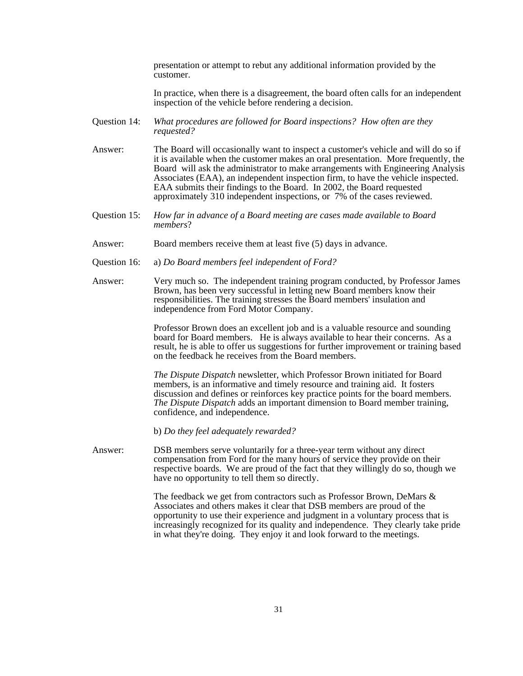presentation or attempt to rebut any additional information provided by the customer.

In practice, when there is a disagreement, the board often calls for an independent inspection of the vehicle before rendering a decision.

- Question 14: *What procedures are followed for Board inspections? How often are they requested?*
- Answer: The Board will occasionally want to inspect a customer's vehicle and will do so if it is available when the customer makes an oral presentation. More frequently, the Board will ask the administrator to make arrangements with Engineering Analysis Associates (EAA), an independent inspection firm, to have the vehicle inspected. EAA submits their findings to the Board. In 2002, the Board requested approximately 310 independent inspections, or 7% of the cases reviewed.
- Question 15: *How far in advance of a Board meeting are cases made available to Board members*?
- Answer: Board members receive them at least five (5) days in advance.
- Question 16: a) *Do Board members feel independent of Ford?*
- Answer: Very much so. The independent training program conducted, by Professor James Brown, has been very successful in letting new Board members know their responsibilities. The training stresses the Board members' insulation and independence from Ford Motor Company.

Professor Brown does an excellent job and is a valuable resource and sounding board for Board members. He is always available to hear their concerns. As a result, he is able to offer us suggestions for further improvement or training based on the feedback he receives from the Board members.

*The Dispute Dispatch* newsletter, which Professor Brown initiated for Board members, is an informative and timely resource and training aid. It fosters discussion and defines or reinforces key practice points for the board members. *The Dispute Dispatch* adds an important dimension to Board member training, confidence, and independence.

b) *Do they feel adequately rewarded?*

Answer: DSB members serve voluntarily for a three-year term without any direct compensation from Ford for the many hours of service they provide on their respective boards. We are proud of the fact that they willingly do so, though we have no opportunity to tell them so directly.

> The feedback we get from contractors such as Professor Brown, DeMars & Associates and others makes it clear that DSB members are proud of the opportunity to use their experience and judgment in a voluntary process that is increasingly recognized for its quality and independence. They clearly take pride in what they're doing. They enjoy it and look forward to the meetings.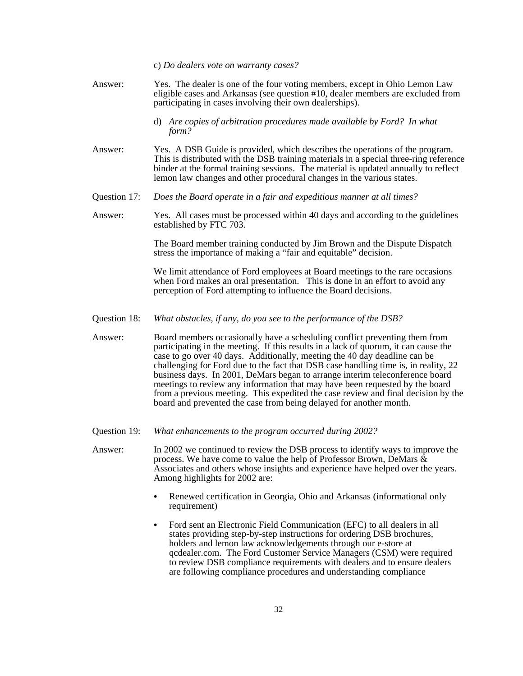c) *Do dealers vote on warranty cases?*

- Answer: Yes. The dealer is one of the four voting members, except in Ohio Lemon Law eligible cases and Arkansas (see question #10, dealer members are excluded from participating in cases involving their own dealerships).
	- d) *Are copies of arbitration procedures made available by Ford? In what form?*
- Answer: Yes. A DSB Guide is provided, which describes the operations of the program. This is distributed with the DSB training materials in a special three-ring reference binder at the formal training sessions. The material is updated annually to reflect lemon law changes and other procedural changes in the various states.
- Question 17: *Does the Board operate in a fair and expeditious manner at all times?*

Answer: Yes. All cases must be processed within 40 days and according to the guidelines established by FTC 703.

> The Board member training conducted by Jim Brown and the Dispute Dispatch stress the importance of making a "fair and equitable" decision.

> We limit attendance of Ford employees at Board meetings to the rare occasions when Ford makes an oral presentation. This is done in an effort to avoid any perception of Ford attempting to influence the Board decisions.

- Question 18: *What obstacles, if any, do you see to the performance of the DSB?*
- Answer: Board members occasionally have a scheduling conflict preventing them from participating in the meeting. If this results in a lack of quorum, it can cause the case to go over 40 days. Additionally, meeting the 40 day deadline can be challenging for Ford due to the fact that DSB case handling time is, in reality, 22 business days. In 2001, DeMars began to arrange interim teleconference board meetings to review any information that may have been requested by the board from a previous meeting. This expedited the case review and final decision by the board and prevented the case from being delayed for another month.
- Question 19: *What enhancements to the program occurred during 2002?*
- Answer: In 2002 we continued to review the DSB process to identify ways to improve the process. We have come to value the help of Professor Brown, DeMars  $\&$ Associates and others whose insights and experience have helped over the years. Among highlights for 2002 are:
	- Renewed certification in Georgia, Ohio and Arkansas (informational only requirement)
	- Ford sent an Electronic Field Communication (EFC) to all dealers in all states providing step-by-step instructions for ordering DSB brochures, holders and lemon law acknowledgements through our e-store at qcdealer.com. The Ford Customer Service Managers (CSM) were required to review DSB compliance requirements with dealers and to ensure dealers are following compliance procedures and understanding compliance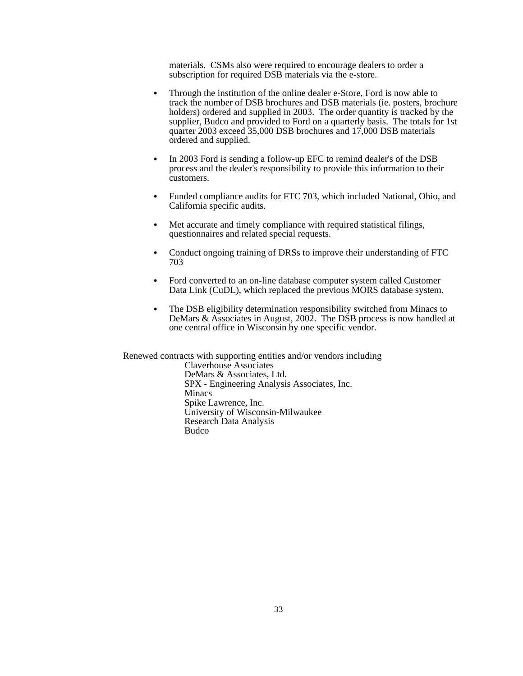materials. CSMs also were required to encourage dealers to order a subscription for required DSB materials via the e-store.

- Through the institution of the online dealer e-Store, Ford is now able to track the number of DSB brochures and DSB materials (ie. posters, brochure holders) ordered and supplied in 2003. The order quantity is tracked by the supplier, Budco and provided to Ford on a quarterly basis. The totals for 1st quarter 2003 exceed 35,000 DSB brochures and 17,000 DSB materials ordered and supplied.
- In 2003 Ford is sending a follow-up EFC to remind dealer's of the DSB process and the dealer's responsibility to provide this information to their customers.
- Funded compliance audits for FTC 703, which included National, Ohio, and California specific audits.
- Met accurate and timely compliance with required statistical filings, questionnaires and related special requests.
- Conduct ongoing training of DRSs to improve their understanding of FTC 703
- Ford converted to an on-line database computer system called Customer Data Link (CuDL), which replaced the previous MORS database system.
- The DSB eligibility determination responsibility switched from Minacs to DeMars & Associates in August, 2002. The DSB process is now handled at one central office in Wisconsin by one specific vendor.

Renewed contracts with supporting entities and/or vendors including Claverhouse Associates DeMars & Associates, Ltd. SPX - Engineering Analysis Associates, Inc. Minacs Spike Lawrence, Inc. University of Wisconsin-Milwaukee Research Data Analysis Budco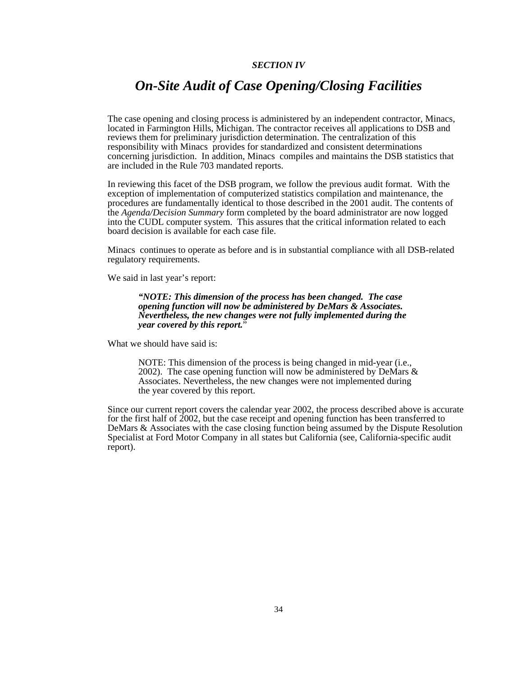# *SECTION IV*

# *On-Site Audit of Case Opening/Closing Facilities*

The case opening and closing process is administered by an independent contractor, Minacs, located in Farmington Hills, Michigan. The contractor receives all applications to DSB and reviews them for preliminary jurisdiction determination. The centralization of this responsibility with Minacs provides for standardized and consistent determinations concerning jurisdiction. In addition, Minacs compiles and maintains the DSB statistics that are included in the Rule 703 mandated reports.

In reviewing this facet of the DSB program, we follow the previous audit format. With the exception of implementation of computerized statistics compilation and maintenance, the procedures are fundamentally identical to those described in the 2001 audit. The contents of the *Agenda/Decision Summary* form completed by the board administrator are now logged into the CUDL computer system. This assures that the critical information related to each board decision is available for each case file.

Minacs continues to operate as before and is in substantial compliance with all DSB-related regulatory requirements.

We said in last year's report:

*"NOTE: This dimension of the process has been changed. The case opening function will now be administered by DeMars & Associates. Nevertheless, the new changes were not fully implemented during the year covered by this report.*"

What we should have said is:

NOTE: This dimension of the process is being changed in mid-year (i.e., 2002). The case opening function will now be administered by DeMars & Associates. Nevertheless, the new changes were not implemented during the year covered by this report.

Since our current report covers the calendar year 2002, the process described above is accurate for the first half of 2002, but the case receipt and opening function has been transferred to DeMars & Associates with the case closing function being assumed by the Dispute Resolution Specialist at Ford Motor Company in all states but California (see, California-specific audit report).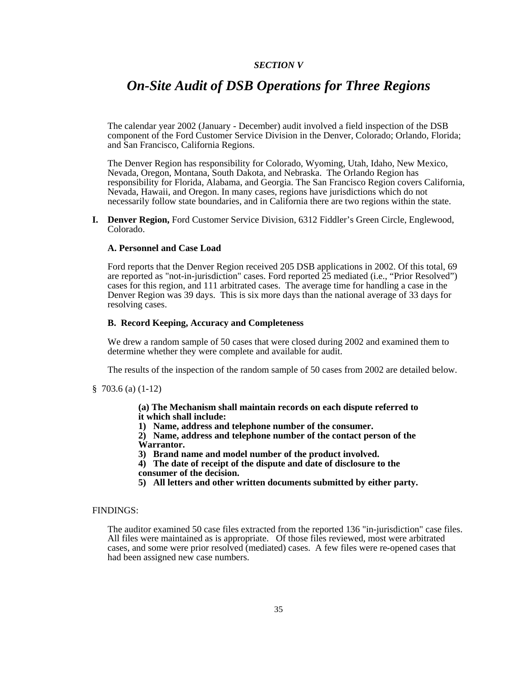# *SECTION V*

# *On-Site Audit of DSB Operations for Three Regions*

The calendar year 2002 (January - December) audit involved a field inspection of the DSB component of the Ford Customer Service Division in the Denver, Colorado; Orlando, Florida; and San Francisco, California Regions.

The Denver Region has responsibility for Colorado, Wyoming, Utah, Idaho, New Mexico, Nevada, Oregon, Montana, South Dakota, and Nebraska. The Orlando Region has responsibility for Florida, Alabama, and Georgia. The San Francisco Region covers California, Nevada, Hawaii, and Oregon. In many cases, regions have jurisdictions which do not necessarily follow state boundaries, and in California there are two regions within the state.

**I. Denver Region,** Ford Customer Service Division, 6312 Fiddler's Green Circle, Englewood, Colorado.

### **A. Personnel and Case Load**

Ford reports that the Denver Region received 205 DSB applications in 2002. Of this total, 69 are reported as "not-in-jurisdiction" cases. Ford reported 25 mediated (i.e., "Prior Resolved") cases for this region, and 111 arbitrated cases. The average time for handling a case in the Denver Region was 39 days. This is six more days than the national average of 33 days for resolving cases.

## **B. Record Keeping, Accuracy and Completeness**

We drew a random sample of 50 cases that were closed during 2002 and examined them to determine whether they were complete and available for audit.

The results of the inspection of the random sample of 50 cases from 2002 are detailed below.

§ 703.6 (a) (1-12)

**(a) The Mechanism shall maintain records on each dispute referred to it which shall include:**

**1) Name, address and telephone number of the consumer.**

**2) Name, address and telephone number of the contact person of the Warrantor.**

**3) Brand name and model number of the product involved.**

**4) The date of receipt of the dispute and date of disclosure to the consumer of the decision.**

**5) All letters and other written documents submitted by either party.**

### FINDINGS:

The auditor examined 50 case files extracted from the reported 136 "in-jurisdiction" case files. All files were maintained as is appropriate. Of those files reviewed, most were arbitrated cases, and some were prior resolved (mediated) cases. A few files were re-opened cases that had been assigned new case numbers.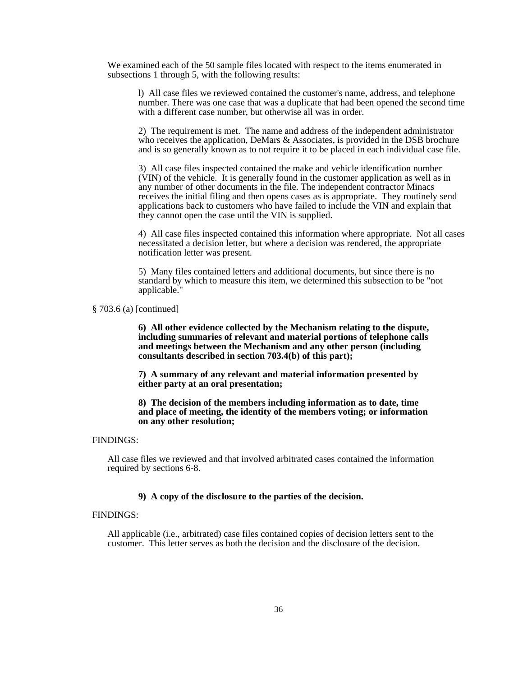We examined each of the 50 sample files located with respect to the items enumerated in subsections 1 through 5, with the following results:

l) All case files we reviewed contained the customer's name, address, and telephone number. There was one case that was a duplicate that had been opened the second time with a different case number, but otherwise all was in order.

2) The requirement is met. The name and address of the independent administrator who receives the application, DeMars & Associates, is provided in the DSB brochure and is so generally known as to not require it to be placed in each individual case file.

3) All case files inspected contained the make and vehicle identification number (VIN) of the vehicle. It is generally found in the customer application as well as in any number of other documents in the file. The independent contractor Minacs receives the initial filing and then opens cases as is appropriate. They routinely send applications back to customers who have failed to include the VIN and explain that they cannot open the case until the VIN is supplied.

4) All case files inspected contained this information where appropriate. Not all cases necessitated a decision letter, but where a decision was rendered, the appropriate notification letter was present.

5) Many files contained letters and additional documents, but since there is no standard by which to measure this item, we determined this subsection to be "not applicable."

§ 703.6 (a) [continued]

**6) All other evidence collected by the Mechanism relating to the dispute, including summaries of relevant and material portions of telephone calls and meetings between the Mechanism and any other person (including consultants described in section 703.4(b) of this part);**

**7) A summary of any relevant and material information presented by either party at an oral presentation;**

**8) The decision of the members including information as to date, time and place of meeting, the identity of the members voting; or information on any other resolution;**

# FINDINGS:

All case files we reviewed and that involved arbitrated cases contained the information required by sections 6-8.

# **9) A copy of the disclosure to the parties of the decision.**

#### FINDINGS:

All applicable (i.e., arbitrated) case files contained copies of decision letters sent to the customer. This letter serves as both the decision and the disclosure of the decision.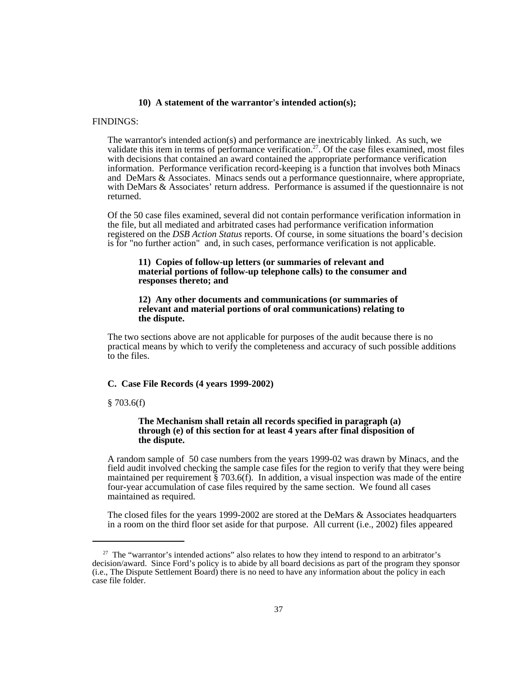#### **10) A statement of the warrantor's intended action(s);**

#### FINDINGS:

The warrantor's intended action(s) and performance are inextricably linked. As such, we validate this item in terms of performance verification.<sup>27</sup>. Of the case files examined, most files with decisions that contained an award contained the appropriate performance verification information. Performance verification record-keeping is a function that involves both Minacs and DeMars & Associates. Minacs sends out a performance questionnaire, where appropriate, with DeMars & Associates' return address. Performance is assumed if the questionnaire is not returned.

Of the 50 case files examined, several did not contain performance verification information in the file, but all mediated and arbitrated cases had performance verification information registered on the *DSB Action Status* reports. Of course, in some situations the board's decision is for "no further action" and, in such cases, performance verification is not applicable.

#### **11) Copies of follow-up letters (or summaries of relevant and material portions of follow-up telephone calls) to the consumer and responses thereto; and**

#### **12) Any other documents and communications (or summaries of relevant and material portions of oral communications) relating to the dispute.**

The two sections above are not applicable for purposes of the audit because there is no practical means by which to verify the completeness and accuracy of such possible additions to the files.

#### **C. Case File Records (4 years 1999-2002)**

#### § 703.6(f)

#### **The Mechanism shall retain all records specified in paragraph (a) through (e) of this section for at least 4 years after final disposition of the dispute.**

A random sample of 50 case numbers from the years 1999-02 was drawn by Minacs, and the field audit involved checking the sample case files for the region to verify that they were being maintained per requirement  $\S$  703.6(f). In addition, a visual inspection was made of the entire four-year accumulation of case files required by the same section. We found all cases maintained as required.

The closed files for the years 1999-2002 are stored at the DeMars & Associates headquarters in a room on the third floor set aside for that purpose. All current (i.e., 2002) files appeared

<sup>&</sup>lt;sup>27</sup> The "warrantor's intended actions" also relates to how they intend to respond to an arbitrator's decision/award. Since Ford's policy is to abide by all board decisions as part of the program they sponsor (i.e., The Dispute Settlement Board) there is no need to have any information about the policy in each case file folder.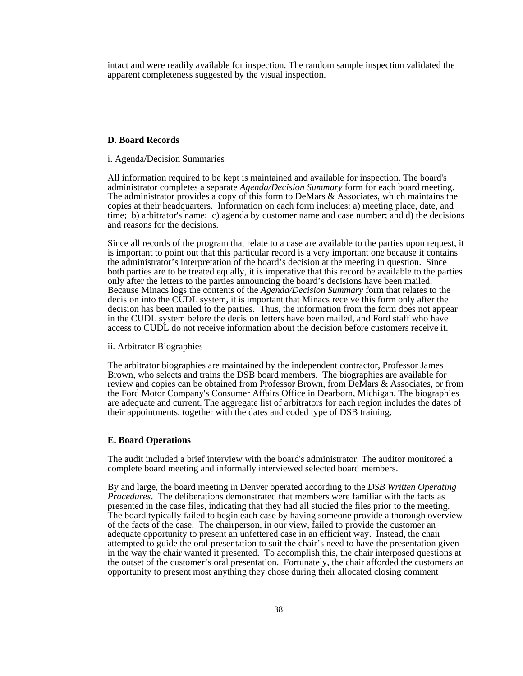intact and were readily available for inspection. The random sample inspection validated the apparent completeness suggested by the visual inspection.

#### **D. Board Records**

#### i. Agenda/Decision Summaries

All information required to be kept is maintained and available for inspection. The board's administrator completes a separate *Agenda/Decision Summary* form for each board meeting. The administrator provides a copy of this form to DeMars & Associates, which maintains the copies at their headquarters. Information on each form includes: a) meeting place, date, and time; b) arbitrator's name; c) agenda by customer name and case number; and d) the decisions and reasons for the decisions.

Since all records of the program that relate to a case are available to the parties upon request, it is important to point out that this particular record is a very important one because it contains the administrator's interpretation of the board's decision at the meeting in question. Since both parties are to be treated equally, it is imperative that this record be available to the parties only after the letters to the parties announcing the board's decisions have been mailed. Because Minacs logs the contents of the *Agenda/Decision Summary* form that relates to the decision into the CUDL system, it is important that Minacs receive this form only after the decision has been mailed to the parties. Thus, the information from the form does not appear in the CUDL system before the decision letters have been mailed, and Ford staff who have access to CUDL do not receive information about the decision before customers receive it.

#### ii. Arbitrator Biographies

The arbitrator biographies are maintained by the independent contractor, Professor James Brown, who selects and trains the DSB board members. The biographies are available for review and copies can be obtained from Professor Brown, from DeMars & Associates, or from the Ford Motor Company's Consumer Affairs Office in Dearborn, Michigan. The biographies are adequate and current. The aggregate list of arbitrators for each region includes the dates of their appointments, together with the dates and coded type of DSB training.

#### **E. Board Operations**

The audit included a brief interview with the board's administrator. The auditor monitored a complete board meeting and informally interviewed selected board members.

By and large, the board meeting in Denver operated according to the *DSB Written Operating Procedures*. The deliberations demonstrated that members were familiar with the facts as presented in the case files, indicating that they had all studied the files prior to the meeting. The board typically failed to begin each case by having someone provide a thorough overview of the facts of the case. The chairperson, in our view, failed to provide the customer an adequate opportunity to present an unfettered case in an efficient way. Instead, the chair attempted to guide the oral presentation to suit the chair's need to have the presentation given in the way the chair wanted it presented. To accomplish this, the chair interposed questions at the outset of the customer's oral presentation. Fortunately, the chair afforded the customers an opportunity to present most anything they chose during their allocated closing comment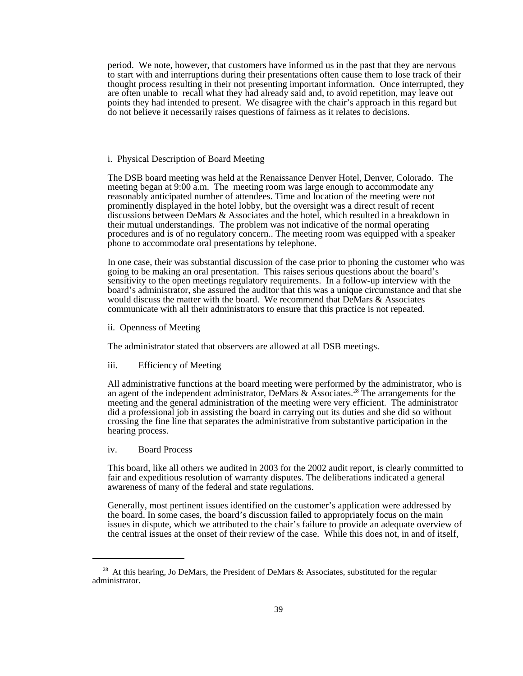period. We note, however, that customers have informed us in the past that they are nervous to start with and interruptions during their presentations often cause them to lose track of their thought process resulting in their not presenting important information. Once interrupted, they are often unable to recall what they had already said and, to avoid repetition, may leave out points they had intended to present. We disagree with the chair's approach in this regard but do not believe it necessarily raises questions of fairness as it relates to decisions.

#### i. Physical Description of Board Meeting

The DSB board meeting was held at the Renaissance Denver Hotel, Denver, Colorado. The meeting began at 9:00 a.m. The meeting room was large enough to accommodate any reasonably anticipated number of attendees. Time and location of the meeting were not prominently displayed in the hotel lobby, but the oversight was a direct result of recent discussions between DeMars & Associates and the hotel, which resulted in a breakdown in their mutual understandings. The problem was not indicative of the normal operating procedures and is of no regulatory concern.. The meeting room was equipped with a speaker phone to accommodate oral presentations by telephone.

In one case, their was substantial discussion of the case prior to phoning the customer who was going to be making an oral presentation. This raises serious questions about the board's sensitivity to the open meetings regulatory requirements. In a follow-up interview with the board's administrator, she assured the auditor that this was a unique circumstance and that she would discuss the matter with the board. We recommend that DeMars & Associates communicate with all their administrators to ensure that this practice is not repeated.

ii. Openness of Meeting

The administrator stated that observers are allowed at all DSB meetings.

iii. Efficiency of Meeting

All administrative functions at the board meeting were performed by the administrator, who is an agent of the independent administrator, DeMars & Associates.<sup>28</sup> The arrangements for the meeting and the general administration of the meeting were very efficient. The administrator did a professional job in assisting the board in carrying out its duties and she did so without crossing the fine line that separates the administrative from substantive participation in the hearing process.

iv. Board Process

This board, like all others we audited in 2003 for the 2002 audit report, is clearly committed to fair and expeditious resolution of warranty disputes. The deliberations indicated a general awareness of many of the federal and state regulations.

Generally, most pertinent issues identified on the customer's application were addressed by the board. In some cases, the board's discussion failed to appropriately focus on the main issues in dispute, which we attributed to the chair's failure to provide an adequate overview of the central issues at the onset of their review of the case. While this does not, in and of itself,

 $28$  At this hearing, Jo DeMars, the President of DeMars & Associates, substituted for the regular administrator.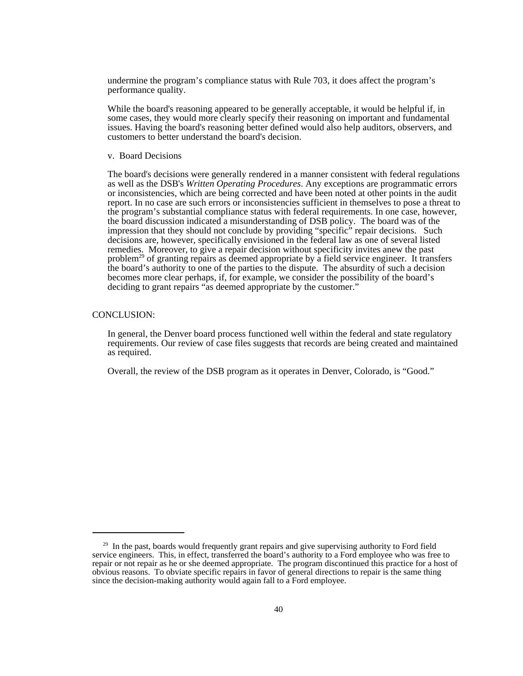undermine the program's compliance status with Rule 703, it does affect the program's performance quality.

While the board's reasoning appeared to be generally acceptable, it would be helpful if, in some cases, they would more clearly specify their reasoning on important and fundamental issues. Having the board's reasoning better defined would also help auditors, observers, and customers to better understand the board's decision.

v. Board Decisions

The board's decisions were generally rendered in a manner consistent with federal regulations as well as the DSB's *Written Operating Procedures*. Any exceptions are programmatic errors or inconsistencies, which are being corrected and have been noted at other points in the audit report. In no case are such errors or inconsistencies sufficient in themselves to pose a threat to the program's substantial compliance status with federal requirements. In one case, however, the board discussion indicated a misunderstanding of DSB policy. The board was of the impression that they should not conclude by providing "specific" repair decisions. Such decisions are, however, specifically envisioned in the federal law as one of several listed remedies. Moreover, to give a repair decision without specificity invites anew the past problem<sup>29</sup> of granting repairs as deemed appropriate by a field service engineer. It transfers the board's authority to one of the parties to the dispute. The absurdity of such a decision becomes more clear perhaps, if, for example, we consider the possibility of the board's deciding to grant repairs "as deemed appropriate by the customer."

#### CONCLUSION:

In general, the Denver board process functioned well within the federal and state regulatory requirements. Our review of case files suggests that records are being created and maintained as required.

Overall, the review of the DSB program as it operates in Denver, Colorado, is "Good."

 $29$  In the past, boards would frequently grant repairs and give supervising authority to Ford field service engineers. This, in effect, transferred the board's authority to a Ford employee who was free to repair or not repair as he or she deemed appropriate. The program discontinued this practice for a host of obvious reasons. To obviate specific repairs in favor of general directions to repair is the same thing since the decision-making authority would again fall to a Ford employee.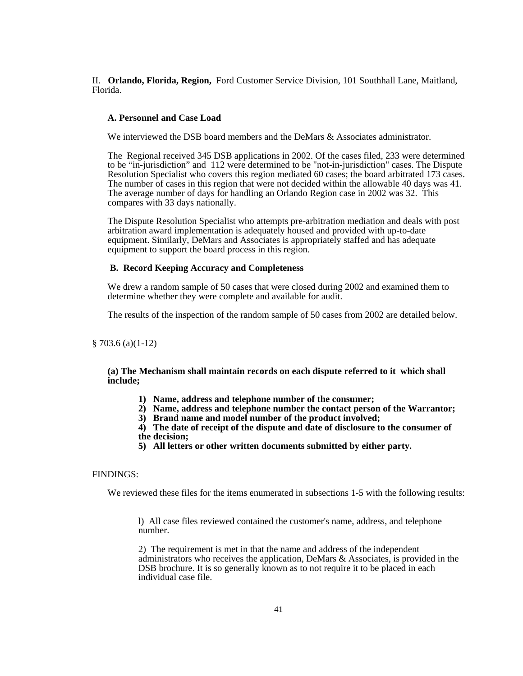II. **Orlando, Florida, Region,** Ford Customer Service Division, 101 Southhall Lane, Maitland, Florida.

#### **A. Personnel and Case Load**

We interviewed the DSB board members and the DeMars & Associates administrator.

The Regional received 345 DSB applications in 2002. Of the cases filed, 233 were determined to be "in-jurisdiction" and 112 were determined to be "not-in-jurisdiction" cases. The Dispute Resolution Specialist who covers this region mediated 60 cases; the board arbitrated 173 cases. The number of cases in this region that were not decided within the allowable 40 days was 41. The average number of days for handling an Orlando Region case in 2002 was 32. This compares with 33 days nationally.

The Dispute Resolution Specialist who attempts pre-arbitration mediation and deals with post arbitration award implementation is adequately housed and provided with up-to-date equipment. Similarly, DeMars and Associates is appropriately staffed and has adequate equipment to support the board process in this region.

#### **B. Record Keeping Accuracy and Completeness**

We drew a random sample of 50 cases that were closed during 2002 and examined them to determine whether they were complete and available for audit.

The results of the inspection of the random sample of 50 cases from 2002 are detailed below.

§ 703.6 (a)(1-12)

**(a) The Mechanism shall maintain records on each dispute referred to it which shall include;**

- **1) Name, address and telephone number of the consumer;**
- **2) Name, address and telephone number the contact person of the Warrantor;**
- **3) Brand name and model number of the product involved;**

**4) The date of receipt of the dispute and date of disclosure to the consumer of the decision;**

**5) All letters or other written documents submitted by either party.**

# FINDINGS:

We reviewed these files for the items enumerated in subsections 1-5 with the following results:

l) All case files reviewed contained the customer's name, address, and telephone number.

2) The requirement is met in that the name and address of the independent administrators who receives the application, DeMars & Associates, is provided in the DSB brochure. It is so generally known as to not require it to be placed in each individual case file.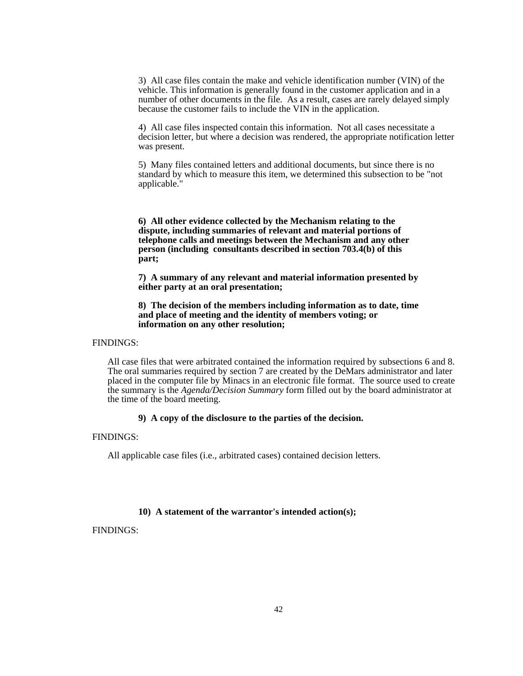3) All case files contain the make and vehicle identification number (VIN) of the vehicle. This information is generally found in the customer application and in a number of other documents in the file. As a result, cases are rarely delayed simply because the customer fails to include the VIN in the application.

4) All case files inspected contain this information. Not all cases necessitate a decision letter, but where a decision was rendered, the appropriate notification letter was present.

5) Many files contained letters and additional documents, but since there is no standard by which to measure this item, we determined this subsection to be "not applicable."

**6) All other evidence collected by the Mechanism relating to the dispute, including summaries of relevant and material portions of telephone calls and meetings between the Mechanism and any other person (including consultants described in section 703.4(b) of this part;**

**7) A summary of any relevant and material information presented by either party at an oral presentation;**

**8) The decision of the members including information as to date, time and place of meeting and the identity of members voting; or information on any other resolution;**

FINDINGS:

All case files that were arbitrated contained the information required by subsections 6 and 8. The oral summaries required by section 7 are created by the DeMars administrator and later placed in the computer file by Minacs in an electronic file format. The source used to create the summary is the *Agenda/Decision Summary* form filled out by the board administrator at the time of the board meeting.

#### **9) A copy of the disclosure to the parties of the decision.**

FINDINGS:

All applicable case files (i.e., arbitrated cases) contained decision letters.

#### **10) A statement of the warrantor's intended action(s);**

FINDINGS: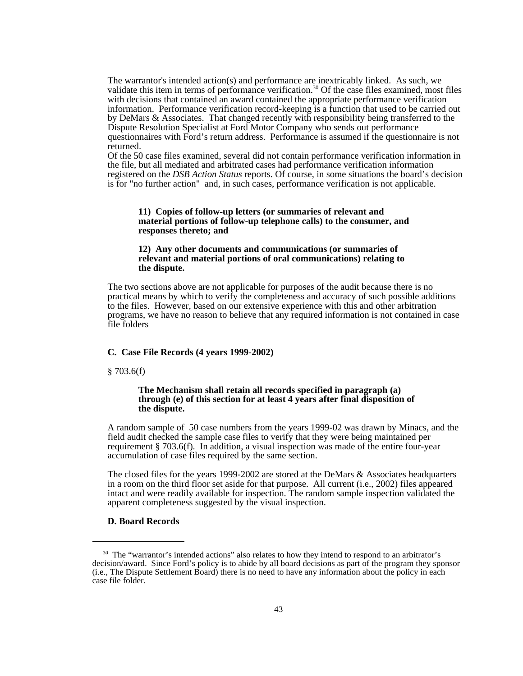The warrantor's intended action(s) and performance are inextricably linked. As such, we validate this item in terms of performance verification.<sup>30</sup> Of the case files examined, most files with decisions that contained an award contained the appropriate performance verification information. Performance verification record-keeping is a function that used to be carried out by DeMars & Associates. That changed recently with responsibility being transferred to the Dispute Resolution Specialist at Ford Motor Company who sends out performance questionnaires with Ford's return address. Performance is assumed if the questionnaire is not returned.

Of the 50 case files examined, several did not contain performance verification information in the file, but all mediated and arbitrated cases had performance verification information registered on the *DSB Action Status* reports. Of course, in some situations the board's decision is for "no further action" and, in such cases, performance verification is not applicable.

#### **11) Copies of follow-up letters (or summaries of relevant and material portions of follow-up telephone calls) to the consumer, and responses thereto; and**

#### **12) Any other documents and communications (or summaries of relevant and material portions of oral communications) relating to the dispute.**

The two sections above are not applicable for purposes of the audit because there is no practical means by which to verify the completeness and accuracy of such possible additions to the files.However, based on our extensive experience with this and other arbitration programs, we have no reason to believe that any required information is not contained in case file folders

# **C. Case File Records (4 years 1999-2002)**

#### $§ 703.6(f)$

#### **The Mechanism shall retain all records specified in paragraph (a) through (e) of this section for at least 4 years after final disposition of the dispute.**

A random sample of 50 case numbers from the years 1999-02 was drawn by Minacs, and the field audit checked the sample case files to verify that they were being maintained per requirement § 703.6(f). In addition, a visual inspection was made of the entire four-year accumulation of case files required by the same section.

The closed files for the years 1999-2002 are stored at the DeMars & Associates headquarters in a room on the third floor set aside for that purpose. All current (i.e., 2002) files appeared intact and were readily available for inspection. The random sample inspection validated the apparent completeness suggested by the visual inspection.

# **D. Board Records**

<sup>&</sup>lt;sup>30</sup> The "warrantor's intended actions" also relates to how they intend to respond to an arbitrator's decision/award. Since Ford's policy is to abide by all board decisions as part of the program they sponsor (i.e., The Dispute Settlement Board) there is no need to have any information about the policy in each case file folder.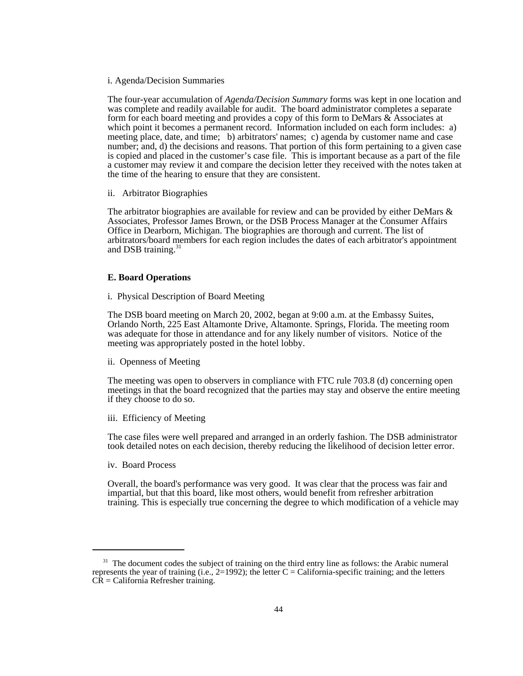#### i. Agenda/Decision Summaries

The four-year accumulation of *Agenda/Decision Summary* forms was kept in one location and was complete and readily available for audit. The board administrator completes a separate form for each board meeting and provides a copy of this form to DeMars & Associates at which point it becomes a permanent record. Information included on each form includes: a) meeting place, date, and time; b) arbitrators' names; c) agenda by customer name and case number; and, d) the decisions and reasons. That portion of this form pertaining to a given case is copied and placed in the customer's case file. This is important because as a part of the file a customer may review it and compare the decision letter they received with the notes taken at the time of the hearing to ensure that they are consistent.

ii. Arbitrator Biographies

The arbitrator biographies are available for review and can be provided by either DeMars & Associates, Professor James Brown, or the DSB Process Manager at the Consumer Affairs Office in Dearborn, Michigan. The biographies are thorough and current. The list of arbitrators/board members for each region includes the dates of each arbitrator's appointment and DSB training.<sup>31</sup>

#### **E. Board Operations**

i. Physical Description of Board Meeting

The DSB board meeting on March 20, 2002, began at 9:00 a.m. at the Embassy Suites, Orlando North, 225 East Altamonte Drive, Altamonte. Springs, Florida. The meeting room was adequate for those in attendance and for any likely number of visitors. Notice of the meeting was appropriately posted in the hotel lobby.

ii. Openness of Meeting

The meeting was open to observers in compliance with FTC rule 703.8 (d) concerning open meetings in that the board recognized that the parties may stay and observe the entire meeting if they choose to do so.

iii. Efficiency of Meeting

The case files were well prepared and arranged in an orderly fashion. The DSB administrator took detailed notes on each decision, thereby reducing the likelihood of decision letter error.

iv. Board Process

Overall, the board's performance was very good. It was clear that the process was fair and impartial, but that this board, like most others, would benefit from refresher arbitration training. This is especially true concerning the degree to which modification of a vehicle may

<sup>&</sup>lt;sup>31</sup> The document codes the subject of training on the third entry line as follows: the Arabic numeral represents the year of training (i.e.,  $2=1992$ ); the letter C = California-specific training; and the letters  $C\hat{R} =$  California Refresher training.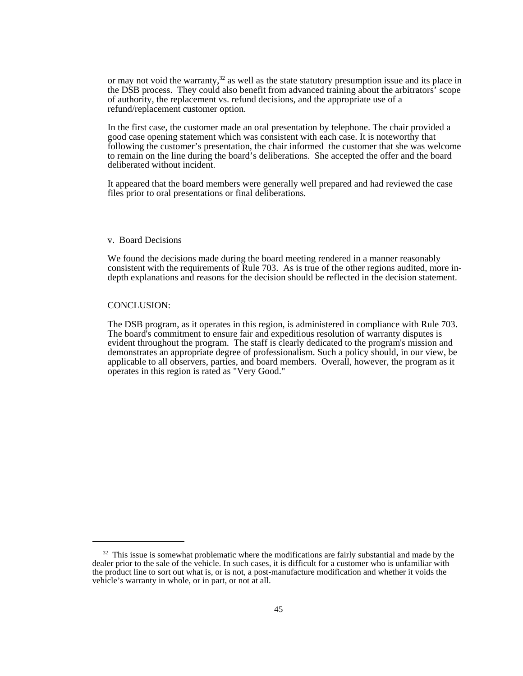or may not void the warranty,<sup>32</sup> as well as the state statutory presumption issue and its place in the DSB process. They could also benefit from advanced training about the arbitrators' scope of authority, the replacement vs. refund decisions, and the appropriate use of a refund/replacement customer option.

In the first case, the customer made an oral presentation by telephone. The chair provided a good case opening statement which was consistent with each case. It is noteworthy that following the customer's presentation, the chair informed the customer that she was welcome to remain on the line during the board's deliberations. She accepted the offer and the board deliberated without incident.

It appeared that the board members were generally well prepared and had reviewed the case files prior to oral presentations or final deliberations.

#### v. Board Decisions

We found the decisions made during the board meeting rendered in a manner reasonably consistent with the requirements of Rule 703. As is true of the other regions audited, more indepth explanations and reasons for the decision should be reflected in the decision statement.

#### CONCLUSION:

The DSB program, as it operates in this region, is administered in compliance with Rule 703. The board's commitment to ensure fair and expeditious resolution of warranty disputes is evident throughout the program. The staff is clearly dedicated to the program's mission and demonstrates an appropriate degree of professionalism. Such a policy should, in our view, be applicable to all observers, parties, and board members. Overall, however, the program as it operates in this region is rated as "Very Good."

 $32$  This issue is somewhat problematic where the modifications are fairly substantial and made by the dealer prior to the sale of the vehicle. In such cases, it is difficult for a customer who is unfamiliar with the product line to sort out what is, or is not, a post-manufacture modification and whether it voids the vehicle's warranty in whole, or in part, or not at all.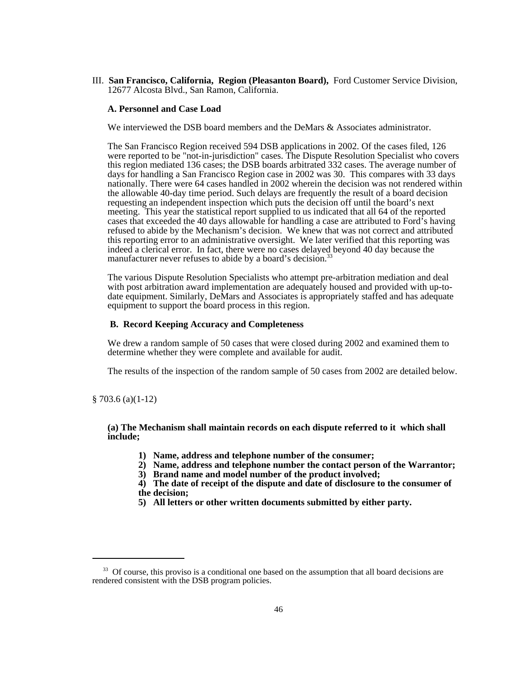III. **San Francisco, California, Region (Pleasanton Board),** Ford Customer Service Division, 12677 Alcosta Blvd., San Ramon, California.

#### **A. Personnel and Case Load**

We interviewed the DSB board members and the DeMars & Associates administrator.

The San Francisco Region received 594 DSB applications in 2002. Of the cases filed, 126 were reported to be "not-in-jurisdiction" cases. The Dispute Resolution Specialist who covers this region mediated 136 cases; the DSB boards arbitrated 332 cases. The average number of days for handling a San Francisco Region case in 2002 was 30. This compares with 33 days nationally. There were 64 cases handled in 2002 wherein the decision was not rendered within the allowable 40-day time period. Such delays are frequently the result of a board decision requesting an independent inspection which puts the decision off until the board's next meeting. This year the statistical report supplied to us indicated that all 64 of the reported cases that exceeded the 40 days allowable for handling a case are attributed to Ford's having refused to abide by the Mechanism's decision. We knew that was not correct and attributed this reporting error to an administrative oversight. We later verified that this reporting was indeed a clerical error. In fact, there were no cases delayed beyond 40 day because the manufacturer never refuses to abide by a board's decision.<sup>33</sup>

The various Dispute Resolution Specialists who attempt pre-arbitration mediation and deal with post arbitration award implementation are adequately housed and provided with up-todate equipment. Similarly, DeMars and Associates is appropriately staffed and has adequate equipment to support the board process in this region.

### **B. Record Keeping Accuracy and Completeness**

We drew a random sample of 50 cases that were closed during 2002 and examined them to determine whether they were complete and available for audit.

The results of the inspection of the random sample of 50 cases from 2002 are detailed below.

§ 703.6 (a)(1-12)

**(a) The Mechanism shall maintain records on each dispute referred to it which shall include;**

- **1) Name, address and telephone number of the consumer;**
- **2) Name, address and telephone number the contact person of the Warrantor;**
- **3) Brand name and model number of the product involved;**
- **4) The date of receipt of the dispute and date of disclosure to the consumer of the decision;**
- **5) All letters or other written documents submitted by either party.**

<sup>&</sup>lt;sup>33</sup> Of course, this proviso is a conditional one based on the assumption that all board decisions are rendered consistent with the DSB program policies.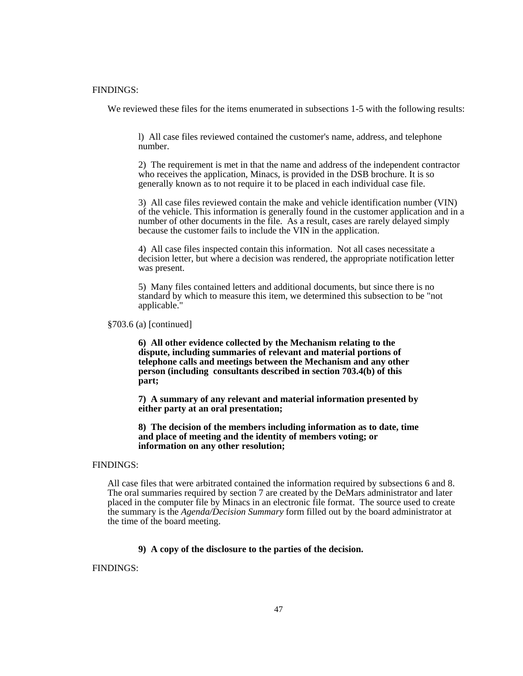#### FINDINGS:

We reviewed these files for the items enumerated in subsections 1-5 with the following results:

l) All case files reviewed contained the customer's name, address, and telephone number.

2) The requirement is met in that the name and address of the independent contractor who receives the application, Minacs, is provided in the DSB brochure. It is so generally known as to not require it to be placed in each individual case file.

3) All case files reviewed contain the make and vehicle identification number (VIN) of the vehicle. This information is generally found in the customer application and in a number of other documents in the file. As a result, cases are rarely delayed simply because the customer fails to include the VIN in the application.

4) All case files inspected contain this information. Not all cases necessitate a decision letter, but where a decision was rendered, the appropriate notification letter was present.

5) Many files contained letters and additional documents, but since there is no standard by which to measure this item, we determined this subsection to be "not applicable."

§703.6 (a) [continued]

**6) All other evidence collected by the Mechanism relating to the dispute, including summaries of relevant and material portions of telephone calls and meetings between the Mechanism and any other person (including consultants described in section 703.4(b) of this part;**

**7) A summary of any relevant and material information presented by either party at an oral presentation;**

**8) The decision of the members including information as to date, time and place of meeting and the identity of members voting; or information on any other resolution;**

# FINDINGS:

All case files that were arbitrated contained the information required by subsections 6 and 8. The oral summaries required by section 7 are created by the DeMars administrator and later placed in the computer file by Minacs in an electronic file format. The source used to create the summary is the *Agenda/Decision Summary* form filled out by the board administrator at the time of the board meeting.

## **9) A copy of the disclosure to the parties of the decision.**

FINDINGS: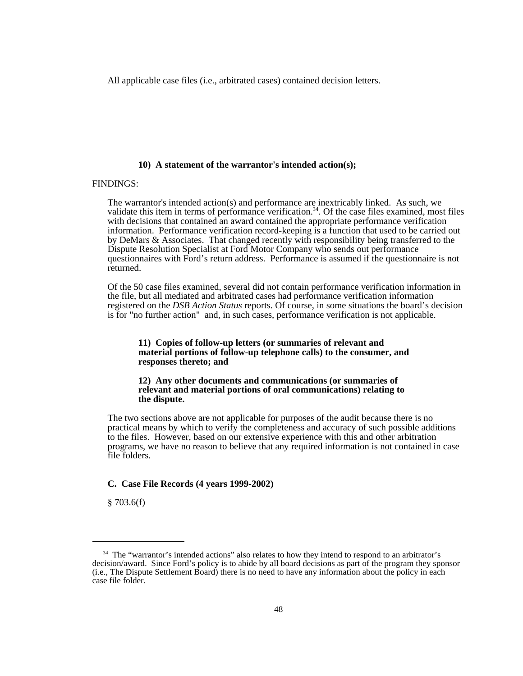All applicable case files (i.e., arbitrated cases) contained decision letters.

#### **10) A statement of the warrantor's intended action(s);**

#### FINDINGS:

The warrantor's intended action(s) and performance are inextricably linked. As such, we validate this item in terms of performance verification.<sup>34</sup>. Of the case files examined, most files with decisions that contained an award contained the appropriate performance verification information. Performance verification record-keeping is a function that used to be carried out by DeMars & Associates. That changed recently with responsibility being transferred to the Dispute Resolution Specialist at Ford Motor Company who sends out performance questionnaires with Ford's return address. Performance is assumed if the questionnaire is not returned.

Of the 50 case files examined, several did not contain performance verification information in the file, but all mediated and arbitrated cases had performance verification information registered on the *DSB Action Status* reports. Of course, in some situations the board's decision is for "no further action" and, in such cases, performance verification is not applicable.

#### **11) Copies of follow-up letters (or summaries of relevant and material portions of follow-up telephone calls) to the consumer, and responses thereto; and**

#### **12) Any other documents and communications (or summaries of relevant and material portions of oral communications) relating to the dispute.**

The two sections above are not applicable for purposes of the audit because there is no practical means by which to verify the completeness and accuracy of such possible additions to the files.However, based on our extensive experience with this and other arbitration programs, we have no reason to believe that any required information is not contained in case file folders.

#### **C. Case File Records (4 years 1999-2002)**

§ 703.6(f)

<sup>&</sup>lt;sup>34</sup> The "warrantor's intended actions" also relates to how they intend to respond to an arbitrator's decision/award. Since Ford's policy is to abide by all board decisions as part of the program they sponsor (i.e., The Dispute Settlement Board) there is no need to have any information about the policy in each case file folder.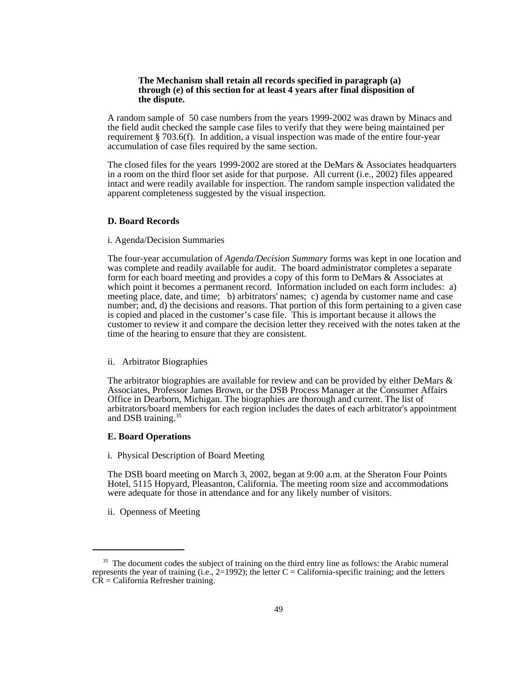#### **The Mechanism shall retain all records specified in paragraph (a) through (e) of this section for at least 4 years after final disposition of the dispute.**

A random sample of 50 case numbers from the years 1999-2002 was drawn by Minacs and the field audit checked the sample case files to verify that they were being maintained per requirement § 703.6(f). In addition, a visual inspection was made of the entire four-year accumulation of case files required by the same section.

The closed files for the years 1999-2002 are stored at the DeMars & Associates headquarters in a room on the third floor set aside for that purpose. All current (i.e., 2002) files appeared intact and were readily available for inspection. The random sample inspection validated the apparent completeness suggested by the visual inspection.

#### **D. Board Records**

#### i. Agenda/Decision Summaries

The four-year accumulation of *Agenda/Decision Summary* forms was kept in one location and was complete and readily available for audit. The board administrator completes a separate form for each board meeting and provides a copy of this form to DeMars  $\&$  Associates at which point it becomes a permanent record. Information included on each form includes: a) meeting place, date, and time; b) arbitrators' names; c) agenda by customer name and case number; and, d) the decisions and reasons. That portion of this form pertaining to a given case is copied and placed in the customer's case file. This is important because it allows the customer to review it and compare the decision letter they received with the notes taken at the time of the hearing to ensure that they are consistent.

#### ii. Arbitrator Biographies

The arbitrator biographies are available for review and can be provided by either DeMars  $\&$ Associates, Professor James Brown, or the DSB Process Manager at the Consumer Affairs Office in Dearborn, Michigan. The biographies are thorough and current. The list of arbitrators/board members for each region includes the dates of each arbitrator's appointment and DSB training.35

#### **E. Board Operations**

i. Physical Description of Board Meeting

The DSB board meeting on March 3, 2002, began at 9:00 a.m. at the Sheraton Four Points Hotel, 5115 Hopyard, Pleasanton, California. The meeting room size and accommodations were adequate for those in attendance and for any likely number of visitors.

ii. Openness of Meeting

<sup>&</sup>lt;sup>35</sup> The document codes the subject of training on the third entry line as follows: the Arabic numeral represents the year of training (i.e.,  $2=1992$ ); the letter C = California-specific training; and the letters  $C\hat{R} =$  California Refresher training.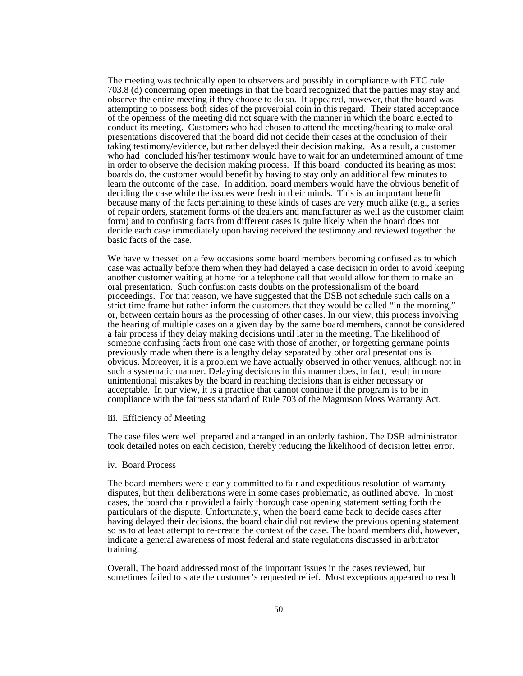The meeting was technically open to observers and possibly in compliance with FTC rule 703.8 (d) concerning open meetings in that the board recognized that the parties may stay and observe the entire meeting if they choose to do so. It appeared, however, that the board was attempting to possess both sides of the proverbial coin in this regard. Their stated acceptance of the openness of the meeting did not square with the manner in which the board elected to conduct its meeting. Customers who had chosen to attend the meeting/hearing to make oral presentations discovered that the board did not decide their cases at the conclusion of their taking testimony/evidence, but rather delayed their decision making. As a result, a customer who had concluded his/her testimony would have to wait for an undetermined amount of time in order to observe the decision making process. If this board conducted its hearing as most boards do, the customer would benefit by having to stay only an additional few minutes to learn the outcome of the case. In addition, board members would have the obvious benefit of deciding the case while the issues were fresh in their minds. This is an important benefit because many of the facts pertaining to these kinds of cases are very much alike (e.g., a series of repair orders, statement forms of the dealers and manufacturer as well as the customer claim form) and to confusing facts from different cases is quite likely when the board does not decide each case immediately upon having received the testimony and reviewed together the basic facts of the case.

We have witnessed on a few occasions some board members becoming confused as to which case was actually before them when they had delayed a case decision in order to avoid keeping another customer waiting at home for a telephone call that would allow for them to make an oral presentation. Such confusion casts doubts on the professionalism of the board proceedings. For that reason, we have suggested that the DSB not schedule such calls on a strict time frame but rather inform the customers that they would be called "in the morning," or, between certain hours as the processing of other cases. In our view, this process involving the hearing of multiple cases on a given day by the same board members, cannot be considered a fair process if they delay making decisions until later in the meeting. The likelihood of someone confusing facts from one case with those of another, or forgetting germane points previously made when there is a lengthy delay separated by other oral presentations is obvious. Moreover, it is a problem we have actually observed in other venues, although not in such a systematic manner. Delaying decisions in this manner does, in fact, result in more unintentional mistakes by the board in reaching decisions than is either necessary or acceptable. In our view, it is a practice that cannot continue if the program is to be in compliance with the fairness standard of Rule 703 of the Magnuson Moss Warranty Act.

#### iii. Efficiency of Meeting

The case files were well prepared and arranged in an orderly fashion. The DSB administrator took detailed notes on each decision, thereby reducing the likelihood of decision letter error.

#### iv. Board Process

The board members were clearly committed to fair and expeditious resolution of warranty disputes, but their deliberations were in some cases problematic, as outlined above. In most cases, the board chair provided a fairly thorough case opening statement setting forth the particulars of the dispute. Unfortunately, when the board came back to decide cases after having delayed their decisions, the board chair did not review the previous opening statement so as to at least attempt to re-create the context of the case. The board members did, however, indicate a general awareness of most federal and state regulations discussed in arbitrator training.

Overall, The board addressed most of the important issues in the cases reviewed, but sometimes failed to state the customer's requested relief. Most exceptions appeared to result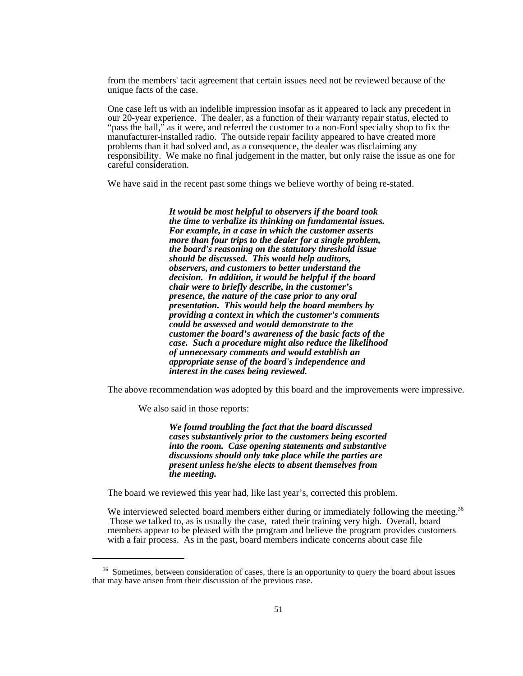from the members' tacit agreement that certain issues need not be reviewed because of the unique facts of the case.

One case left us with an indelible impression insofar as it appeared to lack any precedent in our 20-year experience. The dealer, as a function of their warranty repair status, elected to "pass the ball," as it were, and referred the customer to a non-Ford specialty shop to fix the manufacturer-installed radio. The outside repair facility appeared to have created more problems than it had solved and, as a consequence, the dealer was disclaiming any responsibility. We make no final judgement in the matter, but only raise the issue as one for careful consideration.

We have said in the recent past some things we believe worthy of being re-stated.

*It would be most helpful to observers if the board took the time to verbalize its thinking on fundamental issues. For example, in a case in which the customer asserts more than four trips to the dealer for a single problem, the board's reasoning on the statutory threshold issue should be discussed. This would help auditors, observers, and customers to better understand the decision. In addition, it would be helpful if the board chair were to briefly describe, in the customer's presence, the nature of the case prior to any oral presentation. This would help the board members by providing a context in which the customer's comments could be assessed and would demonstrate to the customer the board's awareness of the basic facts of the case. Such a procedure might also reduce the likelihood of unnecessary comments and would establish an appropriate sense of the board's independence and interest in the cases being reviewed.*

The above recommendation was adopted by this board and the improvements were impressive.

We also said in those reports:

*We found troubling the fact that the board discussed cases substantively prior to the customers being escorted into the room. Case opening statements and substantive discussions should only take place while the parties are present unless he/she elects to absent themselves from the meeting.*

The board we reviewed this year had, like last year's, corrected this problem.

We interviewed selected board members either during or immediately following the meeting.<sup>36</sup> Those we talked to, as is usually the case, rated their training very high. Overall, board members appear to be pleased with the program and believe the program provides customers with a fair process. As in the past, board members indicate concerns about case file

<sup>&</sup>lt;sup>36</sup> Sometimes, between consideration of cases, there is an opportunity to query the board about issues that may have arisen from their discussion of the previous case.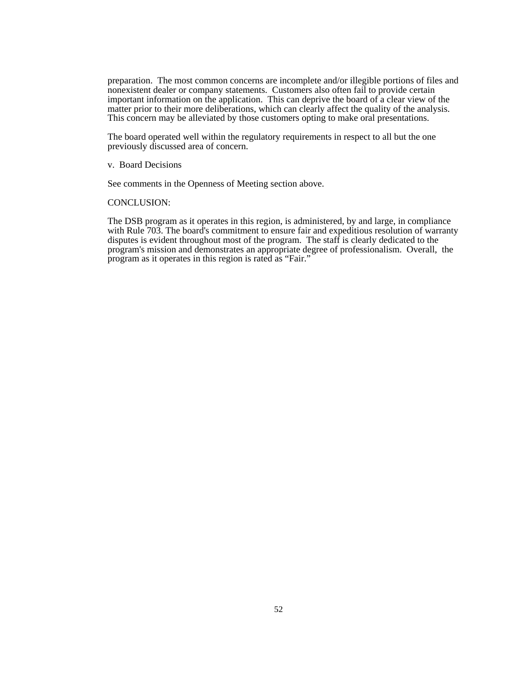preparation. The most common concerns are incomplete and/or illegible portions of files and nonexistent dealer or company statements. Customers also often fail to provide certain important information on the application. This can deprive the board of a clear view of the matter prior to their more deliberations, which can clearly affect the quality of the analysis. This concern may be alleviated by those customers opting to make oral presentations.

The board operated well within the regulatory requirements in respect to all but the one previously discussed area of concern.

v. Board Decisions

See comments in the Openness of Meeting section above.

#### CONCLUSION:

The DSB program as it operates in this region, is administered, by and large, in compliance with Rule 703. The board's commitment to ensure fair and expeditious resolution of warranty disputes is evident throughout most of the program. The staff is clearly dedicated to the program's mission and demonstrates an appropriate degree of professionalism. Overall, the program as it operates in this region is rated as "Fair."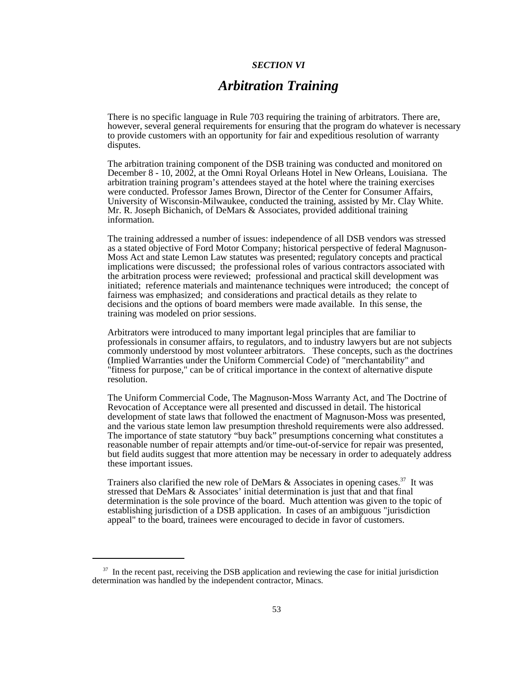#### *SECTION VI*

# *Arbitration Training*

There is no specific language in Rule 703 requiring the training of arbitrators. There are, however, several general requirements for ensuring that the program do whatever is necessary to provide customers with an opportunity for fair and expeditious resolution of warranty disputes.

The arbitration training component of the DSB training was conducted and monitored on December 8 - 10, 2002, at the Omni Royal Orleans Hotel in New Orleans, Louisiana. The arbitration training program's attendees stayed at the hotel where the training exercises were conducted. Professor James Brown, Director of the Center for Consumer Affairs, University of Wisconsin-Milwaukee, conducted the training, assisted by Mr. Clay White. Mr. R. Joseph Bichanich, of DeMars & Associates, provided additional training information.

The training addressed a number of issues: independence of all DSB vendors was stressed as a stated objective of Ford Motor Company; historical perspective of federal Magnuson-Moss Act and state Lemon Law statutes was presented; regulatory concepts and practical implications were discussed; the professional roles of various contractors associated with the arbitration process were reviewed; professional and practical skill development was initiated; reference materials and maintenance techniques were introduced; the concept of fairness was emphasized; and considerations and practical details as they relate to decisions and the options of board members were made available. In this sense, the training was modeled on prior sessions.

 Arbitrators were introduced to many important legal principles that are familiar to professionals in consumer affairs, to regulators, and to industry lawyers but are not subjects commonly understood by most volunteer arbitrators. These concepts, such as the doctrines (Implied Warranties under the Uniform Commercial Code) of "merchantability" and "fitness for purpose," can be of critical importance in the context of alternative dispute resolution.

The Uniform Commercial Code, The Magnuson-Moss Warranty Act, and The Doctrine of Revocation of Acceptance were all presented and discussed in detail. The historical development of state laws that followed the enactment of Magnuson-Moss was presented, and the various state lemon law presumption threshold requirements were also addressed. The importance of state statutory "buy back" presumptions concerning what constitutes a reasonable number of repair attempts and/or time-out-of-service for repair was presented, but field audits suggest that more attention may be necessary in order to adequately address these important issues.

Trainers also clarified the new role of DeMars & Associates in opening cases.<sup>37</sup> It was stressed that DeMars & Associates' initial determination is just that and that final determination is the sole province of the board. Much attention was given to the topic of establishing jurisdiction of a DSB application. In cases of an ambiguous "jurisdiction appeal" to the board, trainees were encouraged to decide in favor of customers.

 $37$  In the recent past, receiving the DSB application and reviewing the case for initial jurisdiction determination was handled by the independent contractor, Minacs.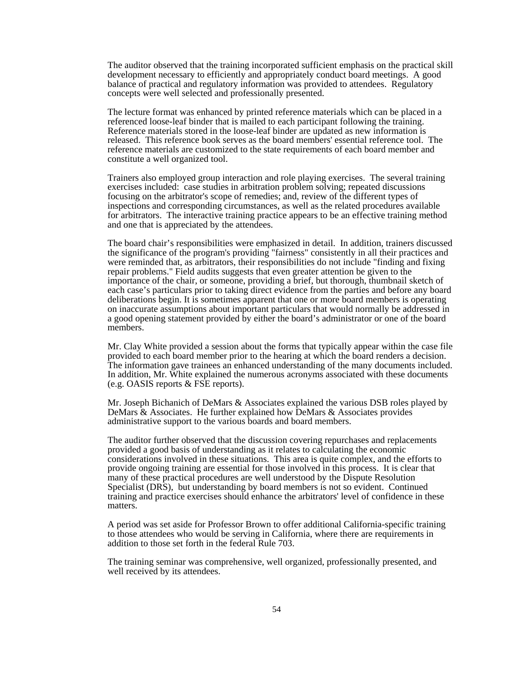The auditor observed that the training incorporated sufficient emphasis on the practical skill development necessary to efficiently and appropriately conduct board meetings. A good balance of practical and regulatory information was provided to attendees. Regulatory concepts were well selected and professionally presented.

The lecture format was enhanced by printed reference materials which can be placed in a referenced loose-leaf binder that is mailed to each participant following the training. Reference materials stored in the loose-leaf binder are updated as new information is released. This reference book serves as the board members' essential reference tool. The reference materials are customized to the state requirements of each board member and constitute a well organized tool.

Trainers also employed group interaction and role playing exercises. The several training exercises included: case studies in arbitration problem solving; repeated discussions focusing on the arbitrator's scope of remedies; and, review of the different types of inspections and corresponding circumstances, as well as the related procedures available for arbitrators. The interactive training practice appears to be an effective training method and one that is appreciated by the attendees.

The board chair's responsibilities were emphasized in detail. In addition, trainers discussed the significance of the program's providing "fairness" consistently in all their practices and were reminded that, as arbitrators, their responsibilities do not include "finding and fixing repair problems." Field audits suggests that even greater attention be given to the importance of the chair, or someone, providing a brief, but thorough, thumbnail sketch of each case's particulars prior to taking direct evidence from the parties and before any board deliberations begin. It is sometimes apparent that one or more board members is operating on inaccurate assumptions about important particulars that would normally be addressed in a good opening statement provided by either the board's administrator or one of the board members.

Mr. Clay White provided a session about the forms that typically appear within the case file provided to each board member prior to the hearing at which the board renders a decision. The information gave trainees an enhanced understanding of the many documents included. In addition, Mr. White explained the numerous acronyms associated with these documents (e.g. OASIS reports & FSE reports).

Mr. Joseph Bichanich of DeMars & Associates explained the various DSB roles played by DeMars & Associates. He further explained how DeMars & Associates provides administrative support to the various boards and board members.

The auditor further observed that the discussion covering repurchases and replacements provided a good basis of understanding as it relates to calculating the economic considerations involved in these situations. This area is quite complex, and the efforts to provide ongoing training are essential for those involved in this process. It is clear that many of these practical procedures are well understood by the Dispute Resolution Specialist (DRS), but understanding by board members is not so evident. Continued training and practice exercises should enhance the arbitrators' level of confidence in these matters.

A period was set aside for Professor Brown to offer additional California-specific training to those attendees who would be serving in California, where there are requirements in addition to those set forth in the federal Rule 703.

The training seminar was comprehensive, well organized, professionally presented, and well received by its attendees.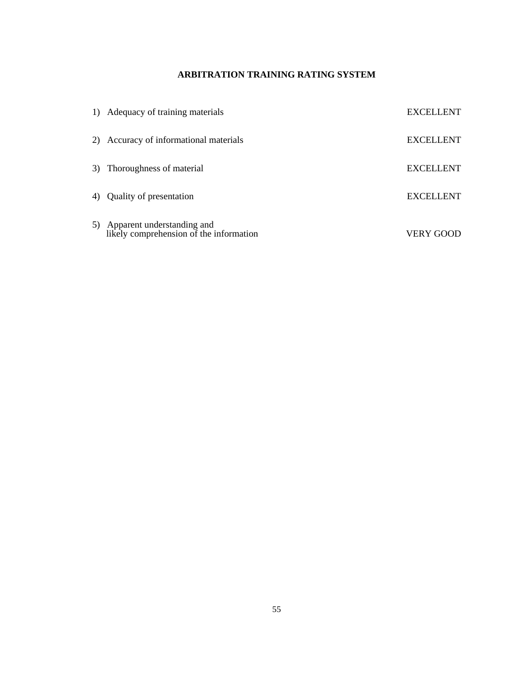# **ARBITRATION TRAINING RATING SYSTEM**

| 1) Adequacy of training materials                                        | <b>EXCELLENT</b> |
|--------------------------------------------------------------------------|------------------|
| 2) Accuracy of informational materials                                   | <b>EXCELLENT</b> |
| 3) Thoroughness of material                                              | <b>EXCELLENT</b> |
| 4) Quality of presentation                                               | <b>EXCELLENT</b> |
| 5) Apparent understanding and<br>likely comprehension of the information | VERY GOOD        |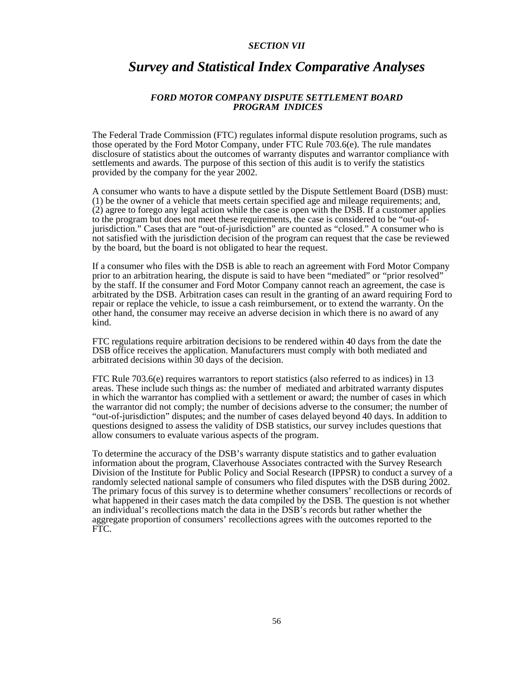#### *SECTION VII*

# *Survey and Statistical Index Comparative Analyses*

# *FORD MOTOR COMPANY DISPUTE SETTLEMENT BOARD PROGRAM INDICES*

The Federal Trade Commission (FTC) regulates informal dispute resolution programs, such as those operated by the Ford Motor Company, under FTC Rule 703.6(e). The rule mandates disclosure of statistics about the outcomes of warranty disputes and warrantor compliance with settlements and awards. The purpose of this section of this audit is to verify the statistics provided by the company for the year 2002.

A consumer who wants to have a dispute settled by the Dispute Settlement Board (DSB) must: (1) be the owner of a vehicle that meets certain specified age and mileage requirements; and, (2) agree to forego any legal action while the case is open with the DSB. If a customer applies to the program but does not meet these requirements, the case is considered to be "out-ofjurisdiction." Cases that are "out-of-jurisdiction" are counted as "closed." A consumer who is not satisfied with the jurisdiction decision of the program can request that the case be reviewed by the board, but the board is not obligated to hear the request.

If a consumer who files with the DSB is able to reach an agreement with Ford Motor Company prior to an arbitration hearing, the dispute is said to have been "mediated" or "prior resolved" by the staff. If the consumer and Ford Motor Company cannot reach an agreement, the case is arbitrated by the DSB. Arbitration cases can result in the granting of an award requiring Ford to repair or replace the vehicle, to issue a cash reimbursement, or to extend the warranty. On the other hand, the consumer may receive an adverse decision in which there is no award of any kind.

FTC regulations require arbitration decisions to be rendered within 40 days from the date the DSB office receives the application. Manufacturers must comply with both mediated and arbitrated decisions within 30 days of the decision.

FTC Rule 703.6(e) requires warrantors to report statistics (also referred to as indices) in 13 areas. These include such things as: the number of mediated and arbitrated warranty disputes in which the warrantor has complied with a settlement or award; the number of cases in which the warrantor did not comply; the number of decisions adverse to the consumer; the number of "out-of-jurisdiction" disputes; and the number of cases delayed beyond 40 days. In addition to questions designed to assess the validity of DSB statistics, our survey includes questions that allow consumers to evaluate various aspects of the program.

To determine the accuracy of the DSB's warranty dispute statistics and to gather evaluation information about the program, Claverhouse Associates contracted with the Survey Research Division of the Institute for Public Policy and Social Research (IPPSR) to conduct a survey of a randomly selected national sample of consumers who filed disputes with the DSB during 2002. The primary focus of this survey is to determine whether consumers' recollections or records of what happened in their cases match the data compiled by the DSB. The question is not whether an individual's recollections match the data in the DSB's records but rather whether the aggregate proportion of consumers' recollections agrees with the outcomes reported to the FTC.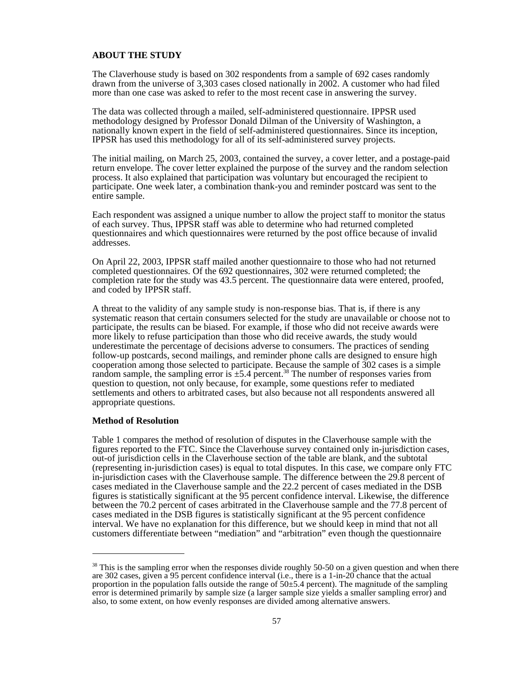#### **ABOUT THE STUDY**

The Claverhouse study is based on 302 respondents from a sample of 692 cases randomly drawn from the universe of 3,303 cases closed nationally in 2002. A customer who had filed more than one case was asked to refer to the most recent case in answering the survey.

The data was collected through a mailed, self-administered questionnaire. IPPSR used methodology designed by Professor Donald Dilman of the University of Washington, a nationally known expert in the field of self-administered questionnaires. Since its inception, IPPSR has used this methodology for all of its self-administered survey projects.

The initial mailing, on March 25, 2003, contained the survey, a cover letter, and a postage-paid return envelope. The cover letter explained the purpose of the survey and the random selection process. It also explained that participation was voluntary but encouraged the recipient to participate. One week later, a combination thank-you and reminder postcard was sent to the entire sample.

Each respondent was assigned a unique number to allow the project staff to monitor the status of each survey. Thus, IPPSR staff was able to determine who had returned completed questionnaires and which questionnaires were returned by the post office because of invalid addresses.

On April 22, 2003, IPPSR staff mailed another questionnaire to those who had not returned completed questionnaires. Of the 692 questionnaires, 302 were returned completed; the completion rate for the study was 43.5 percent. The questionnaire data were entered, proofed, and coded by IPPSR staff.

A threat to the validity of any sample study is non-response bias. That is, if there is any systematic reason that certain consumers selected for the study are unavailable or choose not to participate, the results can be biased. For example, if those who did not receive awards were more likely to refuse participation than those who did receive awards, the study would underestimate the percentage of decisions adverse to consumers. The practices of sending follow-up postcards, second mailings, and reminder phone calls are designed to ensure high cooperation among those selected to participate. Because the sample of 302 cases is a simple random sample, the sampling error is  $\pm$ 5.4 percent.<sup>38</sup> The number of responses varies from question to question, not only because, for example, some questions refer to mediated settlements and others to arbitrated cases, but also because not all respondents answered all appropriate questions.

#### **Method of Resolution**

Table 1 compares the method of resolution of disputes in the Claverhouse sample with the figures reported to the FTC. Since the Claverhouse survey contained only in-jurisdiction cases, out-of jurisdiction cells in the Claverhouse section of the table are blank, and the subtotal (representing in-jurisdiction cases) is equal to total disputes. In this case, we compare only FTC in-jurisdiction cases with the Claverhouse sample. The difference between the 29.8 percent of cases mediated in the Claverhouse sample and the 22.2 percent of cases mediated in the DSB figures is statistically significant at the 95 percent confidence interval. Likewise, the difference between the 70.2 percent of cases arbitrated in the Claverhouse sample and the 77.8 percent of cases mediated in the DSB figures is statistically significant at the 95 percent confidence interval. We have no explanation for this difference, but we should keep in mind that not all customers differentiate between "mediation" and "arbitration" even though the questionnaire

<sup>&</sup>lt;sup>38</sup> This is the sampling error when the responses divide roughly 50-50 on a given question and when there are 302 cases, given a 95 percent confidence interval (i.e., there is a 1-in-20 chance that the actual proportion in the population falls outside the range of  $50\pm5.4$  percent). The magnitude of the sampling error is determined primarily by sample size (a larger sample size yields a smaller sampling error) and also, to some extent, on how evenly responses are divided among alternative answers.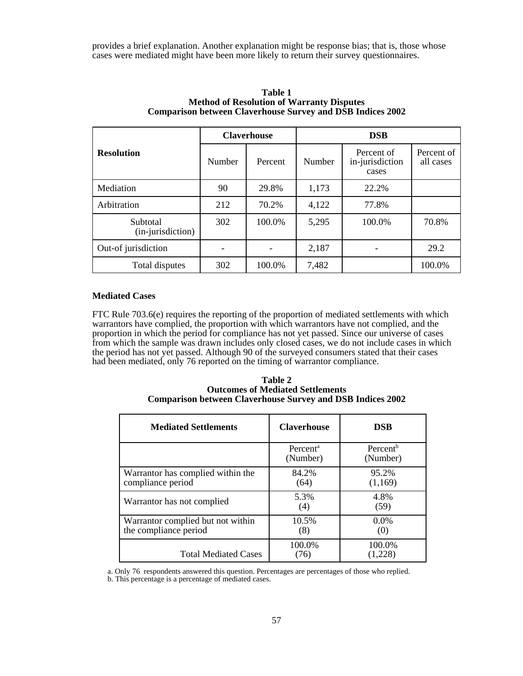provides a brief explanation. Another explanation might be response bias; that is, those whose cases were mediated might have been more likely to return their survey questionnaires.

|                               | <b>Claverhouse</b> |         | <b>DSB</b> |                                        |                         |  |
|-------------------------------|--------------------|---------|------------|----------------------------------------|-------------------------|--|
| <b>Resolution</b>             | Number             | Percent | Number     | Percent of<br>in-jurisdiction<br>cases | Percent of<br>all cases |  |
| Mediation                     | 90                 | 29.8%   | 1,173      | 22.2%                                  |                         |  |
| Arbitration                   | 212                | 70.2%   | 4,122      | 77.8%                                  |                         |  |
| Subtotal<br>(in-jurisdiction) | 302                | 100.0%  | 5,295      | 100.0%                                 | 70.8%                   |  |
| Out-of jurisdiction           | $\qquad \qquad$    |         | 2,187      |                                        | 29.2                    |  |
| Total disputes                | 302                | 100.0%  | 7,482      |                                        | 100.0%                  |  |

#### **Table 1 Method of Resolution of Warranty Disputes Comparison between Claverhouse Survey and DSB Indices 2002**

# **Mediated Cases**

FTC Rule 703.6(e) requires the reporting of the proportion of mediated settlements with which warrantors have complied, the proportion with which warrantors have not complied, and the proportion in which the period for compliance has not yet passed. Since our universe of cases from which the sample was drawn includes only closed cases, we do not include cases in which the period has not yet passed. Although 90 of the surveyed consumers stated that their cases had been mediated, only 76 reported on the timing of warrantor compliance.

#### **Table 2 Outcomes of Mediated Settlements Comparison between Claverhouse Survey and DSB Indices 2002**

| <b>Mediated Settlements</b>                                | <b>Claverhouse</b>               | <b>DSB</b>                       |
|------------------------------------------------------------|----------------------------------|----------------------------------|
|                                                            | Percent <sup>a</sup><br>(Number) | Percent <sup>b</sup><br>(Number) |
| Warrantor has complied within the<br>compliance period     | 84.2%<br>(64)                    | 95.2%<br>(1,169)                 |
| Warrantor has not complied                                 | 5.3%<br>(4)                      | 4.8%<br>(59)                     |
| Warrantor complied but not within<br>the compliance period | 10.5%<br>(8)                     | $0.0\%$<br>(0)                   |
| <b>Total Mediated Cases</b>                                | 100.0%<br>(76)                   | 100.0%<br>(1,228)                |

a. Only 76 respondents answered this question. Percentages are percentages of those who replied.

b. This percentage is a percentage of mediated cases.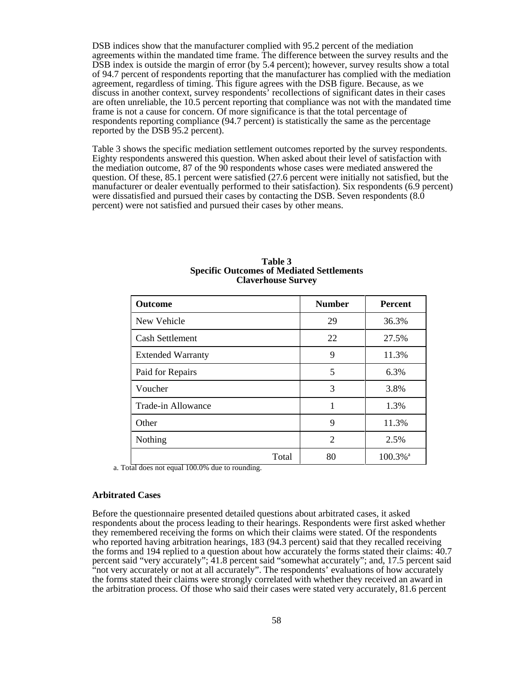DSB indices show that the manufacturer complied with 95.2 percent of the mediation agreements within the mandated time frame. The difference between the survey results and the DSB index is outside the margin of error (by 5.4 percent); however, survey results show a total of 94.7 percent of respondents reporting that the manufacturer has complied with the mediation agreement, regardless of timing. This figure agrees with the DSB figure. Because, as we discuss in another context, survey respondents' recollections of significant dates in their cases are often unreliable, the 10.5 percent reporting that compliance was not with the mandated time frame is not a cause for concern. Of more significance is that the total percentage of respondents reporting compliance (94.7 percent) is statistically the same as the percentage reported by the DSB 95.2 percent).

Table 3 shows the specific mediation settlement outcomes reported by the survey respondents. Eighty respondents answered this question. When asked about their level of satisfaction with the mediation outcome, 87 of the 90 respondents whose cases were mediated answered the question. Of these, 85.1 percent were satisfied (27.6 percent were initially not satisfied, but the manufacturer or dealer eventually performed to their satisfaction). Six respondents (6.9 percent) were dissatisfied and pursued their cases by contacting the DSB. Seven respondents  $(8.0)$ percent) were not satisfied and pursued their cases by other means.

| <b>Outcome</b>           | <b>Number</b>  | <b>Percent</b>         |
|--------------------------|----------------|------------------------|
| New Vehicle              | 29             | 36.3%                  |
| <b>Cash Settlement</b>   | 22             | 27.5%                  |
| <b>Extended Warranty</b> | 9              | 11.3%                  |
| Paid for Repairs         | 5              | 6.3%                   |
| Voucher                  | 3              | 3.8%                   |
| Trade-in Allowance       |                | 1.3%                   |
| Other                    | 9              | 11.3%                  |
| Nothing                  | $\overline{2}$ | 2.5%                   |
| Total                    | 80             | $100.3\%$ <sup>a</sup> |

#### **Table 3 Specific Outcomes of Mediated Settlements Claverhouse Survey**

a. Total does not equal 100.0% due to rounding.

#### **Arbitrated Cases**

Before the questionnaire presented detailed questions about arbitrated cases, it asked respondents about the process leading to their hearings. Respondents were first asked whether they remembered receiving the forms on which their claims were stated. Of the respondents who reported having arbitration hearings, 183 (94.3 percent) said that they recalled receiving the forms and 194 replied to a question about how accurately the forms stated their claims: 40.7 percent said "very accurately"; 41.8 percent said "somewhat accurately"; and, 17.5 percent said "not very accurately or not at all accurately". The respondents' evaluations of how accurately the forms stated their claims were strongly correlated with whether they received an award in the arbitration process. Of those who said their cases were stated very accurately, 81.6 percent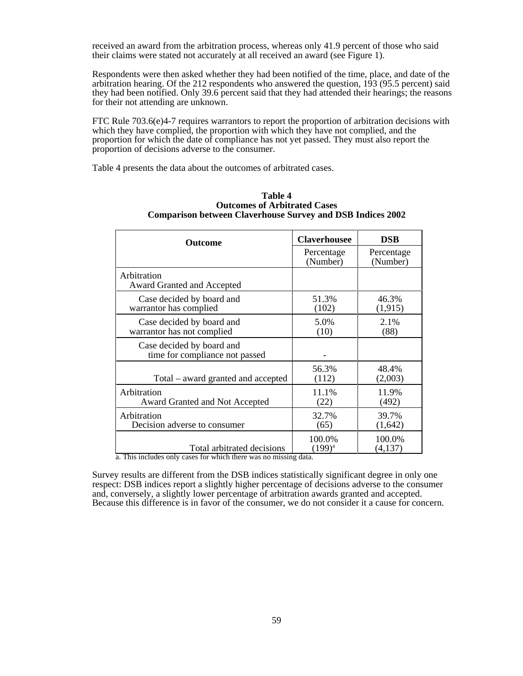received an award from the arbitration process, whereas only 41.9 percent of those who said their claims were stated not accurately at all received an award (see Figure 1).

Respondents were then asked whether they had been notified of the time, place, and date of the arbitration hearing. Of the 212 respondents who answered the question, 193 (95.5 percent) said they had been notified. Only 39.6 percent said that they had attended their hearings; the reasons for their not attending are unknown.

FTC Rule  $703.6(e)4-7$  requires warrantors to report the proportion of arbitration decisions with which they have complied, the proportion with which they have not complied, and the proportion for which the date of compliance has not yet passed. They must also report the proportion of decisions adverse to the consumer.

Table 4 presents the data about the outcomes of arbitrated cases.

| Outcome                                                     | <b>Claverhousee</b>    | <b>DSB</b>             |  |
|-------------------------------------------------------------|------------------------|------------------------|--|
|                                                             | Percentage<br>(Number) | Percentage<br>(Number) |  |
| Arbitration<br>Award Granted and Accepted                   |                        |                        |  |
| Case decided by board and<br>warrantor has complied         | 51.3%<br>(102)         | 46.3%<br>(1, 915)      |  |
| Case decided by board and<br>warrantor has not complied     | 5.0%<br>(10)           | 2.1%<br>(88)           |  |
| Case decided by board and<br>time for compliance not passed |                        |                        |  |
| Total – award granted and accepted                          | 56.3%<br>(112)         | 48.4%<br>(2,003)       |  |
| Arbitration<br>Award Granted and Not Accepted               | 11.1%<br>(22)          | 11.9%<br>(492)         |  |
| Arbitration<br>Decision adverse to consumer                 | 32.7%<br>(65)          | 39.7%<br>(1,642)       |  |
| Total arbitrated decisions                                  | 100.0%<br>$(199)^{a}$  | 100.0%<br>(4,137)      |  |

#### **Table 4 Outcomes of Arbitrated Cases Comparison between Claverhouse Survey and DSB Indices 2002**

a. This includes only cases for which there was no missing data.

Survey results are different from the DSB indices statistically significant degree in only one respect: DSB indices report a slightly higher percentage of decisions adverse to the consumer and, conversely, a slightly lower percentage of arbitration awards granted and accepted. Because this difference is in favor of the consumer, we do not consider it a cause for concern.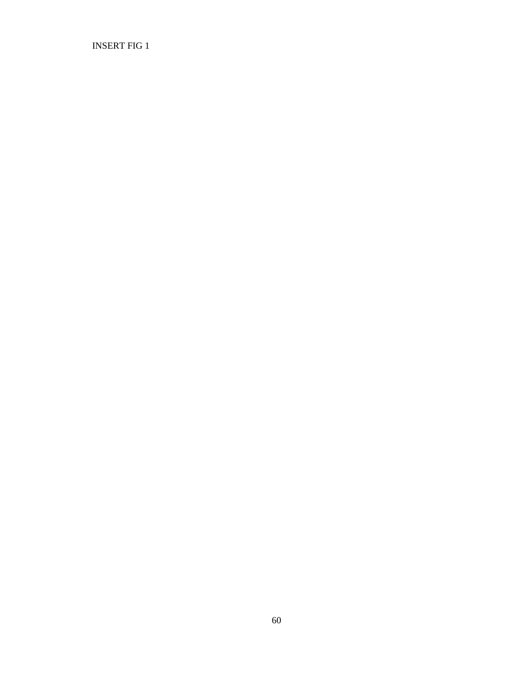INSERT FIG 1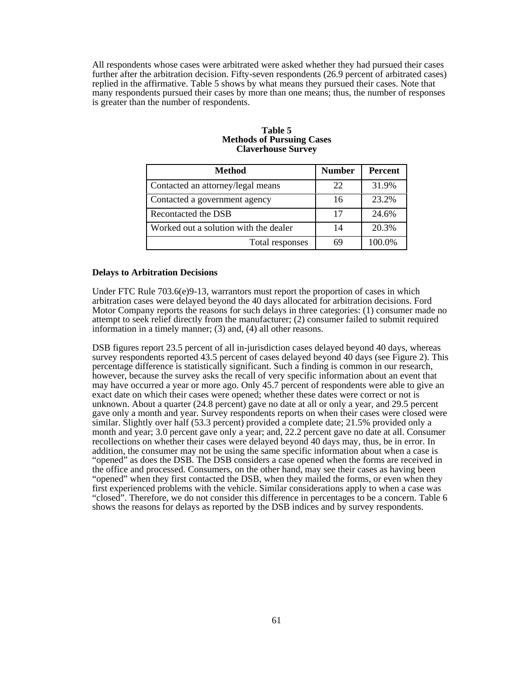All respondents whose cases were arbitrated were asked whether they had pursued their cases further after the arbitration decision. Fifty-seven respondents (26.9 percent of arbitrated cases) replied in the affirmative. Table 5 shows by what means they pursued their cases. Note that many respondents pursued their cases by more than one means; thus, the number of responses is greater than the number of respondents.

#### **Table 5 Methods of Pursuing Cases Claverhouse Survey**

| <b>Method</b>                         | <b>Number</b> | <b>Percent</b> |
|---------------------------------------|---------------|----------------|
| Contacted an attorney/legal means     | 22            | 31.9%          |
| Contacted a government agency         | 16            | 23.2%          |
| Recontacted the DSB                   | 17            | 24.6%          |
| Worked out a solution with the dealer | 14            | 20.3%          |
| Total responses                       | 69            | 100.0%         |

#### **Delays to Arbitration Decisions**

Under FTC Rule 703.6(e)9-13, warrantors must report the proportion of cases in which arbitration cases were delayed beyond the 40 days allocated for arbitration decisions. Ford Motor Company reports the reasons for such delays in three categories: (1) consumer made no attempt to seek relief directly from the manufacturer; (2) consumer failed to submit required information in a timely manner; (3) and, (4) all other reasons.

DSB figures report 23.5 percent of all in-jurisdiction cases delayed beyond 40 days, whereas survey respondents reported 43.5 percent of cases delayed beyond 40 days (see Figure 2). This percentage difference is statistically significant. Such a finding is common in our research, however, because the survey asks the recall of very specific information about an event that may have occurred a year or more ago. Only 45.7 percent of respondents were able to give an exact date on which their cases were opened; whether these dates were correct or not is unknown. About a quarter (24.8 percent) gave no date at all or only a year, and 29.5 percent gave only a month and year. Survey respondents reports on when their cases were closed were similar. Slightly over half (53.3 percent) provided a complete date;  $21.5\%$  provided only a month and year; 3.0 percent gave only a year; and, 22.2 percent gave no date at all. Consumer recollections on whether their cases were delayed beyond 40 days may, thus, be in error. In addition, the consumer may not be using the same specific information about when a case is "opened" as does the DSB. The DSB considers a case opened when the forms are received in the office and processed. Consumers, on the other hand, may see their cases as having been "opened" when they first contacted the DSB, when they mailed the forms, or even when they first experienced problems with the vehicle. Similar considerations apply to when a case was "closed". Therefore, we do not consider this difference in percentages to be a concern. Table 6 shows the reasons for delays as reported by the DSB indices and by survey respondents.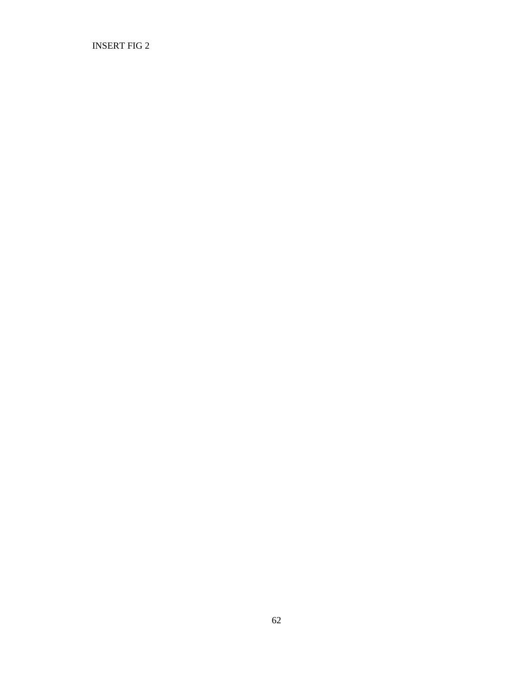INSERT FIG 2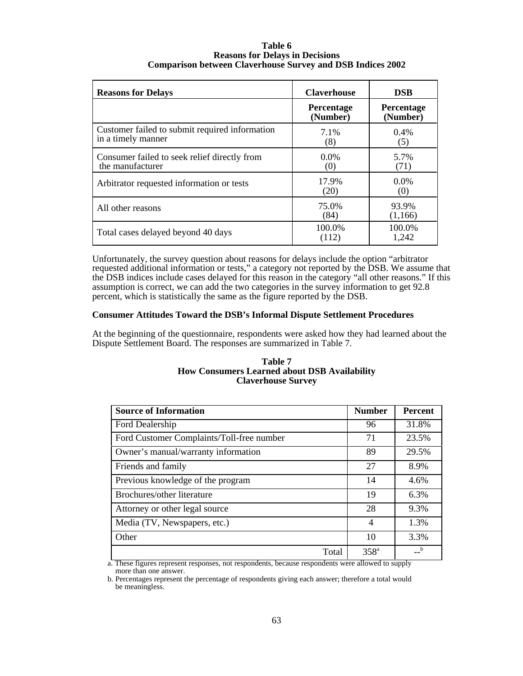#### **Table 6 Reasons for Delays in Decisions Comparison between Claverhouse Survey and DSB Indices 2002**

| <b>Reasons for Delays</b>                                            | <b>Claverhouse</b>            | <b>DSB</b>                    |
|----------------------------------------------------------------------|-------------------------------|-------------------------------|
|                                                                      | <b>Percentage</b><br>(Number) | <b>Percentage</b><br>(Number) |
| Customer failed to submit required information<br>in a timely manner | 7.1%<br>(8)                   | $0.4\%$<br>(5)                |
| Consumer failed to seek relief directly from<br>the manufacturer     | $0.0\%$<br>(0)                | 5.7%<br>(71)                  |
| Arbitrator requested information or tests                            | 17.9%<br>(20)                 | $0.0\%$<br>(0)                |
| All other reasons                                                    | 75.0%<br>(84)                 | 93.9%<br>(1,166)              |
| Total cases delayed beyond 40 days                                   | 100.0%<br>(112)               | 100.0%<br>1,242               |

Unfortunately, the survey question about reasons for delays include the option "arbitrator requested additional information or tests," a category not reported by the DSB. We assume that the DSB indices include cases delayed for this reason in the category "all other reasons." If this assumption is correct, we can add the two categories in the survey information to get 92.8 percent, which is statistically the same as the figure reported by the DSB.

# **Consumer Attitudes Toward the DSB's Informal Dispute Settlement Procedures**

At the beginning of the questionnaire, respondents were asked how they had learned about the Dispute Settlement Board. The responses are summarized in Table 7.

#### **Table 7 How Consumers Learned about DSB Availability Claverhouse Survey**

| <b>Source of Information</b>              | <b>Number</b>                               | <b>Percent</b> |
|-------------------------------------------|---------------------------------------------|----------------|
| Ford Dealership                           | 96                                          | 31.8%          |
| Ford Customer Complaints/Toll-free number | 71                                          | 23.5%          |
| Owner's manual/warranty information       | 89                                          | 29.5%          |
| Friends and family                        | 27                                          | 8.9%           |
| Previous knowledge of the program         | 14                                          | 4.6%           |
| Brochures/other literature                | 19                                          | 6.3%           |
| Attorney or other legal source            | 28                                          | 9.3%           |
| Media (TV, Newspapers, etc.)              | $\overline{4}$                              | 1.3%           |
| Other                                     | 10                                          | 3.3%           |
| Total<br>$\sim$<br>Ē                      | 358 <sup>a</sup><br>$\overline{\mathbf{1}}$ | $\mathbf{b}$   |

a. These figures represent responses, not respondents, because respondents were allowed to supply more than one answer.

b. Percentages represent the percentage of respondents giving each answer; therefore a total would be meaningless.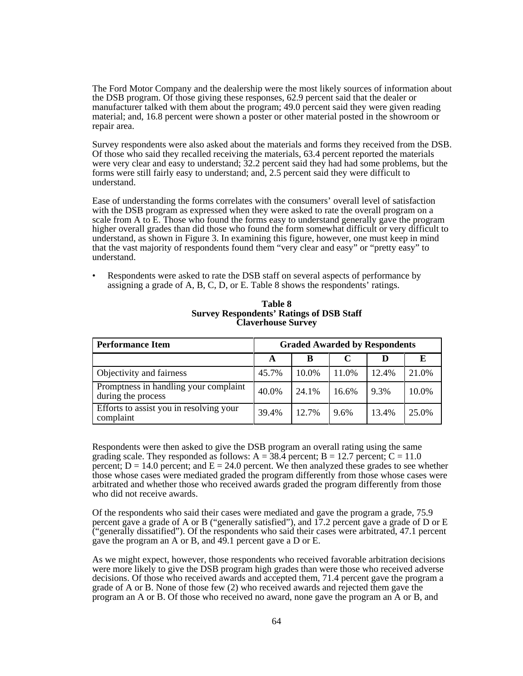The Ford Motor Company and the dealership were the most likely sources of information about the DSB program. Of those giving these responses, 62.9 percent said that the dealer or manufacturer talked with them about the program; 49.0 percent said they were given reading material; and, 16.8 percent were shown a poster or other material posted in the showroom or repair area.

Survey respondents were also asked about the materials and forms they received from the DSB. Of those who said they recalled receiving the materials, 63.4 percent reported the materials were very clear and easy to understand; 32.2 percent said they had had some problems, but the forms were still fairly easy to understand; and, 2.5 percent said they were difficult to understand.

Ease of understanding the forms correlates with the consumers' overall level of satisfaction with the DSB program as expressed when they were asked to rate the overall program on a scale from A to E. Those who found the forms easy to understand generally gave the program higher overall grades than did those who found the form somewhat difficult or very difficult to understand, as shown in Figure 3. In examining this figure, however, one must keep in mind that the vast majority of respondents found them "very clear and easy" or "pretty easy" to understand.

• Respondents were asked to rate the DSB staff on several aspects of performance by assigning a grade of A, B, C, D, or E. Table 8 shows the respondents' ratings.

| <b>Performance Item</b>                                     | <b>Graded Awarded by Respondents</b> |       |       |       |       |
|-------------------------------------------------------------|--------------------------------------|-------|-------|-------|-------|
|                                                             | A                                    | B     |       |       | E     |
| Objectivity and fairness                                    | 45.7%                                | 10.0% | 11.0% | 12.4% | 21.0% |
| Promptness in handling your complaint<br>during the process | 40.0%                                | 24.1% | 16.6% | 9.3%  | 10.0% |
| Efforts to assist you in resolving your<br>complaint        | 39.4%                                | 12.7% | 9.6%  | 13.4% | 25.0% |

#### **Table 8 Survey Respondents' Ratings of DSB Staff Claverhouse Survey**

Respondents were then asked to give the DSB program an overall rating using the same grading scale. They responded as follows:  $A = 38.4$  percent;  $B = 12.7$  percent;  $C = 11.0$ percent;  $D = 14.0$  percent; and  $E = 24.0$  percent. We then analyzed these grades to see whether those whose cases were mediated graded the program differently from those whose cases were arbitrated and whether those who received awards graded the program differently from those who did not receive awards.

Of the respondents who said their cases were mediated and gave the program a grade, 75.9 percent gave a grade of A or B ("generally satisfied"), and 17.2 percent gave a grade of D or E ("generally dissatified"). Of the respondents who said their cases were arbitrated, 47.1 percent gave the program an A or B, and 49.1 percent gave a D or E.

As we might expect, however, those respondents who received favorable arbitration decisions were more likely to give the DSB program high grades than were those who received adverse decisions. Of those who received awards and accepted them, 71.4 percent gave the program a grade of A or B. None of those few (2) who received awards and rejected them gave the program an A or B. Of those who received no award, none gave the program an A or B, and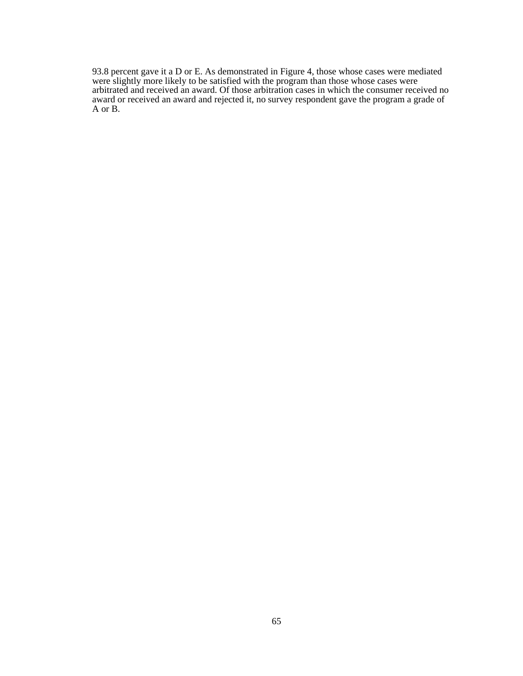93.8 percent gave it a D or E. As demonstrated in Figure 4, those whose cases were mediated were slightly more likely to be satisfied with the program than those whose cases were arbitrated and received an award. Of those arbitration cases in which the consumer received no award or received an award and rejected it, no survey respondent gave the program a grade of A or B.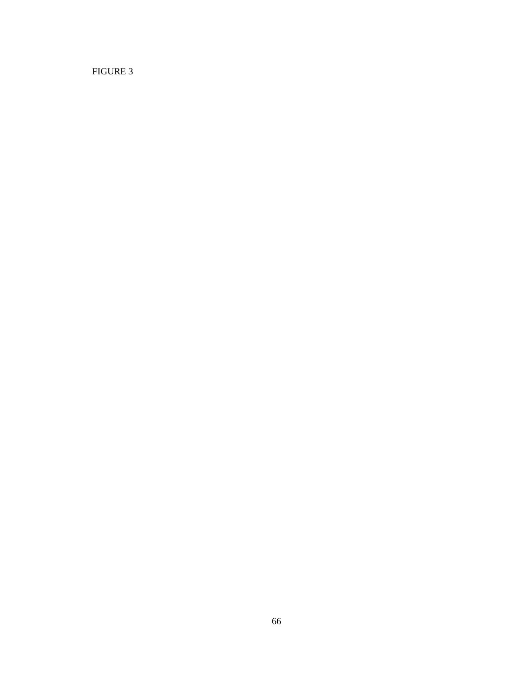FIGURE 3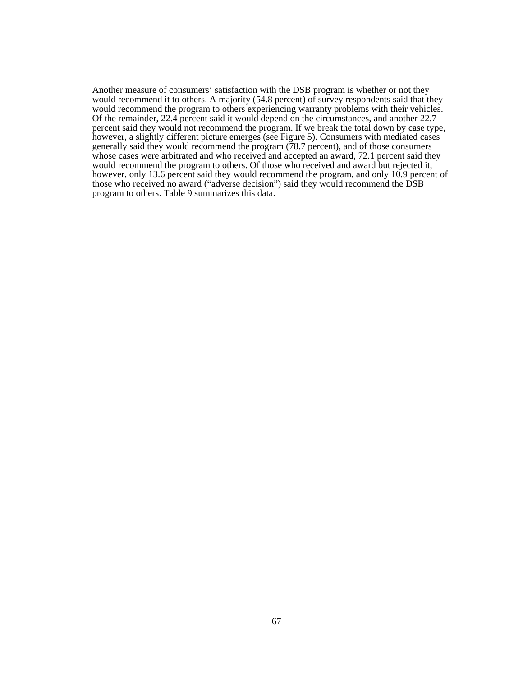Another measure of consumers' satisfaction with the DSB program is whether or not they would recommend it to others. A majority (54.8 percent) of survey respondents said that they would recommend the program to others experiencing warranty problems with their vehicles. Of the remainder, 22.4 percent said it would depend on the circumstances, and another 22.7 percent said they would not recommend the program. If we break the total down by case type, however, a slightly different picture emerges (see Figure 5). Consumers with mediated cases generally said they would recommend the program (78.7 percent), and of those consumers whose cases were arbitrated and who received and accepted an award, 72.1 percent said they would recommend the program to others. Of those who received and award but rejected it, however, only 13.6 percent said they would recommend the program, and only 10.9 percent of those who received no award ("adverse decision") said they would recommend the DSB program to others. Table 9 summarizes this data.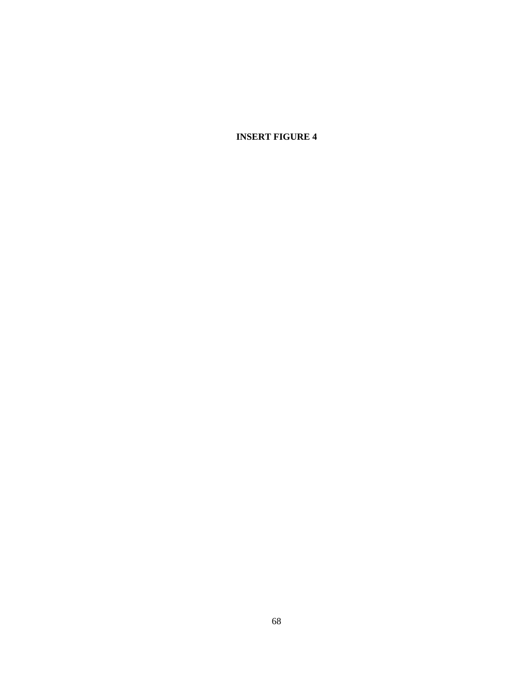**INSERT FIGURE 4**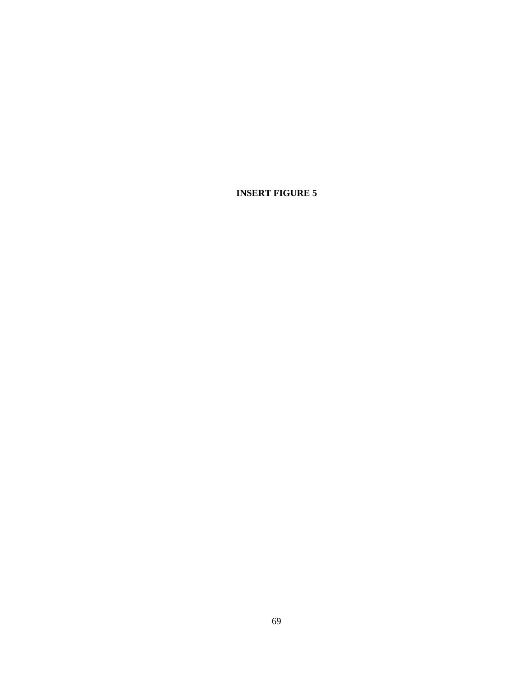**INSERT FIGURE 5**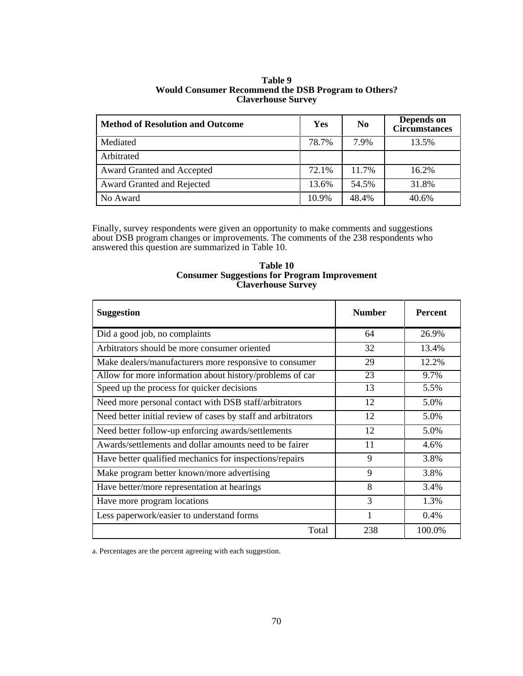| <b>Method of Resolution and Outcome</b> | Yes   | N <sub>0</sub> | Depends on<br><b>Circumstances</b> |
|-----------------------------------------|-------|----------------|------------------------------------|
| Mediated                                | 78.7% | 7.9%           | 13.5%                              |
| Arbitrated                              |       |                |                                    |
| Award Granted and Accepted              | 72.1% | 11.7%          | 16.2%                              |
| Award Granted and Rejected              | 13.6% | 54.5%          | 31.8%                              |
| No Award                                | 10.9% | 48.4%          | 40.6%                              |

# **Table 9 Would Consumer Recommend the DSB Program to Others? Claverhouse Survey**

Finally, survey respondents were given an opportunity to make comments and suggestions about DSB program changes or improvements. The comments of the 238 respondents who answered this question are summarized in Table 10.

## **Table 10 Consumer Suggestions for Program Improvement Claverhouse Survey**

| <b>Suggestion</b>                                            | <b>Number</b> | <b>Percent</b> |
|--------------------------------------------------------------|---------------|----------------|
| Did a good job, no complaints                                | 64            | 26.9%          |
| Arbitrators should be more consumer oriented                 | 32            | 13.4%          |
| Make dealers/manufacturers more responsive to consumer       | 29            | 12.2%          |
| Allow for more information about history/problems of car     | 23            | 9.7%           |
| Speed up the process for quicker decisions                   | 13            | 5.5%           |
| Need more personal contact with DSB staff/arbitrators        | 12            | 5.0%           |
| Need better initial review of cases by staff and arbitrators | 12            | 5.0%           |
| Need better follow-up enforcing awards/settlements           | 12            | 5.0%           |
| Awards/settlements and dollar amounts need to be fairer      | 11            | 4.6%           |
| Have better qualified mechanics for inspections/repairs      | 9             | 3.8%           |
| Make program better known/more advertising                   | 9             | 3.8%           |
| Have better/more representation at hearings                  | 8             | 3.4%           |
| Have more program locations                                  | $\mathcal{R}$ | 1.3%           |
| Less paperwork/easier to understand forms                    |               | 0.4%           |
| Total                                                        | 238           | 100.0%         |

a. Percentages are the percent agreeing with each suggestion.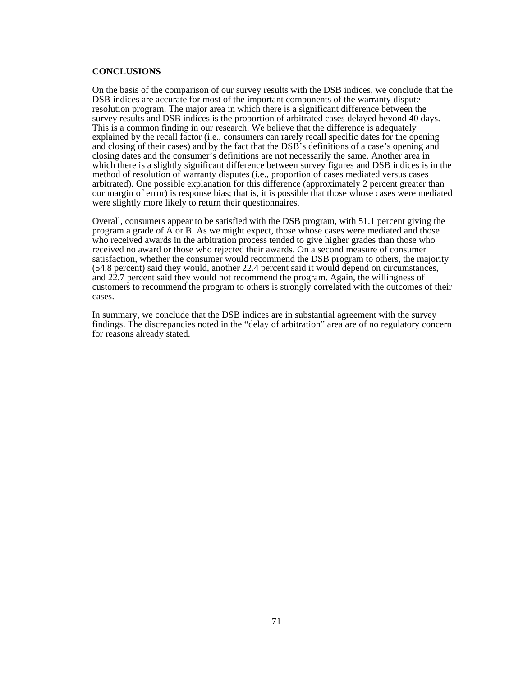#### **CONCLUSIONS**

On the basis of the comparison of our survey results with the DSB indices, we conclude that the DSB indices are accurate for most of the important components of the warranty dispute resolution program. The major area in which there is a significant difference between the survey results and DSB indices is the proportion of arbitrated cases delayed beyond 40 days. This is a common finding in our research. We believe that the difference is adequately explained by the recall factor (i.e., consumers can rarely recall specific dates for the opening and closing of their cases) and by the fact that the DSB's definitions of a case's opening and closing dates and the consumer's definitions are not necessarily the same. Another area in which there is a slightly significant difference between survey figures and DSB indices is in the method of resolution of warranty disputes (i.e., proportion of cases mediated versus cases arbitrated). One possible explanation for this difference (approximately 2 percent greater than our margin of error) is response bias; that is, it is possible that those whose cases were mediated were slightly more likely to return their questionnaires.

Overall, consumers appear to be satisfied with the DSB program, with 51.1 percent giving the program a grade of A or B. As we might expect, those whose cases were mediated and those who received awards in the arbitration process tended to give higher grades than those who received no award or those who rejected their awards. On a second measure of consumer satisfaction, whether the consumer would recommend the DSB program to others, the majority (54.8 percent) said they would, another 22.4 percent said it would depend on circumstances, and 22.7 percent said they would not recommend the program. Again, the willingness of customers to recommend the program to others is strongly correlated with the outcomes of their cases.

In summary, we conclude that the DSB indices are in substantial agreement with the survey findings. The discrepancies noted in the "delay of arbitration" area are of no regulatory concern for reasons already stated.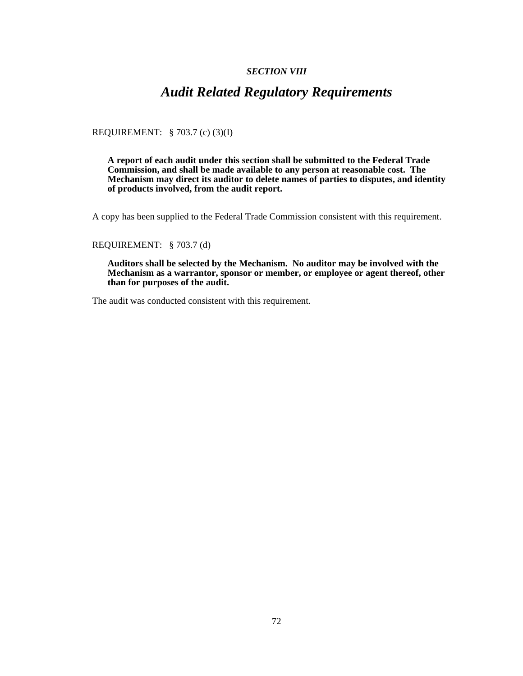## *SECTION VIII*

## *Audit Related Regulatory Requirements*

REQUIREMENT: § 703.7 (c) (3)(I)

**A report of each audit under this section shall be submitted to the Federal Trade Commission, and shall be made available to any person at reasonable cost. The Mechanism may direct its auditor to delete names of parties to disputes, and identity of products involved, from the audit report.**

A copy has been supplied to the Federal Trade Commission consistent with this requirement.

## REQUIREMENT: § 703.7 (d)

**Auditors shall be selected by the Mechanism. No auditor may be involved with the Mechanism as a warrantor, sponsor or member, or employee or agent thereof, other than for purposes of the audit.**

The audit was conducted consistent with this requirement.